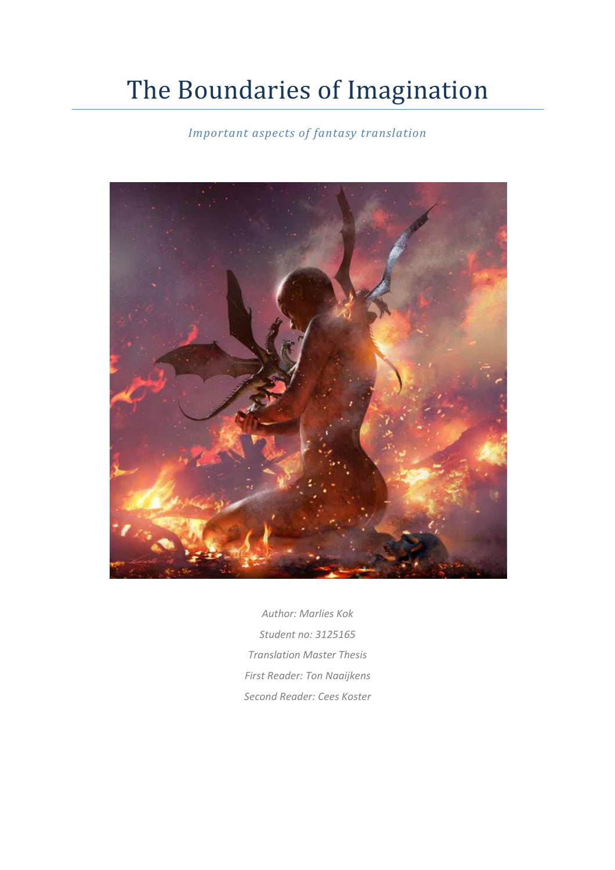# The Boundaries of Imagination

*Important aspects of fantasy translation* 



*Author: Marlies Kok Student no: 3125165 Translation Master Thesis First Reader: Ton Naaijkens Second Reader: Cees Koster*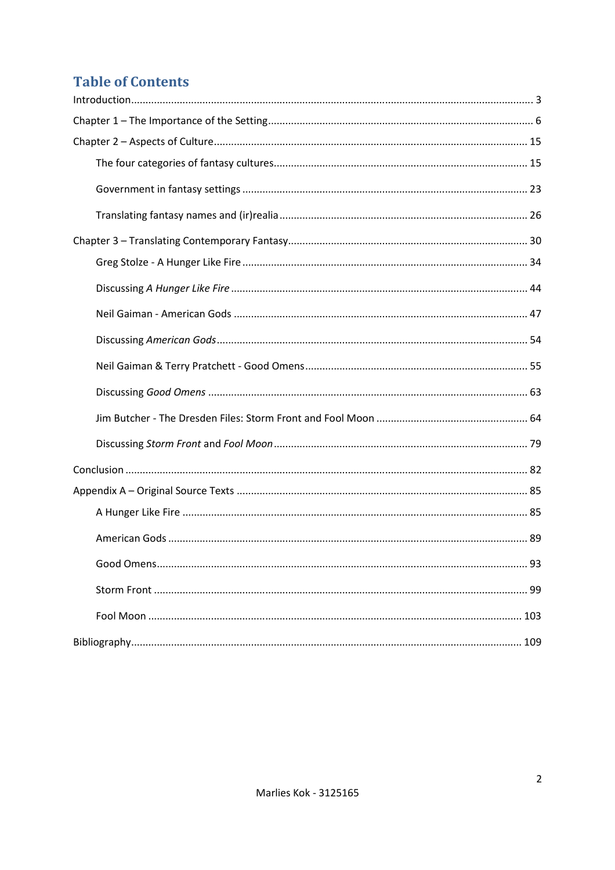## **Table of Contents**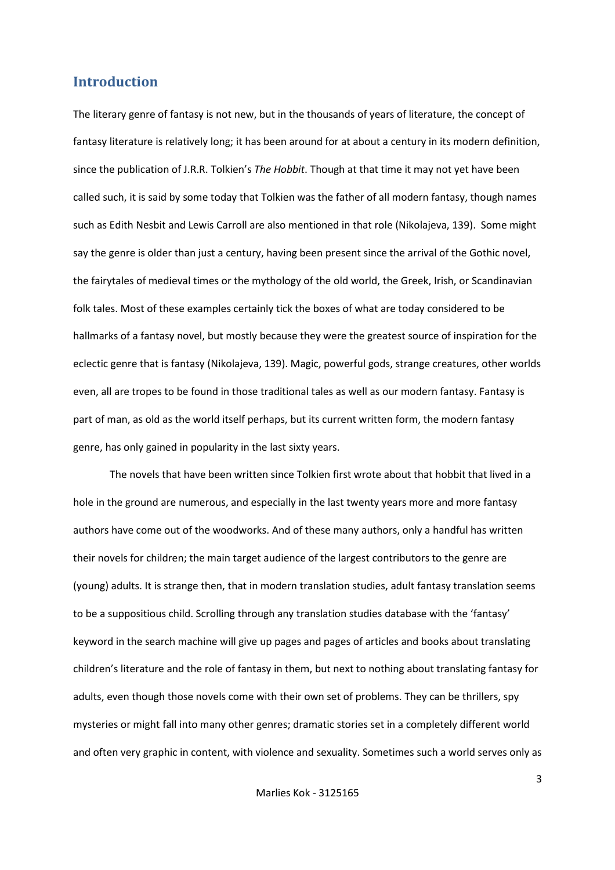### **Introduction**

The literary genre of fantasy is not new, but in the thousands of years of literature, the concept of fantasy literature is relatively long; it has been around for at about a century in its modern definition, since the publication of J.R.R. Tolkien's *The Hobbit*. Though at that time it may not yet have been called such, it is said by some today that Tolkien was the father of all modern fantasy, though names such as Edith Nesbit and Lewis Carroll are also mentioned in that role (Nikolajeva, 139). Some might say the genre is older than just a century, having been present since the arrival of the Gothic novel, the fairytales of medieval times or the mythology of the old world, the Greek, Irish, or Scandinavian folk tales. Most of these examples certainly tick the boxes of what are today considered to be hallmarks of a fantasy novel, but mostly because they were the greatest source of inspiration for the eclectic genre that is fantasy (Nikolajeva, 139). Magic, powerful gods, strange creatures, other worlds even, all are tropes to be found in those traditional tales as well as our modern fantasy. Fantasy is part of man, as old as the world itself perhaps, but its current written form, the modern fantasy genre, has only gained in popularity in the last sixty years.

 The novels that have been written since Tolkien first wrote about that hobbit that lived in a hole in the ground are numerous, and especially in the last twenty years more and more fantasy authors have come out of the woodworks. And of these many authors, only a handful has written their novels for children; the main target audience of the largest contributors to the genre are (young) adults. It is strange then, that in modern translation studies, adult fantasy translation seems to be a suppositious child. Scrolling through any translation studies database with the 'fantasy' keyword in the search machine will give up pages and pages of articles and books about translating children's literature and the role of fantasy in them, but next to nothing about translating fantasy for adults, even though those novels come with their own set of problems. They can be thrillers, spy mysteries or might fall into many other genres; dramatic stories set in a completely different world and often very graphic in content, with violence and sexuality. Sometimes such a world serves only as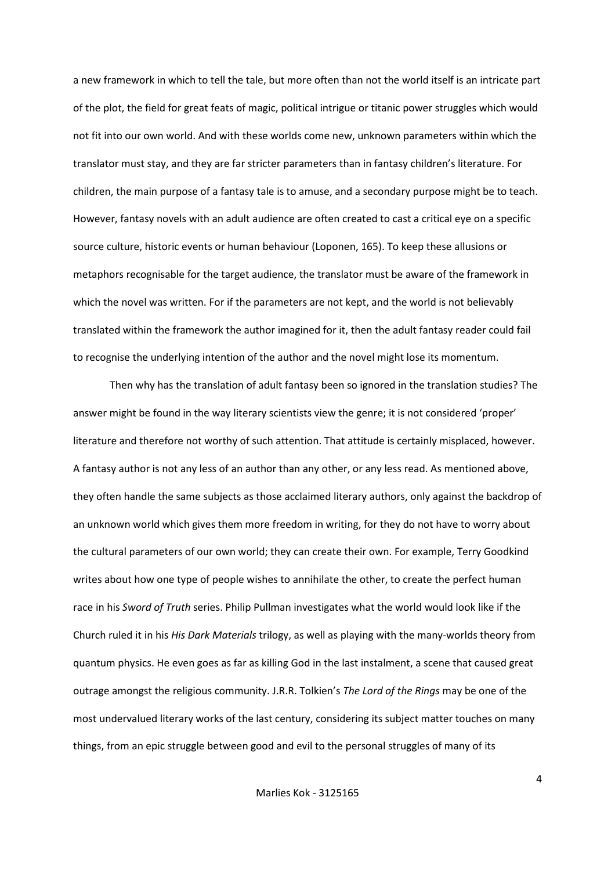a new framework in which to tell the tale, but more often than not the world itself is an intricate part of the plot, the field for great feats of magic, political intrigue or titanic power struggles which would not fit into our own world. And with these worlds come new, unknown parameters within which the translator must stay, and they are far stricter parameters than in fantasy children's literature. For children, the main purpose of a fantasy tale is to amuse, and a secondary purpose might be to teach. However, fantasy novels with an adult audience are often created to cast a critical eye on a specific source culture, historic events or human behaviour (Loponen, 165). To keep these allusions or metaphors recognisable for the target audience, the translator must be aware of the framework in which the novel was written. For if the parameters are not kept, and the world is not believably translated within the framework the author imagined for it, then the adult fantasy reader could fail to recognise the underlying intention of the author and the novel might lose its momentum.

 Then why has the translation of adult fantasy been so ignored in the translation studies? The answer might be found in the way literary scientists view the genre; it is not considered 'proper' literature and therefore not worthy of such attention. That attitude is certainly misplaced, however. A fantasy author is not any less of an author than any other, or any less read. As mentioned above, they often handle the same subjects as those acclaimed literary authors, only against the backdrop of an unknown world which gives them more freedom in writing, for they do not have to worry about the cultural parameters of our own world; they can create their own. For example, Terry Goodkind writes about how one type of people wishes to annihilate the other, to create the perfect human race in his *Sword of Truth* series. Philip Pullman investigates what the world would look like if the Church ruled it in his *His Dark Materials* trilogy, as well as playing with the many-worlds theory from quantum physics. He even goes as far as killing God in the last instalment, a scene that caused great outrage amongst the religious community. J.R.R. Tolkien's *The Lord of the Rings* may be one of the most undervalued literary works of the last century, considering its subject matter touches on many things, from an epic struggle between good and evil to the personal struggles of many of its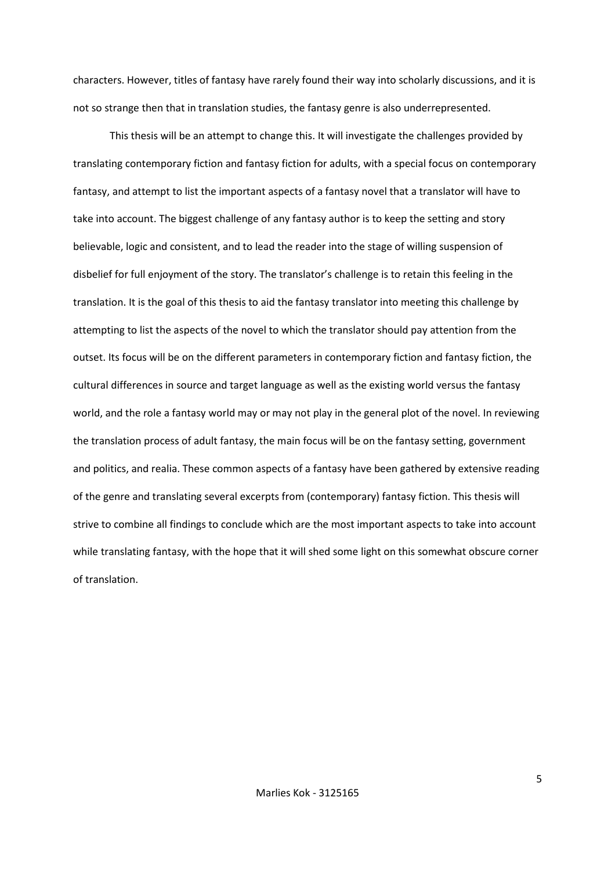characters. However, titles of fantasy have rarely found their way into scholarly discussions, and it is not so strange then that in translation studies, the fantasy genre is also underrepresented.

 This thesis will be an attempt to change this. It will investigate the challenges provided by translating contemporary fiction and fantasy fiction for adults, with a special focus on contemporary fantasy, and attempt to list the important aspects of a fantasy novel that a translator will have to take into account. The biggest challenge of any fantasy author is to keep the setting and story believable, logic and consistent, and to lead the reader into the stage of willing suspension of disbelief for full enjoyment of the story. The translator's challenge is to retain this feeling in the translation. It is the goal of this thesis to aid the fantasy translator into meeting this challenge by attempting to list the aspects of the novel to which the translator should pay attention from the outset. Its focus will be on the different parameters in contemporary fiction and fantasy fiction, the cultural differences in source and target language as well as the existing world versus the fantasy world, and the role a fantasy world may or may not play in the general plot of the novel. In reviewing the translation process of adult fantasy, the main focus will be on the fantasy setting, government and politics, and realia. These common aspects of a fantasy have been gathered by extensive reading of the genre and translating several excerpts from (contemporary) fantasy fiction. This thesis will strive to combine all findings to conclude which are the most important aspects to take into account while translating fantasy, with the hope that it will shed some light on this somewhat obscure corner of translation.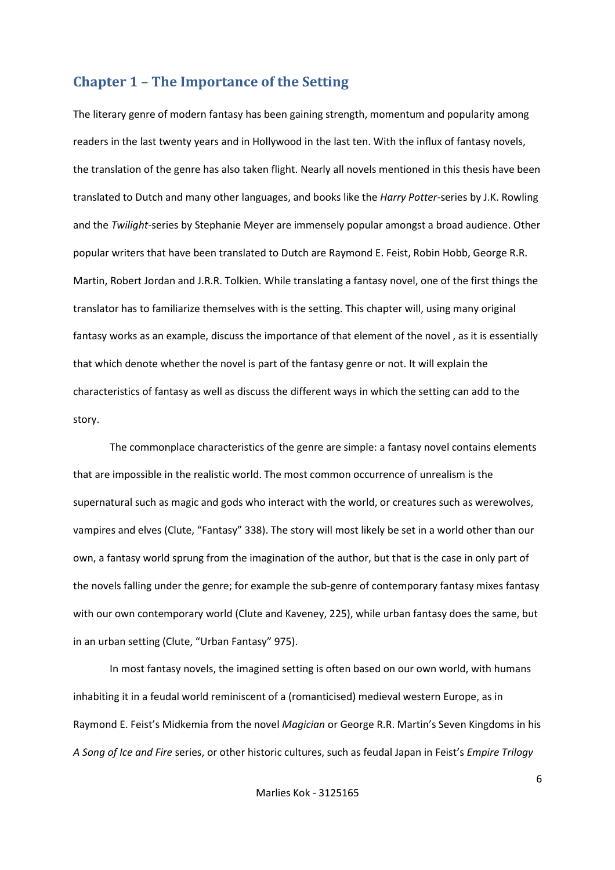## **Chapter 1 – The Importance of the Setting**

The literary genre of modern fantasy has been gaining strength, momentum and popularity among readers in the last twenty years and in Hollywood in the last ten. With the influx of fantasy novels, the translation of the genre has also taken flight. Nearly all novels mentioned in this thesis have been translated to Dutch and many other languages, and books like the *Harry Potter*-series by J.K. Rowling and the *Twilight*-series by Stephanie Meyer are immensely popular amongst a broad audience. Other popular writers that have been translated to Dutch are Raymond E. Feist, Robin Hobb, George R.R. Martin, Robert Jordan and J.R.R. Tolkien. While translating a fantasy novel, one of the first things the translator has to familiarize themselves with is the setting. This chapter will, using many original fantasy works as an example, discuss the importance of that element of the novel , as it is essentially that which denote whether the novel is part of the fantasy genre or not. It will explain the characteristics of fantasy as well as discuss the different ways in which the setting can add to the story.

The commonplace characteristics of the genre are simple: a fantasy novel contains elements that are impossible in the realistic world. The most common occurrence of unrealism is the supernatural such as magic and gods who interact with the world, or creatures such as werewolves, vampires and elves (Clute, "Fantasy" 338). The story will most likely be set in a world other than our own, a fantasy world sprung from the imagination of the author, but that is the case in only part of the novels falling under the genre; for example the sub-genre of contemporary fantasy mixes fantasy with our own contemporary world (Clute and Kaveney, 225), while urban fantasy does the same, but in an urban setting (Clute, "Urban Fantasy" 975).

In most fantasy novels, the imagined setting is often based on our own world, with humans inhabiting it in a feudal world reminiscent of a (romanticised) medieval western Europe, as in Raymond E. Feist's Midkemia from the novel *Magician* or George R.R. Martin's Seven Kingdoms in his *A Song of Ice and Fire* series, or other historic cultures, such as feudal Japan in Feist's *Empire Trilogy*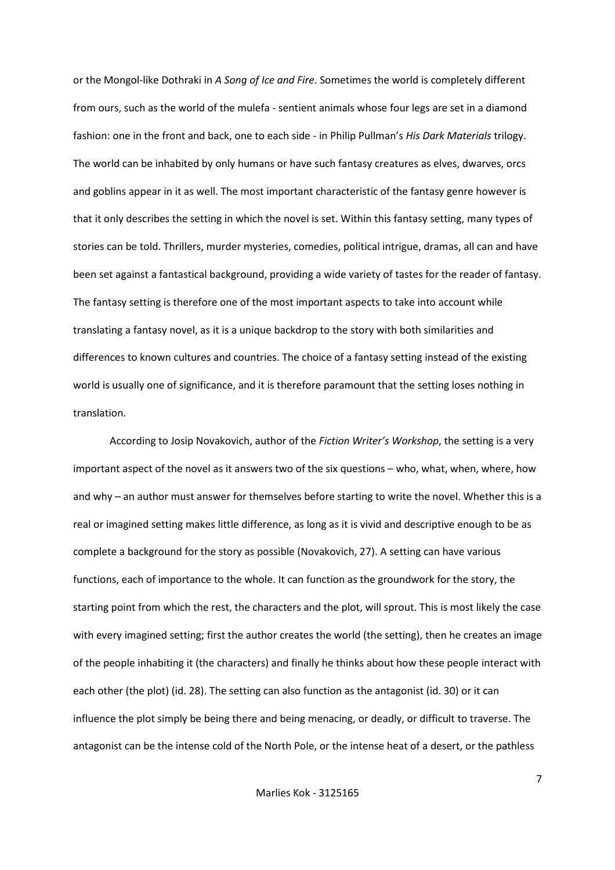or the Mongol-like Dothraki in *A Song of Ice and Fire*. Sometimes the world is completely different from ours, such as the world of the mulefa - sentient animals whose four legs are set in a diamond fashion: one in the front and back, one to each side - in Philip Pullman's *His Dark Materials* trilogy. The world can be inhabited by only humans or have such fantasy creatures as elves, dwarves, orcs and goblins appear in it as well. The most important characteristic of the fantasy genre however is that it only describes the setting in which the novel is set. Within this fantasy setting, many types of stories can be told. Thrillers, murder mysteries, comedies, political intrigue, dramas, all can and have been set against a fantastical background, providing a wide variety of tastes for the reader of fantasy. The fantasy setting is therefore one of the most important aspects to take into account while translating a fantasy novel, as it is a unique backdrop to the story with both similarities and differences to known cultures and countries. The choice of a fantasy setting instead of the existing world is usually one of significance, and it is therefore paramount that the setting loses nothing in translation.

According to Josip Novakovich, author of the *Fiction Writer's Workshop*, the setting is a very important aspect of the novel as it answers two of the six questions – who, what, when, where, how and why – an author must answer for themselves before starting to write the novel. Whether this is a real or imagined setting makes little difference, as long as it is vivid and descriptive enough to be as complete a background for the story as possible (Novakovich, 27). A setting can have various functions, each of importance to the whole. It can function as the groundwork for the story, the starting point from which the rest, the characters and the plot, will sprout. This is most likely the case with every imagined setting; first the author creates the world (the setting), then he creates an image of the people inhabiting it (the characters) and finally he thinks about how these people interact with each other (the plot) (id. 28). The setting can also function as the antagonist (id. 30) or it can influence the plot simply be being there and being menacing, or deadly, or difficult to traverse. The antagonist can be the intense cold of the North Pole, or the intense heat of a desert, or the pathless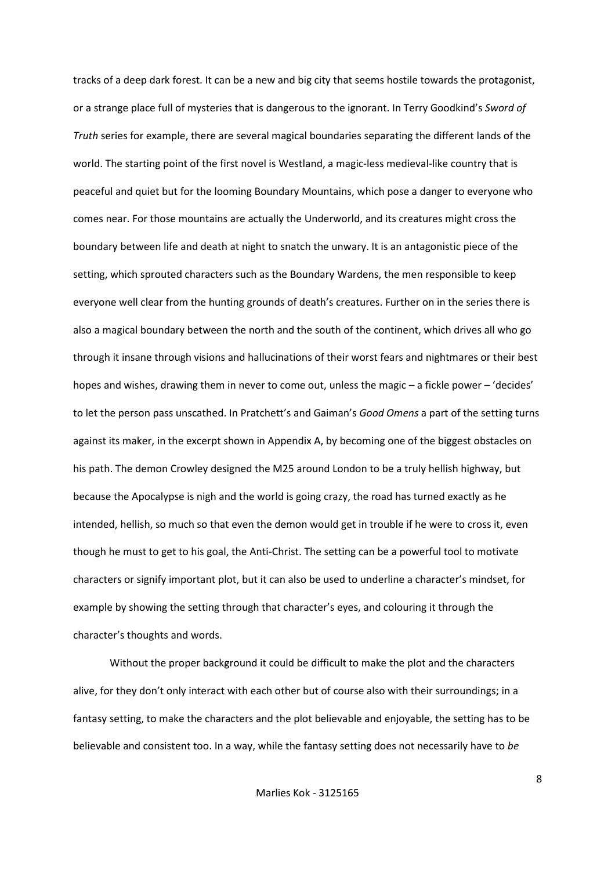tracks of a deep dark forest. It can be a new and big city that seems hostile towards the protagonist, or a strange place full of mysteries that is dangerous to the ignorant. In Terry Goodkind's *Sword of Truth* series for example, there are several magical boundaries separating the different lands of the world. The starting point of the first novel is Westland, a magic-less medieval-like country that is peaceful and quiet but for the looming Boundary Mountains, which pose a danger to everyone who comes near. For those mountains are actually the Underworld, and its creatures might cross the boundary between life and death at night to snatch the unwary. It is an antagonistic piece of the setting, which sprouted characters such as the Boundary Wardens, the men responsible to keep everyone well clear from the hunting grounds of death's creatures. Further on in the series there is also a magical boundary between the north and the south of the continent, which drives all who go through it insane through visions and hallucinations of their worst fears and nightmares or their best hopes and wishes, drawing them in never to come out, unless the magic – a fickle power – 'decides' to let the person pass unscathed. In Pratchett's and Gaiman's *Good Omens* a part of the setting turns against its maker, in the excerpt shown in Appendix A, by becoming one of the biggest obstacles on his path. The demon Crowley designed the M25 around London to be a truly hellish highway, but because the Apocalypse is nigh and the world is going crazy, the road has turned exactly as he intended, hellish, so much so that even the demon would get in trouble if he were to cross it, even though he must to get to his goal, the Anti-Christ. The setting can be a powerful tool to motivate characters or signify important plot, but it can also be used to underline a character's mindset, for example by showing the setting through that character's eyes, and colouring it through the character's thoughts and words.

Without the proper background it could be difficult to make the plot and the characters alive, for they don't only interact with each other but of course also with their surroundings; in a fantasy setting, to make the characters and the plot believable and enjoyable, the setting has to be believable and consistent too. In a way, while the fantasy setting does not necessarily have to *be*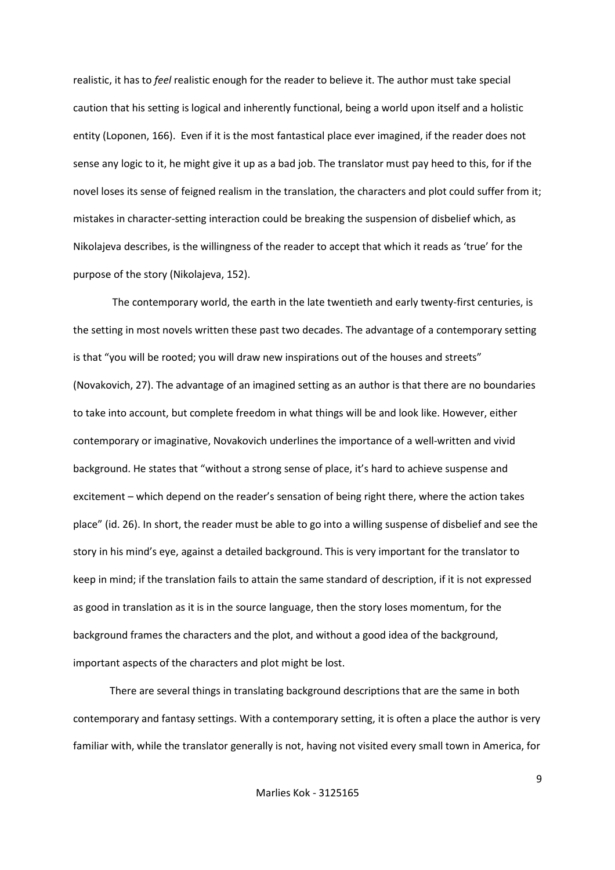realistic, it has to *feel* realistic enough for the reader to believe it. The author must take special caution that his setting is logical and inherently functional, being a world upon itself and a holistic entity (Loponen, 166). Even if it is the most fantastical place ever imagined, if the reader does not sense any logic to it, he might give it up as a bad job. The translator must pay heed to this, for if the novel loses its sense of feigned realism in the translation, the characters and plot could suffer from it; mistakes in character-setting interaction could be breaking the suspension of disbelief which, as Nikolajeva describes, is the willingness of the reader to accept that which it reads as 'true' for the purpose of the story (Nikolajeva, 152).

 The contemporary world, the earth in the late twentieth and early twenty-first centuries, is the setting in most novels written these past two decades. The advantage of a contemporary setting is that "you will be rooted; you will draw new inspirations out of the houses and streets" (Novakovich, 27). The advantage of an imagined setting as an author is that there are no boundaries to take into account, but complete freedom in what things will be and look like. However, either contemporary or imaginative, Novakovich underlines the importance of a well-written and vivid background. He states that "without a strong sense of place, it's hard to achieve suspense and excitement – which depend on the reader's sensation of being right there, where the action takes place" (id. 26). In short, the reader must be able to go into a willing suspense of disbelief and see the story in his mind's eye, against a detailed background. This is very important for the translator to keep in mind; if the translation fails to attain the same standard of description, if it is not expressed as good in translation as it is in the source language, then the story loses momentum, for the background frames the characters and the plot, and without a good idea of the background, important aspects of the characters and plot might be lost.

 There are several things in translating background descriptions that are the same in both contemporary and fantasy settings. With a contemporary setting, it is often a place the author is very familiar with, while the translator generally is not, having not visited every small town in America, for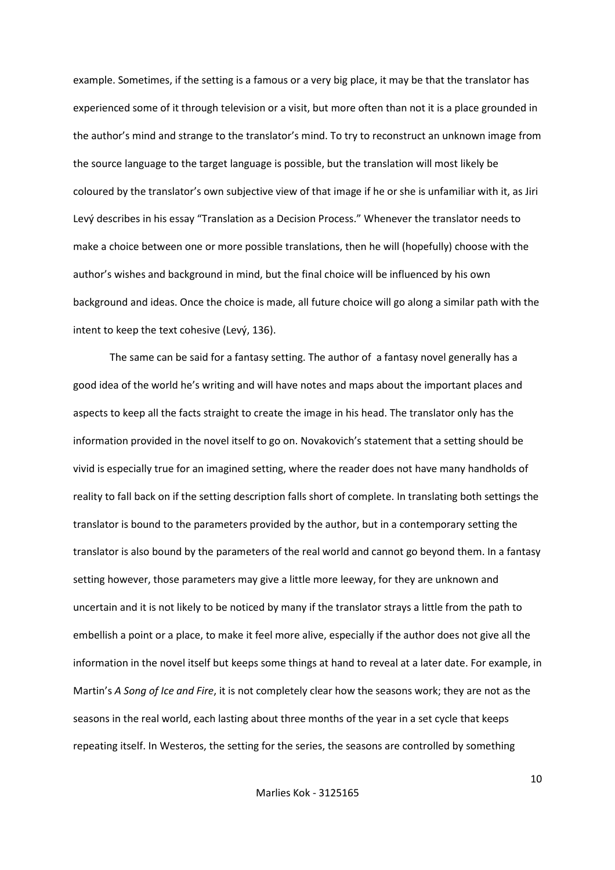example. Sometimes, if the setting is a famous or a very big place, it may be that the translator has experienced some of it through television or a visit, but more often than not it is a place grounded in the author's mind and strange to the translator's mind. To try to reconstruct an unknown image from the source language to the target language is possible, but the translation will most likely be coloured by the translator's own subjective view of that image if he or she is unfamiliar with it, as Jiri Levý describes in his essay "Translation as a Decision Process." Whenever the translator needs to make a choice between one or more possible translations, then he will (hopefully) choose with the author's wishes and background in mind, but the final choice will be influenced by his own background and ideas. Once the choice is made, all future choice will go along a similar path with the intent to keep the text cohesive (Levý, 136).

The same can be said for a fantasy setting. The author of a fantasy novel generally has a good idea of the world he's writing and will have notes and maps about the important places and aspects to keep all the facts straight to create the image in his head. The translator only has the information provided in the novel itself to go on. Novakovich's statement that a setting should be vivid is especially true for an imagined setting, where the reader does not have many handholds of reality to fall back on if the setting description falls short of complete. In translating both settings the translator is bound to the parameters provided by the author, but in a contemporary setting the translator is also bound by the parameters of the real world and cannot go beyond them. In a fantasy setting however, those parameters may give a little more leeway, for they are unknown and uncertain and it is not likely to be noticed by many if the translator strays a little from the path to embellish a point or a place, to make it feel more alive, especially if the author does not give all the information in the novel itself but keeps some things at hand to reveal at a later date. For example, in Martin's *A Song of Ice and Fire*, it is not completely clear how the seasons work; they are not as the seasons in the real world, each lasting about three months of the year in a set cycle that keeps repeating itself. In Westeros, the setting for the series, the seasons are controlled by something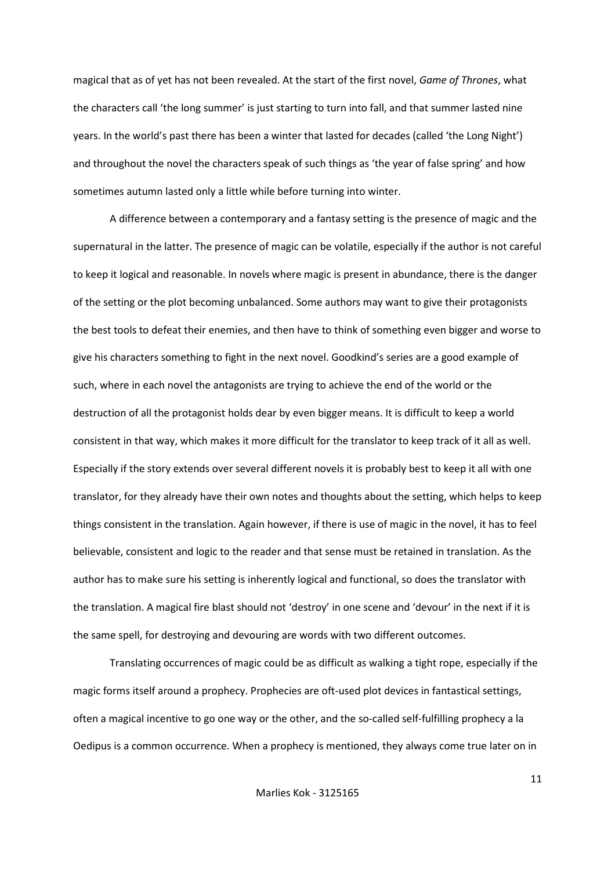magical that as of yet has not been revealed. At the start of the first novel, *Game of Thrones*, what the characters call 'the long summer' is just starting to turn into fall, and that summer lasted nine years. In the world's past there has been a winter that lasted for decades (called 'the Long Night') and throughout the novel the characters speak of such things as 'the year of false spring' and how sometimes autumn lasted only a little while before turning into winter.

A difference between a contemporary and a fantasy setting is the presence of magic and the supernatural in the latter. The presence of magic can be volatile, especially if the author is not careful to keep it logical and reasonable. In novels where magic is present in abundance, there is the danger of the setting or the plot becoming unbalanced. Some authors may want to give their protagonists the best tools to defeat their enemies, and then have to think of something even bigger and worse to give his characters something to fight in the next novel. Goodkind's series are a good example of such, where in each novel the antagonists are trying to achieve the end of the world or the destruction of all the protagonist holds dear by even bigger means. It is difficult to keep a world consistent in that way, which makes it more difficult for the translator to keep track of it all as well. Especially if the story extends over several different novels it is probably best to keep it all with one translator, for they already have their own notes and thoughts about the setting, which helps to keep things consistent in the translation. Again however, if there is use of magic in the novel, it has to feel believable, consistent and logic to the reader and that sense must be retained in translation. As the author has to make sure his setting is inherently logical and functional, so does the translator with the translation. A magical fire blast should not 'destroy' in one scene and 'devour' in the next if it is the same spell, for destroying and devouring are words with two different outcomes.

Translating occurrences of magic could be as difficult as walking a tight rope, especially if the magic forms itself around a prophecy. Prophecies are oft-used plot devices in fantastical settings, often a magical incentive to go one way or the other, and the so-called self-fulfilling prophecy a la Oedipus is a common occurrence. When a prophecy is mentioned, they always come true later on in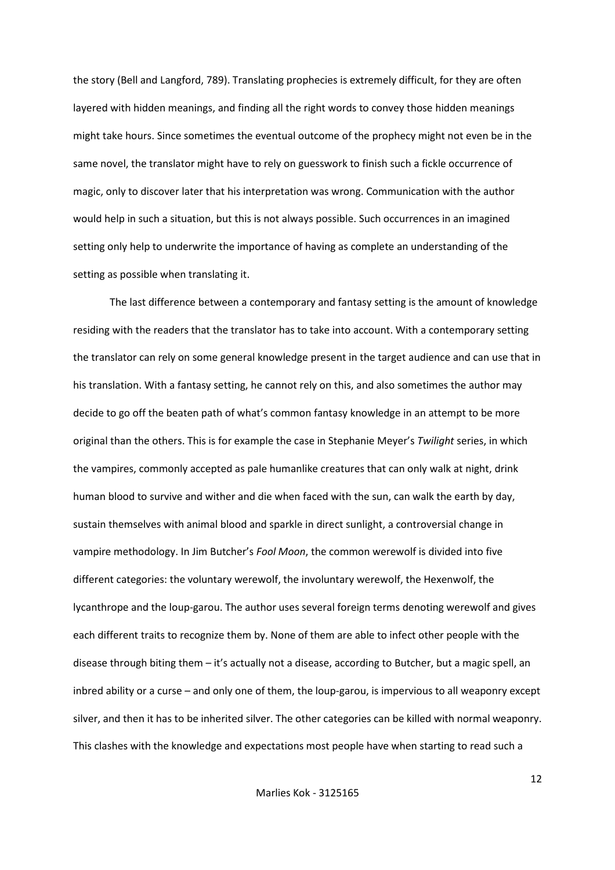the story (Bell and Langford, 789). Translating prophecies is extremely difficult, for they are often layered with hidden meanings, and finding all the right words to convey those hidden meanings might take hours. Since sometimes the eventual outcome of the prophecy might not even be in the same novel, the translator might have to rely on guesswork to finish such a fickle occurrence of magic, only to discover later that his interpretation was wrong. Communication with the author would help in such a situation, but this is not always possible. Such occurrences in an imagined setting only help to underwrite the importance of having as complete an understanding of the setting as possible when translating it.

The last difference between a contemporary and fantasy setting is the amount of knowledge residing with the readers that the translator has to take into account. With a contemporary setting the translator can rely on some general knowledge present in the target audience and can use that in his translation. With a fantasy setting, he cannot rely on this, and also sometimes the author may decide to go off the beaten path of what's common fantasy knowledge in an attempt to be more original than the others. This is for example the case in Stephanie Meyer's *Twilight* series, in which the vampires, commonly accepted as pale humanlike creatures that can only walk at night, drink human blood to survive and wither and die when faced with the sun, can walk the earth by day, sustain themselves with animal blood and sparkle in direct sunlight, a controversial change in vampire methodology. In Jim Butcher's *Fool Moon*, the common werewolf is divided into five different categories: the voluntary werewolf, the involuntary werewolf, the Hexenwolf, the lycanthrope and the loup-garou. The author uses several foreign terms denoting werewolf and gives each different traits to recognize them by. None of them are able to infect other people with the disease through biting them – it's actually not a disease, according to Butcher, but a magic spell, an inbred ability or a curse – and only one of them, the loup-garou, is impervious to all weaponry except silver, and then it has to be inherited silver. The other categories can be killed with normal weaponry. This clashes with the knowledge and expectations most people have when starting to read such a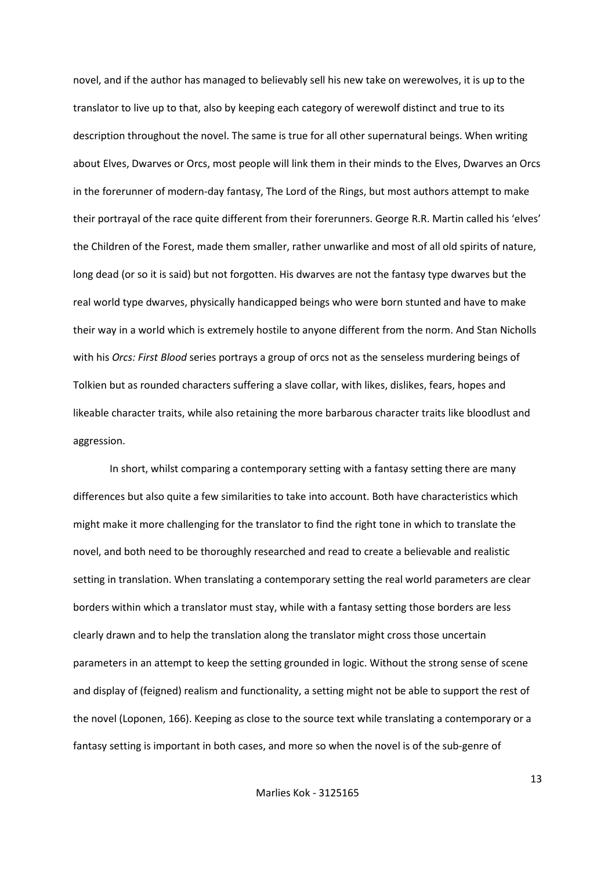novel, and if the author has managed to believably sell his new take on werewolves, it is up to the translator to live up to that, also by keeping each category of werewolf distinct and true to its description throughout the novel. The same is true for all other supernatural beings. When writing about Elves, Dwarves or Orcs, most people will link them in their minds to the Elves, Dwarves an Orcs in the forerunner of modern-day fantasy, The Lord of the Rings, but most authors attempt to make their portrayal of the race quite different from their forerunners. George R.R. Martin called his 'elves' the Children of the Forest, made them smaller, rather unwarlike and most of all old spirits of nature, long dead (or so it is said) but not forgotten. His dwarves are not the fantasy type dwarves but the real world type dwarves, physically handicapped beings who were born stunted and have to make their way in a world which is extremely hostile to anyone different from the norm. And Stan Nicholls with his *Orcs: First Blood* series portrays a group of orcs not as the senseless murdering beings of Tolkien but as rounded characters suffering a slave collar, with likes, dislikes, fears, hopes and likeable character traits, while also retaining the more barbarous character traits like bloodlust and aggression.

In short, whilst comparing a contemporary setting with a fantasy setting there are many differences but also quite a few similarities to take into account. Both have characteristics which might make it more challenging for the translator to find the right tone in which to translate the novel, and both need to be thoroughly researched and read to create a believable and realistic setting in translation. When translating a contemporary setting the real world parameters are clear borders within which a translator must stay, while with a fantasy setting those borders are less clearly drawn and to help the translation along the translator might cross those uncertain parameters in an attempt to keep the setting grounded in logic. Without the strong sense of scene and display of (feigned) realism and functionality, a setting might not be able to support the rest of the novel (Loponen, 166). Keeping as close to the source text while translating a contemporary or a fantasy setting is important in both cases, and more so when the novel is of the sub-genre of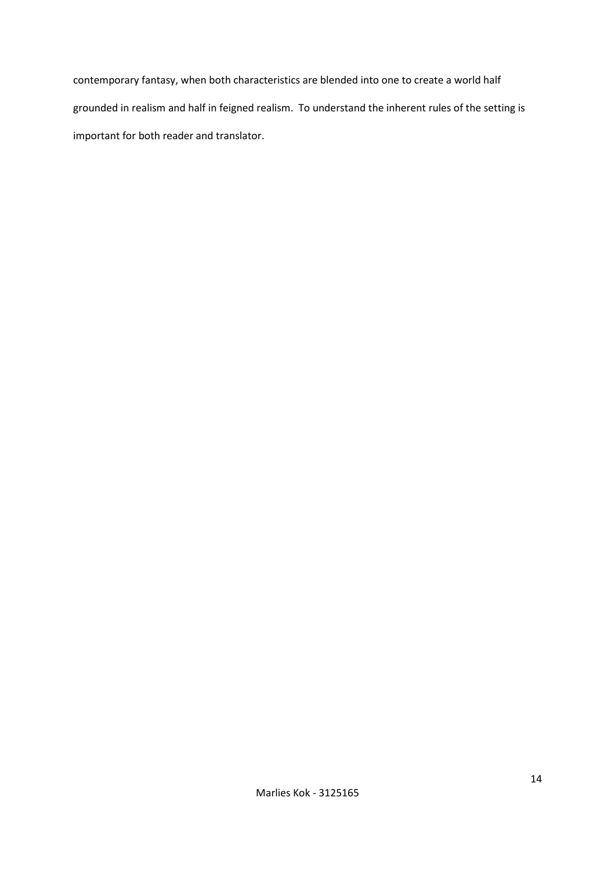contemporary fantasy, when both characteristics are blended into one to create a world half grounded in realism and half in feigned realism. To understand the inherent rules of the setting is important for both reader and translator.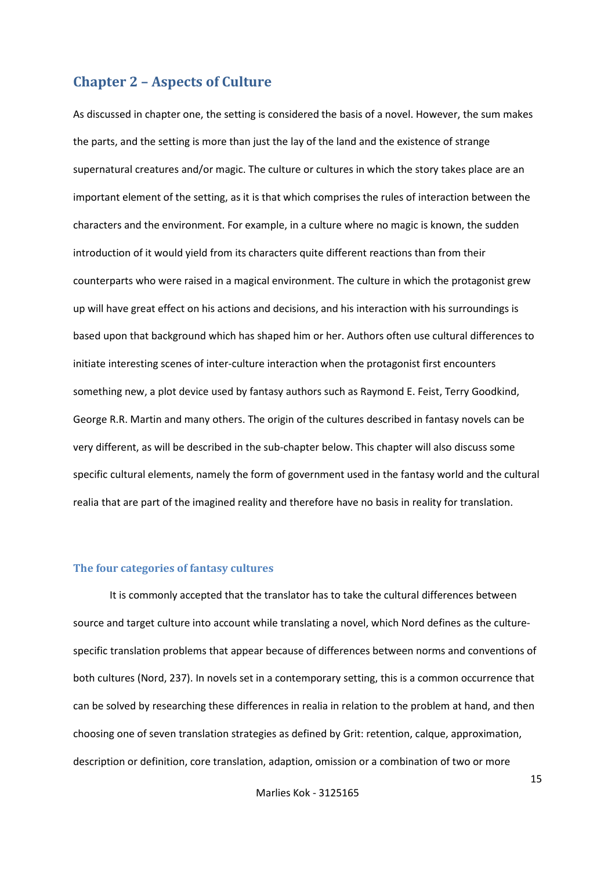## **Chapter 2 – Aspects of Culture**

As discussed in chapter one, the setting is considered the basis of a novel. However, the sum makes the parts, and the setting is more than just the lay of the land and the existence of strange supernatural creatures and/or magic. The culture or cultures in which the story takes place are an important element of the setting, as it is that which comprises the rules of interaction between the characters and the environment. For example, in a culture where no magic is known, the sudden introduction of it would yield from its characters quite different reactions than from their counterparts who were raised in a magical environment. The culture in which the protagonist grew up will have great effect on his actions and decisions, and his interaction with his surroundings is based upon that background which has shaped him or her. Authors often use cultural differences to initiate interesting scenes of inter-culture interaction when the protagonist first encounters something new, a plot device used by fantasy authors such as Raymond E. Feist, Terry Goodkind, George R.R. Martin and many others. The origin of the cultures described in fantasy novels can be very different, as will be described in the sub-chapter below. This chapter will also discuss some specific cultural elements, namely the form of government used in the fantasy world and the cultural realia that are part of the imagined reality and therefore have no basis in reality for translation.

#### **The four categories of fantasy cultures**

It is commonly accepted that the translator has to take the cultural differences between source and target culture into account while translating a novel, which Nord defines as the culturespecific translation problems that appear because of differences between norms and conventions of both cultures (Nord, 237). In novels set in a contemporary setting, this is a common occurrence that can be solved by researching these differences in realia in relation to the problem at hand, and then choosing one of seven translation strategies as defined by Grit: retention, calque, approximation, description or definition, core translation, adaption, omission or a combination of two or more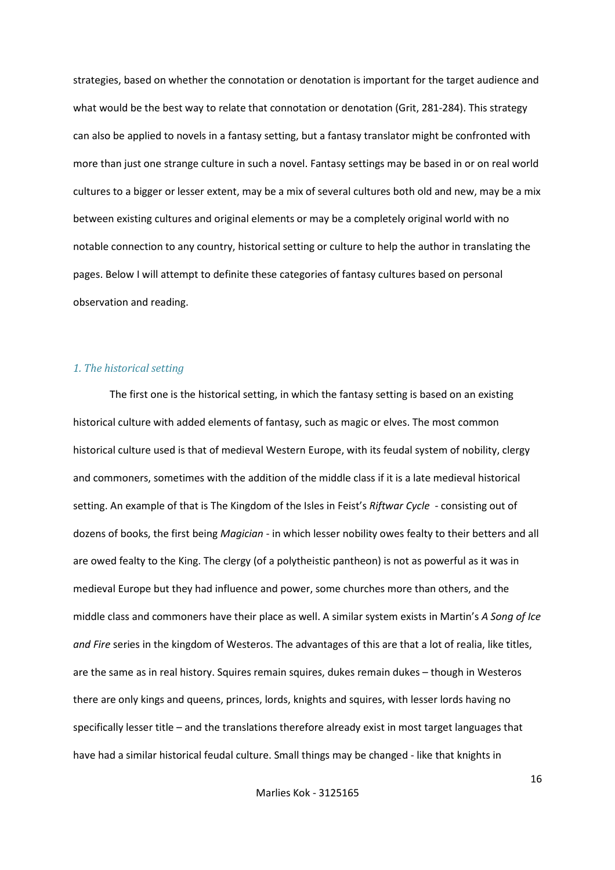strategies, based on whether the connotation or denotation is important for the target audience and what would be the best way to relate that connotation or denotation (Grit, 281-284). This strategy can also be applied to novels in a fantasy setting, but a fantasy translator might be confronted with more than just one strange culture in such a novel. Fantasy settings may be based in or on real world cultures to a bigger or lesser extent, may be a mix of several cultures both old and new, may be a mix between existing cultures and original elements or may be a completely original world with no notable connection to any country, historical setting or culture to help the author in translating the pages. Below I will attempt to definite these categories of fantasy cultures based on personal observation and reading.

#### *1. The historical setting*

The first one is the historical setting, in which the fantasy setting is based on an existing historical culture with added elements of fantasy, such as magic or elves. The most common historical culture used is that of medieval Western Europe, with its feudal system of nobility, clergy and commoners, sometimes with the addition of the middle class if it is a late medieval historical setting. An example of that is The Kingdom of the Isles in Feist's *Riftwar Cycle* - consisting out of dozens of books, the first being *Magician* - in which lesser nobility owes fealty to their betters and all are owed fealty to the King. The clergy (of a polytheistic pantheon) is not as powerful as it was in medieval Europe but they had influence and power, some churches more than others, and the middle class and commoners have their place as well. A similar system exists in Martin's *A Song of Ice and Fire* series in the kingdom of Westeros. The advantages of this are that a lot of realia, like titles, are the same as in real history. Squires remain squires, dukes remain dukes – though in Westeros there are only kings and queens, princes, lords, knights and squires, with lesser lords having no specifically lesser title – and the translations therefore already exist in most target languages that have had a similar historical feudal culture. Small things may be changed - like that knights in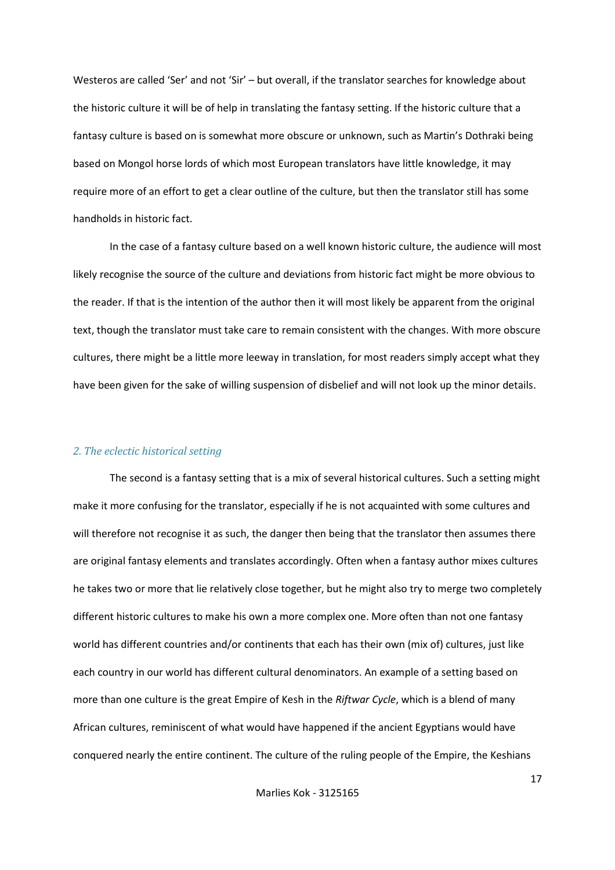Westeros are called 'Ser' and not 'Sir' – but overall, if the translator searches for knowledge about the historic culture it will be of help in translating the fantasy setting. If the historic culture that a fantasy culture is based on is somewhat more obscure or unknown, such as Martin's Dothraki being based on Mongol horse lords of which most European translators have little knowledge, it may require more of an effort to get a clear outline of the culture, but then the translator still has some handholds in historic fact.

In the case of a fantasy culture based on a well known historic culture, the audience will most likely recognise the source of the culture and deviations from historic fact might be more obvious to the reader. If that is the intention of the author then it will most likely be apparent from the original text, though the translator must take care to remain consistent with the changes. With more obscure cultures, there might be a little more leeway in translation, for most readers simply accept what they have been given for the sake of willing suspension of disbelief and will not look up the minor details.

#### *2. The eclectic historical setting*

The second is a fantasy setting that is a mix of several historical cultures. Such a setting might make it more confusing for the translator, especially if he is not acquainted with some cultures and will therefore not recognise it as such, the danger then being that the translator then assumes there are original fantasy elements and translates accordingly. Often when a fantasy author mixes cultures he takes two or more that lie relatively close together, but he might also try to merge two completely different historic cultures to make his own a more complex one. More often than not one fantasy world has different countries and/or continents that each has their own (mix of) cultures, just like each country in our world has different cultural denominators. An example of a setting based on more than one culture is the great Empire of Kesh in the *Riftwar Cycle*, which is a blend of many African cultures, reminiscent of what would have happened if the ancient Egyptians would have conquered nearly the entire continent. The culture of the ruling people of the Empire, the Keshians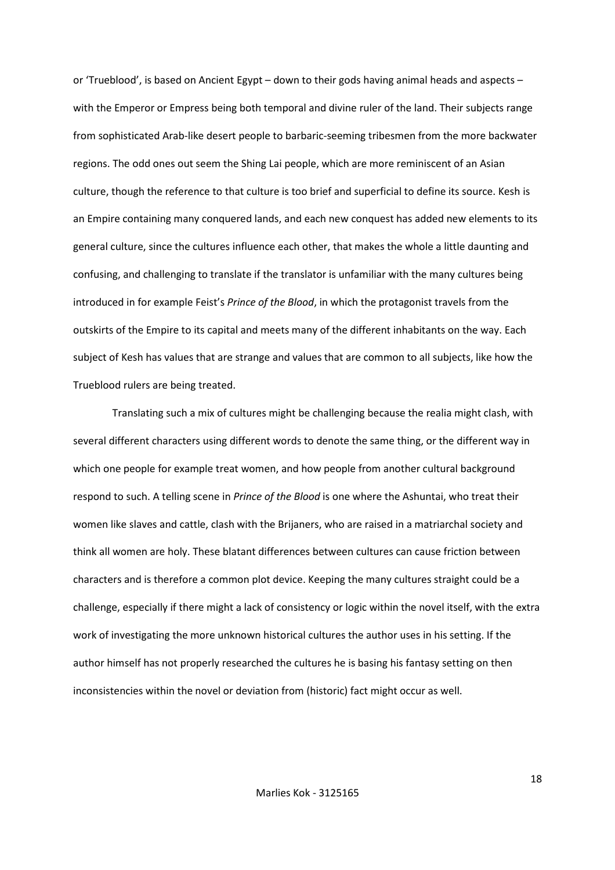or 'Trueblood', is based on Ancient Egypt – down to their gods having animal heads and aspects – with the Emperor or Empress being both temporal and divine ruler of the land. Their subjects range from sophisticated Arab-like desert people to barbaric-seeming tribesmen from the more backwater regions. The odd ones out seem the Shing Lai people, which are more reminiscent of an Asian culture, though the reference to that culture is too brief and superficial to define its source. Kesh is an Empire containing many conquered lands, and each new conquest has added new elements to its general culture, since the cultures influence each other, that makes the whole a little daunting and confusing, and challenging to translate if the translator is unfamiliar with the many cultures being introduced in for example Feist's *Prince of the Blood*, in which the protagonist travels from the outskirts of the Empire to its capital and meets many of the different inhabitants on the way. Each subject of Kesh has values that are strange and values that are common to all subjects, like how the Trueblood rulers are being treated.

 Translating such a mix of cultures might be challenging because the realia might clash, with several different characters using different words to denote the same thing, or the different way in which one people for example treat women, and how people from another cultural background respond to such. A telling scene in *Prince of the Blood* is one where the Ashuntai, who treat their women like slaves and cattle, clash with the Brijaners, who are raised in a matriarchal society and think all women are holy. These blatant differences between cultures can cause friction between characters and is therefore a common plot device. Keeping the many cultures straight could be a challenge, especially if there might a lack of consistency or logic within the novel itself, with the extra work of investigating the more unknown historical cultures the author uses in his setting. If the author himself has not properly researched the cultures he is basing his fantasy setting on then inconsistencies within the novel or deviation from (historic) fact might occur as well.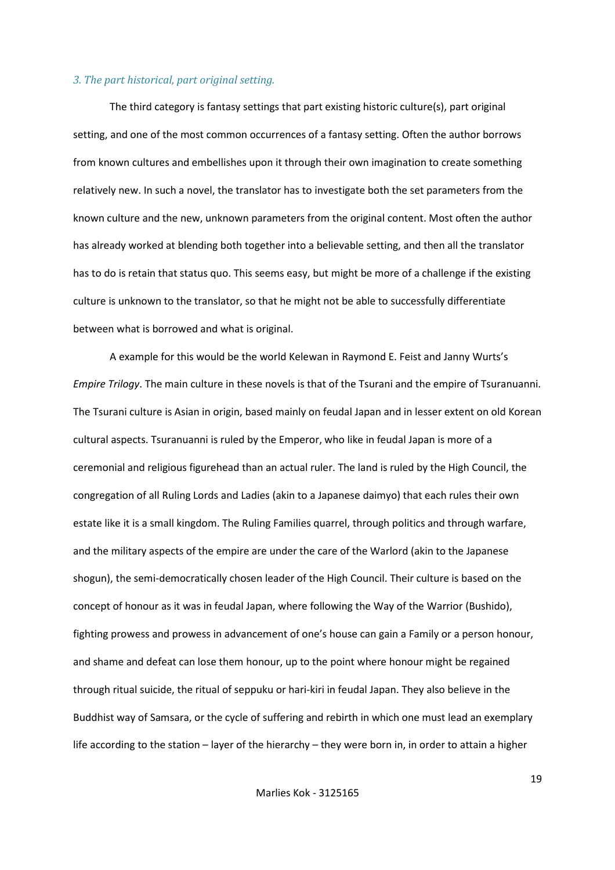#### *3. The part historical, part original setting.*

The third category is fantasy settings that part existing historic culture(s), part original setting, and one of the most common occurrences of a fantasy setting. Often the author borrows from known cultures and embellishes upon it through their own imagination to create something relatively new. In such a novel, the translator has to investigate both the set parameters from the known culture and the new, unknown parameters from the original content. Most often the author has already worked at blending both together into a believable setting, and then all the translator has to do is retain that status quo. This seems easy, but might be more of a challenge if the existing culture is unknown to the translator, so that he might not be able to successfully differentiate between what is borrowed and what is original.

A example for this would be the world Kelewan in Raymond E. Feist and Janny Wurts's *Empire Trilogy*. The main culture in these novels is that of the Tsurani and the empire of Tsuranuanni. The Tsurani culture is Asian in origin, based mainly on feudal Japan and in lesser extent on old Korean cultural aspects. Tsuranuanni is ruled by the Emperor, who like in feudal Japan is more of a ceremonial and religious figurehead than an actual ruler. The land is ruled by the High Council, the congregation of all Ruling Lords and Ladies (akin to a Japanese daimyo) that each rules their own estate like it is a small kingdom. The Ruling Families quarrel, through politics and through warfare, and the military aspects of the empire are under the care of the Warlord (akin to the Japanese shogun), the semi-democratically chosen leader of the High Council. Their culture is based on the concept of honour as it was in feudal Japan, where following the Way of the Warrior (Bushido), fighting prowess and prowess in advancement of one's house can gain a Family or a person honour, and shame and defeat can lose them honour, up to the point where honour might be regained through ritual suicide, the ritual of seppuku or hari-kiri in feudal Japan. They also believe in the Buddhist way of Samsara, or the cycle of suffering and rebirth in which one must lead an exemplary life according to the station – layer of the hierarchy – they were born in, in order to attain a higher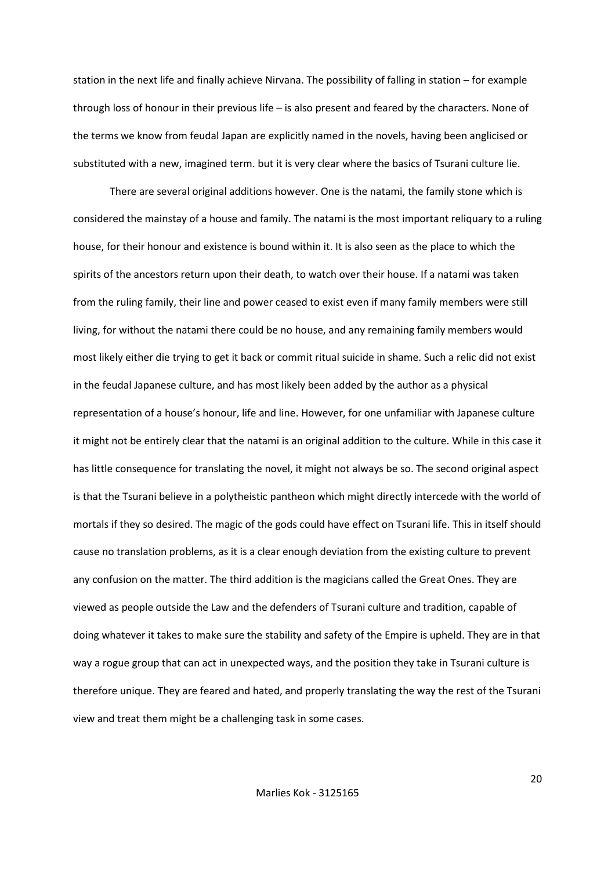station in the next life and finally achieve Nirvana. The possibility of falling in station – for example through loss of honour in their previous life – is also present and feared by the characters. None of the terms we know from feudal Japan are explicitly named in the novels, having been anglicised or substituted with a new, imagined term. but it is very clear where the basics of Tsurani culture lie.

 There are several original additions however. One is the natami, the family stone which is considered the mainstay of a house and family. The natami is the most important reliquary to a ruling house, for their honour and existence is bound within it. It is also seen as the place to which the spirits of the ancestors return upon their death, to watch over their house. If a natami was taken from the ruling family, their line and power ceased to exist even if many family members were still living, for without the natami there could be no house, and any remaining family members would most likely either die trying to get it back or commit ritual suicide in shame. Such a relic did not exist in the feudal Japanese culture, and has most likely been added by the author as a physical representation of a house's honour, life and line. However, for one unfamiliar with Japanese culture it might not be entirely clear that the natami is an original addition to the culture. While in this case it has little consequence for translating the novel, it might not always be so. The second original aspect is that the Tsurani believe in a polytheistic pantheon which might directly intercede with the world of mortals if they so desired. The magic of the gods could have effect on Tsurani life. This in itself should cause no translation problems, as it is a clear enough deviation from the existing culture to prevent any confusion on the matter. The third addition is the magicians called the Great Ones. They are viewed as people outside the Law and the defenders of Tsurani culture and tradition, capable of doing whatever it takes to make sure the stability and safety of the Empire is upheld. They are in that way a rogue group that can act in unexpected ways, and the position they take in Tsurani culture is therefore unique. They are feared and hated, and properly translating the way the rest of the Tsurani view and treat them might be a challenging task in some cases.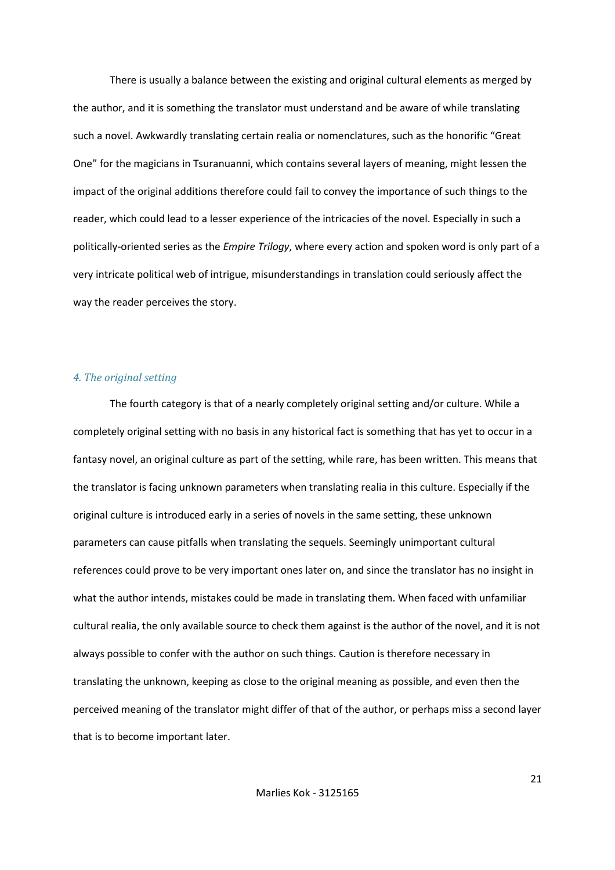There is usually a balance between the existing and original cultural elements as merged by the author, and it is something the translator must understand and be aware of while translating such a novel. Awkwardly translating certain realia or nomenclatures, such as the honorific "Great One" for the magicians in Tsuranuanni, which contains several layers of meaning, might lessen the impact of the original additions therefore could fail to convey the importance of such things to the reader, which could lead to a lesser experience of the intricacies of the novel. Especially in such a politically-oriented series as the *Empire Trilogy*, where every action and spoken word is only part of a very intricate political web of intrigue, misunderstandings in translation could seriously affect the way the reader perceives the story.

#### *4. The original setting*

 The fourth category is that of a nearly completely original setting and/or culture. While a completely original setting with no basis in any historical fact is something that has yet to occur in a fantasy novel, an original culture as part of the setting, while rare, has been written. This means that the translator is facing unknown parameters when translating realia in this culture. Especially if the original culture is introduced early in a series of novels in the same setting, these unknown parameters can cause pitfalls when translating the sequels. Seemingly unimportant cultural references could prove to be very important ones later on, and since the translator has no insight in what the author intends, mistakes could be made in translating them. When faced with unfamiliar cultural realia, the only available source to check them against is the author of the novel, and it is not always possible to confer with the author on such things. Caution is therefore necessary in translating the unknown, keeping as close to the original meaning as possible, and even then the perceived meaning of the translator might differ of that of the author, or perhaps miss a second layer that is to become important later.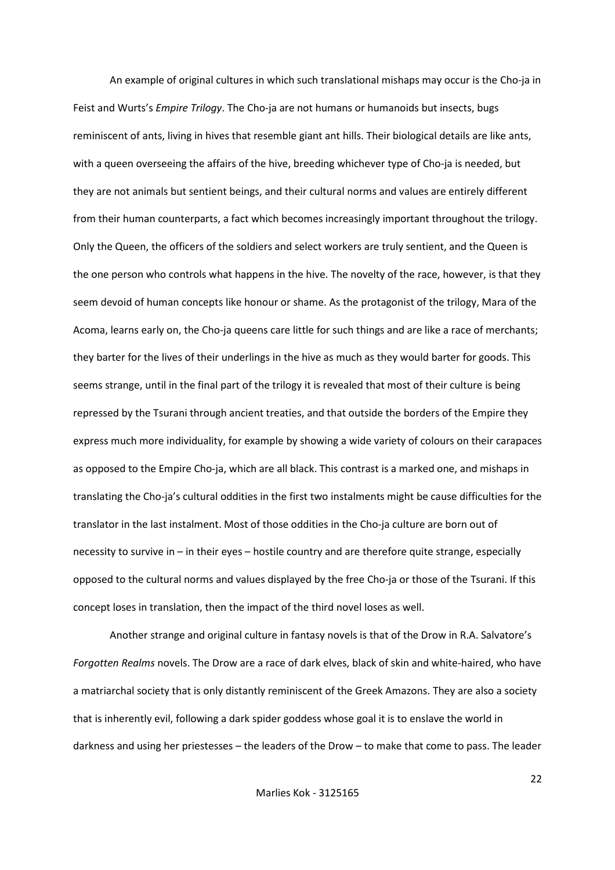An example of original cultures in which such translational mishaps may occur is the Cho-ja in Feist and Wurts's *Empire Trilogy*. The Cho-ja are not humans or humanoids but insects, bugs reminiscent of ants, living in hives that resemble giant ant hills. Their biological details are like ants, with a queen overseeing the affairs of the hive, breeding whichever type of Cho-ja is needed, but they are not animals but sentient beings, and their cultural norms and values are entirely different from their human counterparts, a fact which becomes increasingly important throughout the trilogy. Only the Queen, the officers of the soldiers and select workers are truly sentient, and the Queen is the one person who controls what happens in the hive. The novelty of the race, however, is that they seem devoid of human concepts like honour or shame. As the protagonist of the trilogy, Mara of the Acoma, learns early on, the Cho-ja queens care little for such things and are like a race of merchants; they barter for the lives of their underlings in the hive as much as they would barter for goods. This seems strange, until in the final part of the trilogy it is revealed that most of their culture is being repressed by the Tsurani through ancient treaties, and that outside the borders of the Empire they express much more individuality, for example by showing a wide variety of colours on their carapaces as opposed to the Empire Cho-ja, which are all black. This contrast is a marked one, and mishaps in translating the Cho-ja's cultural oddities in the first two instalments might be cause difficulties for the translator in the last instalment. Most of those oddities in the Cho-ja culture are born out of necessity to survive in – in their eyes – hostile country and are therefore quite strange, especially opposed to the cultural norms and values displayed by the free Cho-ja or those of the Tsurani. If this concept loses in translation, then the impact of the third novel loses as well.

 Another strange and original culture in fantasy novels is that of the Drow in R.A. Salvatore's *Forgotten Realms* novels. The Drow are a race of dark elves, black of skin and white-haired, who have a matriarchal society that is only distantly reminiscent of the Greek Amazons. They are also a society that is inherently evil, following a dark spider goddess whose goal it is to enslave the world in darkness and using her priestesses – the leaders of the Drow – to make that come to pass. The leader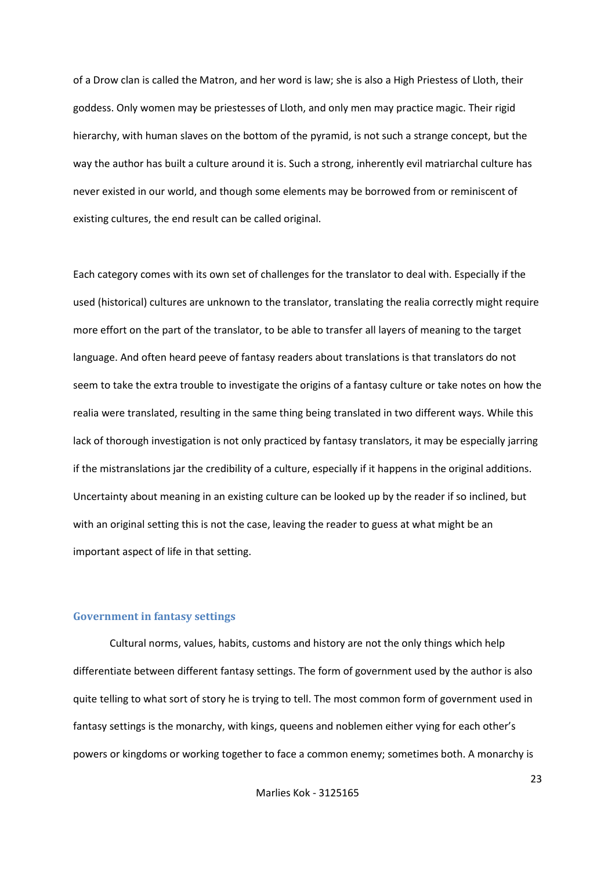of a Drow clan is called the Matron, and her word is law; she is also a High Priestess of Lloth, their goddess. Only women may be priestesses of Lloth, and only men may practice magic. Their rigid hierarchy, with human slaves on the bottom of the pyramid, is not such a strange concept, but the way the author has built a culture around it is. Such a strong, inherently evil matriarchal culture has never existed in our world, and though some elements may be borrowed from or reminiscent of existing cultures, the end result can be called original.

Each category comes with its own set of challenges for the translator to deal with. Especially if the used (historical) cultures are unknown to the translator, translating the realia correctly might require more effort on the part of the translator, to be able to transfer all layers of meaning to the target language. And often heard peeve of fantasy readers about translations is that translators do not seem to take the extra trouble to investigate the origins of a fantasy culture or take notes on how the realia were translated, resulting in the same thing being translated in two different ways. While this lack of thorough investigation is not only practiced by fantasy translators, it may be especially jarring if the mistranslations jar the credibility of a culture, especially if it happens in the original additions. Uncertainty about meaning in an existing culture can be looked up by the reader if so inclined, but with an original setting this is not the case, leaving the reader to guess at what might be an important aspect of life in that setting.

#### **Government in fantasy settings**

 Cultural norms, values, habits, customs and history are not the only things which help differentiate between different fantasy settings. The form of government used by the author is also quite telling to what sort of story he is trying to tell. The most common form of government used in fantasy settings is the monarchy, with kings, queens and noblemen either vying for each other's powers or kingdoms or working together to face a common enemy; sometimes both. A monarchy is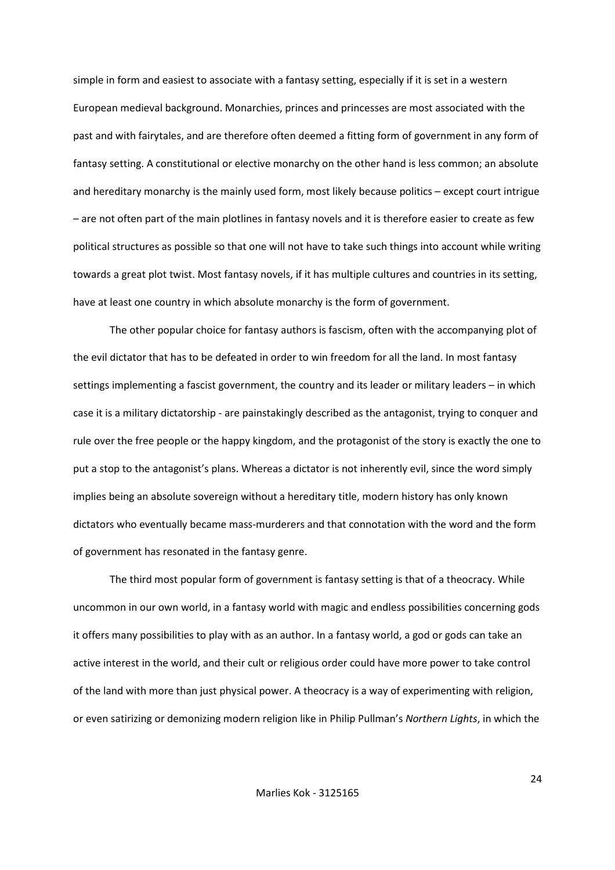simple in form and easiest to associate with a fantasy setting, especially if it is set in a western European medieval background. Monarchies, princes and princesses are most associated with the past and with fairytales, and are therefore often deemed a fitting form of government in any form of fantasy setting. A constitutional or elective monarchy on the other hand is less common; an absolute and hereditary monarchy is the mainly used form, most likely because politics – except court intrigue – are not often part of the main plotlines in fantasy novels and it is therefore easier to create as few political structures as possible so that one will not have to take such things into account while writing towards a great plot twist. Most fantasy novels, if it has multiple cultures and countries in its setting, have at least one country in which absolute monarchy is the form of government.

 The other popular choice for fantasy authors is fascism, often with the accompanying plot of the evil dictator that has to be defeated in order to win freedom for all the land. In most fantasy settings implementing a fascist government, the country and its leader or military leaders – in which case it is a military dictatorship - are painstakingly described as the antagonist, trying to conquer and rule over the free people or the happy kingdom, and the protagonist of the story is exactly the one to put a stop to the antagonist's plans. Whereas a dictator is not inherently evil, since the word simply implies being an absolute sovereign without a hereditary title, modern history has only known dictators who eventually became mass-murderers and that connotation with the word and the form of government has resonated in the fantasy genre.

 The third most popular form of government is fantasy setting is that of a theocracy. While uncommon in our own world, in a fantasy world with magic and endless possibilities concerning gods it offers many possibilities to play with as an author. In a fantasy world, a god or gods can take an active interest in the world, and their cult or religious order could have more power to take control of the land with more than just physical power. A theocracy is a way of experimenting with religion, or even satirizing or demonizing modern religion like in Philip Pullman's *Northern Lights*, in which the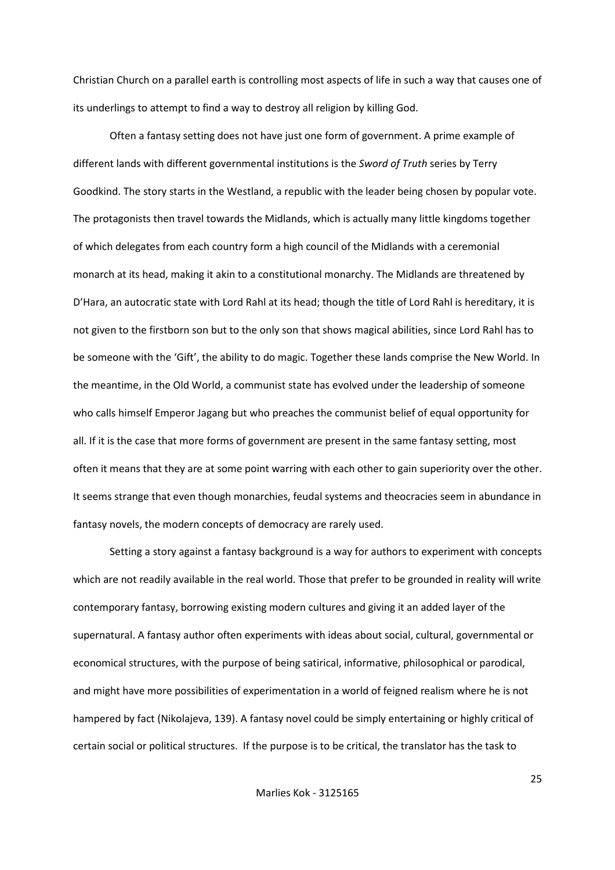Christian Church on a parallel earth is controlling most aspects of life in such a way that causes one of its underlings to attempt to find a way to destroy all religion by killing God.

 Often a fantasy setting does not have just one form of government. A prime example of different lands with different governmental institutions is the *Sword of Truth* series by Terry Goodkind. The story starts in the Westland, a republic with the leader being chosen by popular vote. The protagonists then travel towards the Midlands, which is actually many little kingdoms together of which delegates from each country form a high council of the Midlands with a ceremonial monarch at its head, making it akin to a constitutional monarchy. The Midlands are threatened by D'Hara, an autocratic state with Lord Rahl at its head; though the title of Lord Rahl is hereditary, it is not given to the firstborn son but to the only son that shows magical abilities, since Lord Rahl has to be someone with the 'Gift', the ability to do magic. Together these lands comprise the New World. In the meantime, in the Old World, a communist state has evolved under the leadership of someone who calls himself Emperor Jagang but who preaches the communist belief of equal opportunity for all. If it is the case that more forms of government are present in the same fantasy setting, most often it means that they are at some point warring with each other to gain superiority over the other. It seems strange that even though monarchies, feudal systems and theocracies seem in abundance in fantasy novels, the modern concepts of democracy are rarely used.

 Setting a story against a fantasy background is a way for authors to experiment with concepts which are not readily available in the real world. Those that prefer to be grounded in reality will write contemporary fantasy, borrowing existing modern cultures and giving it an added layer of the supernatural. A fantasy author often experiments with ideas about social, cultural, governmental or economical structures, with the purpose of being satirical, informative, philosophical or parodical, and might have more possibilities of experimentation in a world of feigned realism where he is not hampered by fact (Nikolajeva, 139). A fantasy novel could be simply entertaining or highly critical of certain social or political structures. If the purpose is to be critical, the translator has the task to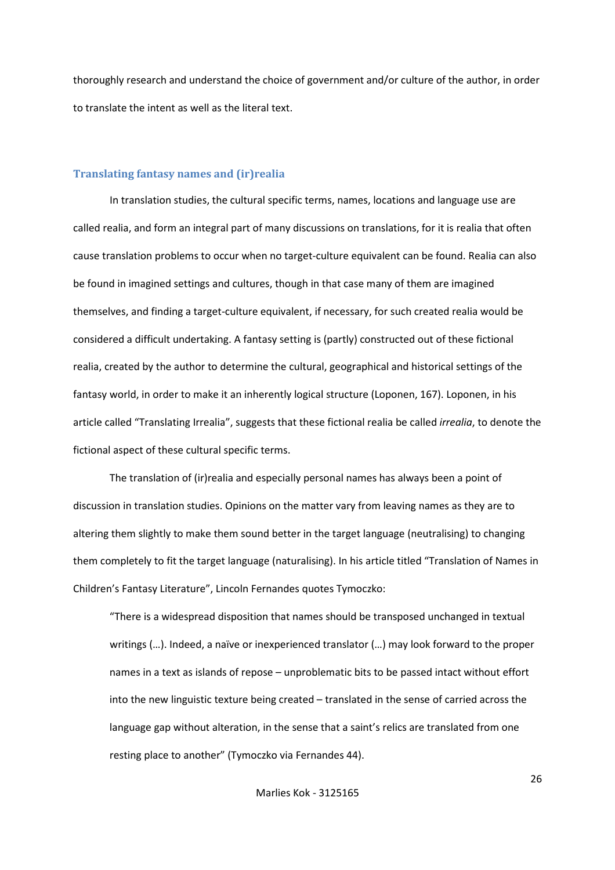thoroughly research and understand the choice of government and/or culture of the author, in order to translate the intent as well as the literal text.

#### **Translating fantasy names and (ir)realia**

 In translation studies, the cultural specific terms, names, locations and language use are called realia, and form an integral part of many discussions on translations, for it is realia that often cause translation problems to occur when no target-culture equivalent can be found. Realia can also be found in imagined settings and cultures, though in that case many of them are imagined themselves, and finding a target-culture equivalent, if necessary, for such created realia would be considered a difficult undertaking. A fantasy setting is (partly) constructed out of these fictional realia, created by the author to determine the cultural, geographical and historical settings of the fantasy world, in order to make it an inherently logical structure (Loponen, 167). Loponen, in his article called "Translating Irrealia", suggests that these fictional realia be called *irrealia*, to denote the fictional aspect of these cultural specific terms.

The translation of (ir)realia and especially personal names has always been a point of discussion in translation studies. Opinions on the matter vary from leaving names as they are to altering them slightly to make them sound better in the target language (neutralising) to changing them completely to fit the target language (naturalising). In his article titled "Translation of Names in Children's Fantasy Literature", Lincoln Fernandes quotes Tymoczko:

"There is a widespread disposition that names should be transposed unchanged in textual writings (…). Indeed, a naïve or inexperienced translator (…) may look forward to the proper names in a text as islands of repose – unproblematic bits to be passed intact without effort into the new linguistic texture being created – translated in the sense of carried across the language gap without alteration, in the sense that a saint's relics are translated from one resting place to another" (Tymoczko via Fernandes 44).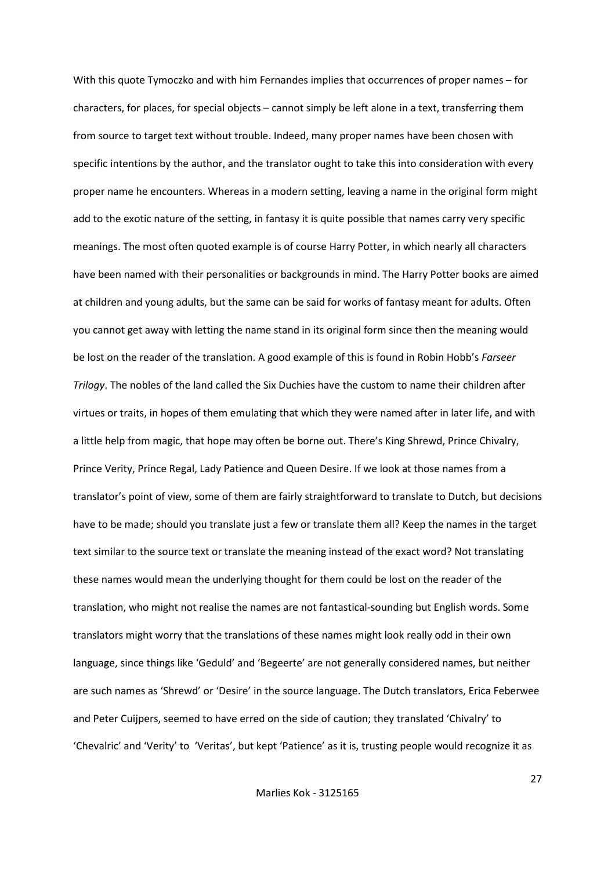With this quote Tymoczko and with him Fernandes implies that occurrences of proper names – for characters, for places, for special objects – cannot simply be left alone in a text, transferring them from source to target text without trouble. Indeed, many proper names have been chosen with specific intentions by the author, and the translator ought to take this into consideration with every proper name he encounters. Whereas in a modern setting, leaving a name in the original form might add to the exotic nature of the setting, in fantasy it is quite possible that names carry very specific meanings. The most often quoted example is of course Harry Potter, in which nearly all characters have been named with their personalities or backgrounds in mind. The Harry Potter books are aimed at children and young adults, but the same can be said for works of fantasy meant for adults. Often you cannot get away with letting the name stand in its original form since then the meaning would be lost on the reader of the translation. A good example of this is found in Robin Hobb's *Farseer Trilogy*. The nobles of the land called the Six Duchies have the custom to name their children after virtues or traits, in hopes of them emulating that which they were named after in later life, and with a little help from magic, that hope may often be borne out. There's King Shrewd, Prince Chivalry, Prince Verity, Prince Regal, Lady Patience and Queen Desire. If we look at those names from a translator's point of view, some of them are fairly straightforward to translate to Dutch, but decisions have to be made; should you translate just a few or translate them all? Keep the names in the target text similar to the source text or translate the meaning instead of the exact word? Not translating these names would mean the underlying thought for them could be lost on the reader of the translation, who might not realise the names are not fantastical-sounding but English words. Some translators might worry that the translations of these names might look really odd in their own language, since things like 'Geduld' and 'Begeerte' are not generally considered names, but neither are such names as 'Shrewd' or 'Desire' in the source language. The Dutch translators, Erica Feberwee and Peter Cuijpers, seemed to have erred on the side of caution; they translated 'Chivalry' to 'Chevalric' and 'Verity' to 'Veritas', but kept 'Patience' as it is, trusting people would recognize it as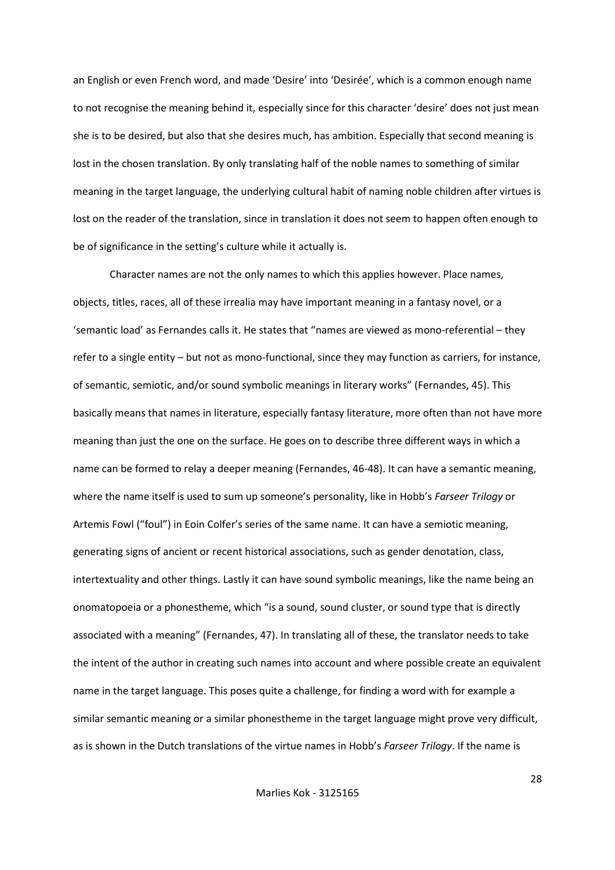an English or even French word, and made 'Desire' into 'Desirée', which is a common enough name to not recognise the meaning behind it, especially since for this character 'desire' does not just mean she is to be desired, but also that she desires much, has ambition. Especially that second meaning is lost in the chosen translation. By only translating half of the noble names to something of similar meaning in the target language, the underlying cultural habit of naming noble children after virtues is lost on the reader of the translation, since in translation it does not seem to happen often enough to be of significance in the setting's culture while it actually is.

 Character names are not the only names to which this applies however. Place names, objects, titles, races, all of these irrealia may have important meaning in a fantasy novel, or a 'semantic load' as Fernandes calls it. He states that "names are viewed as mono-referential – they refer to a single entity – but not as mono-functional, since they may function as carriers, for instance, of semantic, semiotic, and/or sound symbolic meanings in literary works" (Fernandes, 45). This basically means that names in literature, especially fantasy literature, more often than not have more meaning than just the one on the surface. He goes on to describe three different ways in which a name can be formed to relay a deeper meaning (Fernandes, 46-48). It can have a semantic meaning, where the name itself is used to sum up someone's personality, like in Hobb's *Farseer Trilogy* or Artemis Fowl ("foul") in Eoin Colfer's series of the same name. It can have a semiotic meaning, generating signs of ancient or recent historical associations, such as gender denotation, class, intertextuality and other things. Lastly it can have sound symbolic meanings, like the name being an onomatopoeia or a phonestheme, which "is a sound, sound cluster, or sound type that is directly associated with a meaning" (Fernandes, 47). In translating all of these, the translator needs to take the intent of the author in creating such names into account and where possible create an equivalent name in the target language. This poses quite a challenge, for finding a word with for example a similar semantic meaning or a similar phonestheme in the target language might prove very difficult, as is shown in the Dutch translations of the virtue names in Hobb's *Farseer Trilogy*. If the name is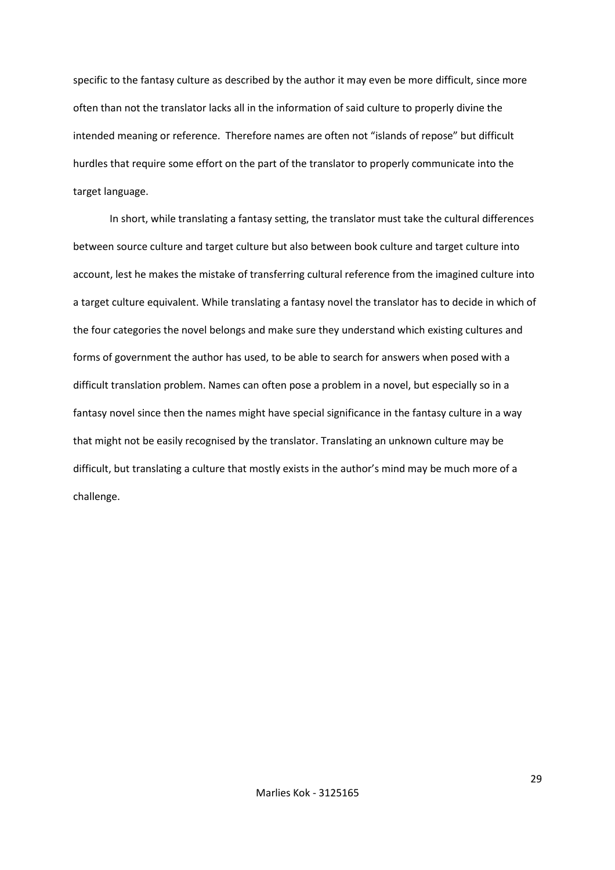specific to the fantasy culture as described by the author it may even be more difficult, since more often than not the translator lacks all in the information of said culture to properly divine the intended meaning or reference. Therefore names are often not "islands of repose" but difficult hurdles that require some effort on the part of the translator to properly communicate into the target language.

 In short, while translating a fantasy setting, the translator must take the cultural differences between source culture and target culture but also between book culture and target culture into account, lest he makes the mistake of transferring cultural reference from the imagined culture into a target culture equivalent. While translating a fantasy novel the translator has to decide in which of the four categories the novel belongs and make sure they understand which existing cultures and forms of government the author has used, to be able to search for answers when posed with a difficult translation problem. Names can often pose a problem in a novel, but especially so in a fantasy novel since then the names might have special significance in the fantasy culture in a way that might not be easily recognised by the translator. Translating an unknown culture may be difficult, but translating a culture that mostly exists in the author's mind may be much more of a challenge.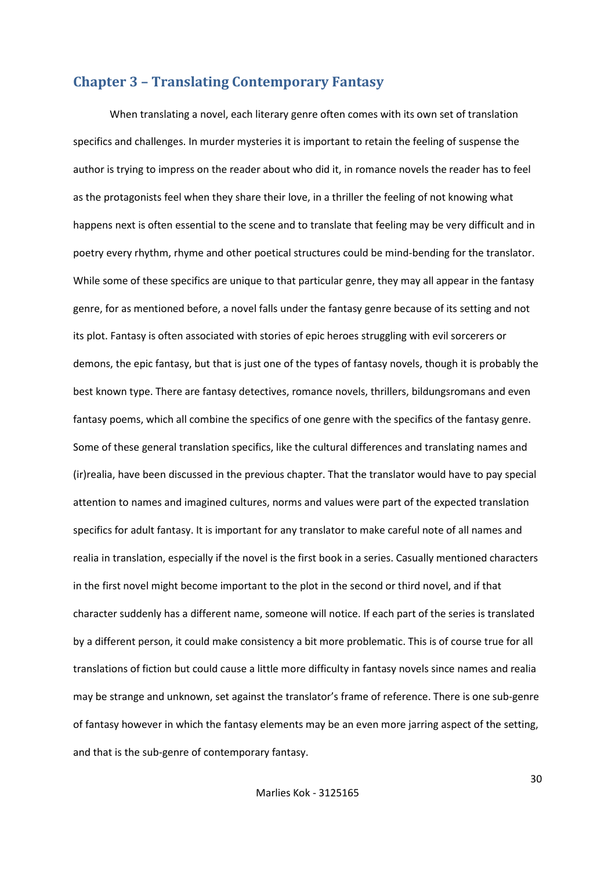## **Chapter 3 – Translating Contemporary Fantasy**

When translating a novel, each literary genre often comes with its own set of translation specifics and challenges. In murder mysteries it is important to retain the feeling of suspense the author is trying to impress on the reader about who did it, in romance novels the reader has to feel as the protagonists feel when they share their love, in a thriller the feeling of not knowing what happens next is often essential to the scene and to translate that feeling may be very difficult and in poetry every rhythm, rhyme and other poetical structures could be mind-bending for the translator. While some of these specifics are unique to that particular genre, they may all appear in the fantasy genre, for as mentioned before, a novel falls under the fantasy genre because of its setting and not its plot. Fantasy is often associated with stories of epic heroes struggling with evil sorcerers or demons, the epic fantasy, but that is just one of the types of fantasy novels, though it is probably the best known type. There are fantasy detectives, romance novels, thrillers, bildungsromans and even fantasy poems, which all combine the specifics of one genre with the specifics of the fantasy genre. Some of these general translation specifics, like the cultural differences and translating names and (ir)realia, have been discussed in the previous chapter. That the translator would have to pay special attention to names and imagined cultures, norms and values were part of the expected translation specifics for adult fantasy. It is important for any translator to make careful note of all names and realia in translation, especially if the novel is the first book in a series. Casually mentioned characters in the first novel might become important to the plot in the second or third novel, and if that character suddenly has a different name, someone will notice. If each part of the series is translated by a different person, it could make consistency a bit more problematic. This is of course true for all translations of fiction but could cause a little more difficulty in fantasy novels since names and realia may be strange and unknown, set against the translator's frame of reference. There is one sub-genre of fantasy however in which the fantasy elements may be an even more jarring aspect of the setting, and that is the sub-genre of contemporary fantasy.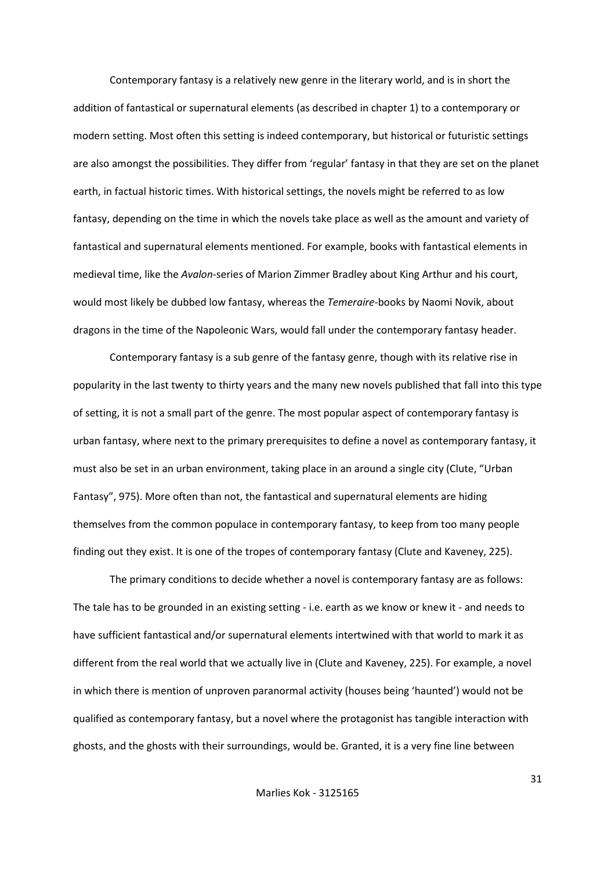Contemporary fantasy is a relatively new genre in the literary world, and is in short the addition of fantastical or supernatural elements (as described in chapter 1) to a contemporary or modern setting. Most often this setting is indeed contemporary, but historical or futuristic settings are also amongst the possibilities. They differ from 'regular' fantasy in that they are set on the planet earth, in factual historic times. With historical settings, the novels might be referred to as low fantasy, depending on the time in which the novels take place as well as the amount and variety of fantastical and supernatural elements mentioned. For example, books with fantastical elements in medieval time, like the *Avalon*-series of Marion Zimmer Bradley about King Arthur and his court, would most likely be dubbed low fantasy, whereas the *Temeraire*-books by Naomi Novik, about dragons in the time of the Napoleonic Wars, would fall under the contemporary fantasy header.

Contemporary fantasy is a sub genre of the fantasy genre, though with its relative rise in popularity in the last twenty to thirty years and the many new novels published that fall into this type of setting, it is not a small part of the genre. The most popular aspect of contemporary fantasy is urban fantasy, where next to the primary prerequisites to define a novel as contemporary fantasy, it must also be set in an urban environment, taking place in an around a single city (Clute, "Urban Fantasy", 975). More often than not, the fantastical and supernatural elements are hiding themselves from the common populace in contemporary fantasy, to keep from too many people finding out they exist. It is one of the tropes of contemporary fantasy (Clute and Kaveney, 225).

The primary conditions to decide whether a novel is contemporary fantasy are as follows: The tale has to be grounded in an existing setting - i.e. earth as we know or knew it - and needs to have sufficient fantastical and/or supernatural elements intertwined with that world to mark it as different from the real world that we actually live in (Clute and Kaveney, 225). For example, a novel in which there is mention of unproven paranormal activity (houses being 'haunted') would not be qualified as contemporary fantasy, but a novel where the protagonist has tangible interaction with ghosts, and the ghosts with their surroundings, would be. Granted, it is a very fine line between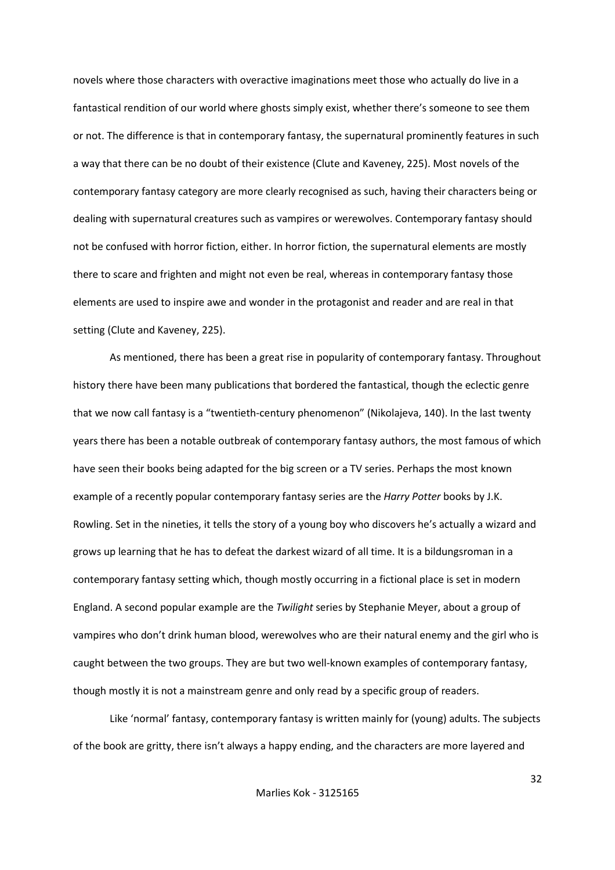novels where those characters with overactive imaginations meet those who actually do live in a fantastical rendition of our world where ghosts simply exist, whether there's someone to see them or not. The difference is that in contemporary fantasy, the supernatural prominently features in such a way that there can be no doubt of their existence (Clute and Kaveney, 225). Most novels of the contemporary fantasy category are more clearly recognised as such, having their characters being or dealing with supernatural creatures such as vampires or werewolves. Contemporary fantasy should not be confused with horror fiction, either. In horror fiction, the supernatural elements are mostly there to scare and frighten and might not even be real, whereas in contemporary fantasy those elements are used to inspire awe and wonder in the protagonist and reader and are real in that setting (Clute and Kaveney, 225).

As mentioned, there has been a great rise in popularity of contemporary fantasy. Throughout history there have been many publications that bordered the fantastical, though the eclectic genre that we now call fantasy is a "twentieth-century phenomenon" (Nikolajeva, 140). In the last twenty years there has been a notable outbreak of contemporary fantasy authors, the most famous of which have seen their books being adapted for the big screen or a TV series. Perhaps the most known example of a recently popular contemporary fantasy series are the *Harry Potter* books by J.K. Rowling. Set in the nineties, it tells the story of a young boy who discovers he's actually a wizard and grows up learning that he has to defeat the darkest wizard of all time. It is a bildungsroman in a contemporary fantasy setting which, though mostly occurring in a fictional place is set in modern England. A second popular example are the *Twilight* series by Stephanie Meyer, about a group of vampires who don't drink human blood, werewolves who are their natural enemy and the girl who is caught between the two groups. They are but two well-known examples of contemporary fantasy, though mostly it is not a mainstream genre and only read by a specific group of readers.

Like 'normal' fantasy, contemporary fantasy is written mainly for (young) adults. The subjects of the book are gritty, there isn't always a happy ending, and the characters are more layered and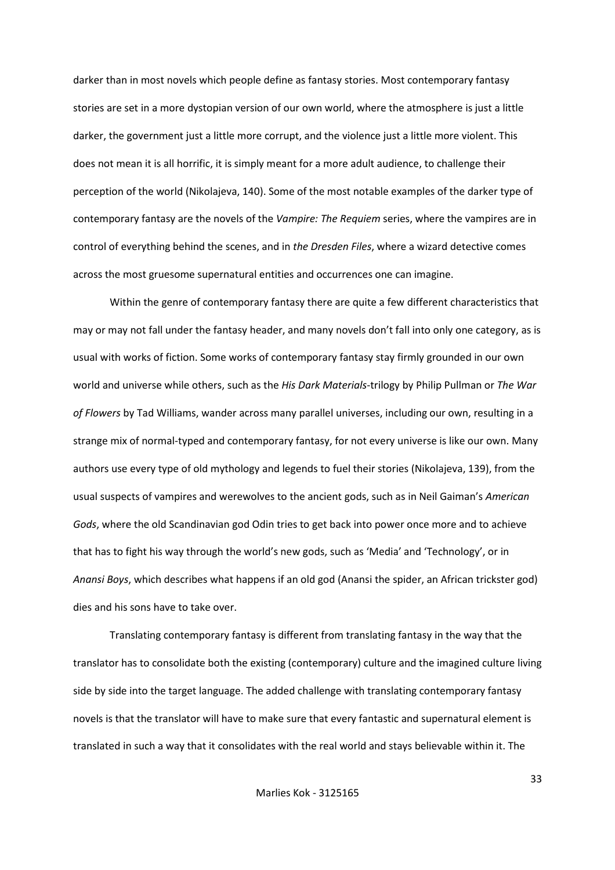darker than in most novels which people define as fantasy stories. Most contemporary fantasy stories are set in a more dystopian version of our own world, where the atmosphere is just a little darker, the government just a little more corrupt, and the violence just a little more violent. This does not mean it is all horrific, it is simply meant for a more adult audience, to challenge their perception of the world (Nikolajeva, 140). Some of the most notable examples of the darker type of contemporary fantasy are the novels of the *Vampire: The Requiem* series, where the vampires are in control of everything behind the scenes, and in *the Dresden Files*, where a wizard detective comes across the most gruesome supernatural entities and occurrences one can imagine.

Within the genre of contemporary fantasy there are quite a few different characteristics that may or may not fall under the fantasy header, and many novels don't fall into only one category, as is usual with works of fiction. Some works of contemporary fantasy stay firmly grounded in our own world and universe while others, such as the *His Dark Materials*-trilogy by Philip Pullman or *The War of Flowers* by Tad Williams, wander across many parallel universes, including our own, resulting in a strange mix of normal-typed and contemporary fantasy, for not every universe is like our own. Many authors use every type of old mythology and legends to fuel their stories (Nikolajeva, 139), from the usual suspects of vampires and werewolves to the ancient gods, such as in Neil Gaiman's *American Gods*, where the old Scandinavian god Odin tries to get back into power once more and to achieve that has to fight his way through the world's new gods, such as 'Media' and 'Technology', or in *Anansi Boys*, which describes what happens if an old god (Anansi the spider, an African trickster god) dies and his sons have to take over.

Translating contemporary fantasy is different from translating fantasy in the way that the translator has to consolidate both the existing (contemporary) culture and the imagined culture living side by side into the target language. The added challenge with translating contemporary fantasy novels is that the translator will have to make sure that every fantastic and supernatural element is translated in such a way that it consolidates with the real world and stays believable within it. The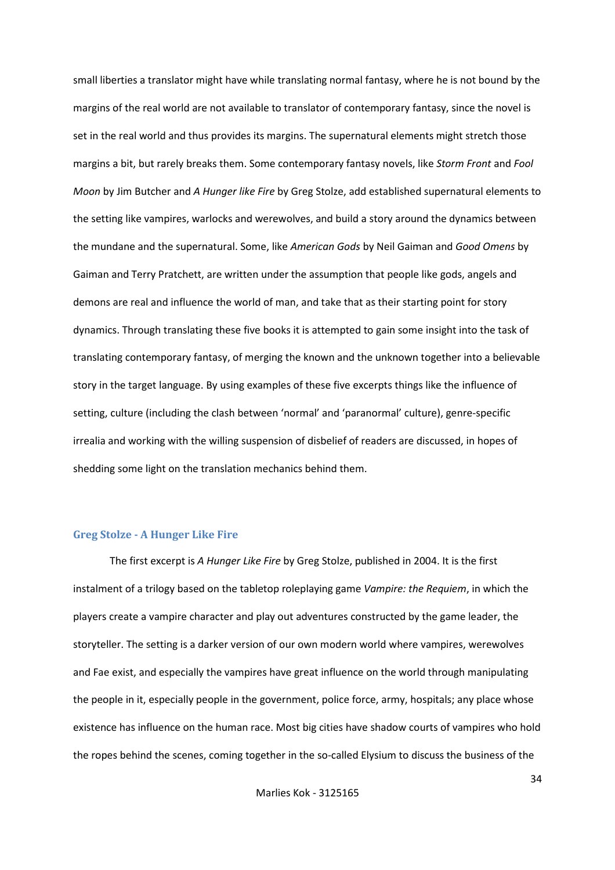small liberties a translator might have while translating normal fantasy, where he is not bound by the margins of the real world are not available to translator of contemporary fantasy, since the novel is set in the real world and thus provides its margins. The supernatural elements might stretch those margins a bit, but rarely breaks them. Some contemporary fantasy novels, like *Storm Front* and *Fool Moon* by Jim Butcher and *A Hunger like Fire* by Greg Stolze, add established supernatural elements to the setting like vampires, warlocks and werewolves, and build a story around the dynamics between the mundane and the supernatural. Some, like *American Gods* by Neil Gaiman and *Good Omens* by Gaiman and Terry Pratchett, are written under the assumption that people like gods, angels and demons are real and influence the world of man, and take that as their starting point for story dynamics. Through translating these five books it is attempted to gain some insight into the task of translating contemporary fantasy, of merging the known and the unknown together into a believable story in the target language. By using examples of these five excerpts things like the influence of setting, culture (including the clash between 'normal' and 'paranormal' culture), genre-specific irrealia and working with the willing suspension of disbelief of readers are discussed, in hopes of shedding some light on the translation mechanics behind them.

#### **Greg Stolze - A Hunger Like Fire**

The first excerpt is *A Hunger Like Fire* by Greg Stolze, published in 2004. It is the first instalment of a trilogy based on the tabletop roleplaying game *Vampire: the Requiem*, in which the players create a vampire character and play out adventures constructed by the game leader, the storyteller. The setting is a darker version of our own modern world where vampires, werewolves and Fae exist, and especially the vampires have great influence on the world through manipulating the people in it, especially people in the government, police force, army, hospitals; any place whose existence has influence on the human race. Most big cities have shadow courts of vampires who hold the ropes behind the scenes, coming together in the so-called Elysium to discuss the business of the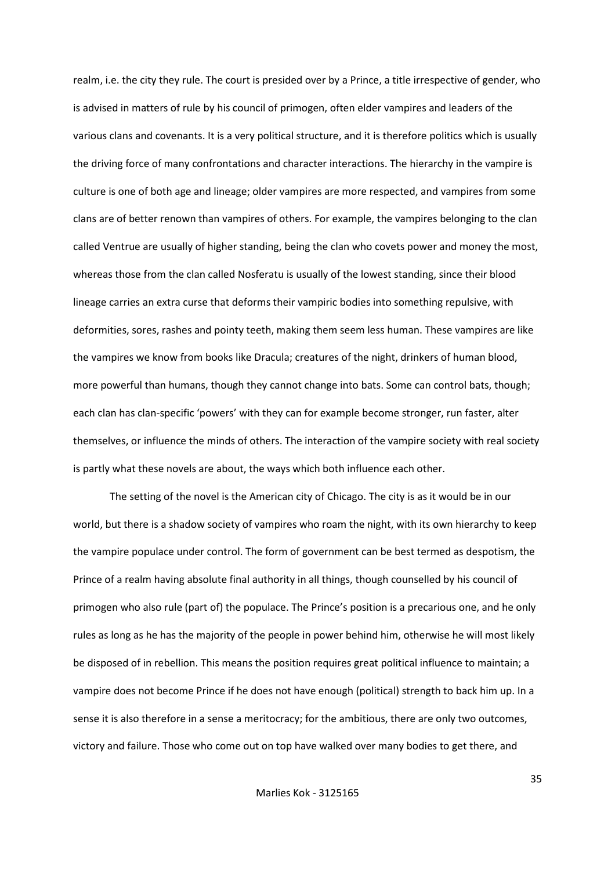realm, i.e. the city they rule. The court is presided over by a Prince, a title irrespective of gender, who is advised in matters of rule by his council of primogen, often elder vampires and leaders of the various clans and covenants. It is a very political structure, and it is therefore politics which is usually the driving force of many confrontations and character interactions. The hierarchy in the vampire is culture is one of both age and lineage; older vampires are more respected, and vampires from some clans are of better renown than vampires of others. For example, the vampires belonging to the clan called Ventrue are usually of higher standing, being the clan who covets power and money the most, whereas those from the clan called Nosferatu is usually of the lowest standing, since their blood lineage carries an extra curse that deforms their vampiric bodies into something repulsive, with deformities, sores, rashes and pointy teeth, making them seem less human. These vampires are like the vampires we know from books like Dracula; creatures of the night, drinkers of human blood, more powerful than humans, though they cannot change into bats. Some can control bats, though; each clan has clan-specific 'powers' with they can for example become stronger, run faster, alter themselves, or influence the minds of others. The interaction of the vampire society with real society is partly what these novels are about, the ways which both influence each other.

The setting of the novel is the American city of Chicago. The city is as it would be in our world, but there is a shadow society of vampires who roam the night, with its own hierarchy to keep the vampire populace under control. The form of government can be best termed as despotism, the Prince of a realm having absolute final authority in all things, though counselled by his council of primogen who also rule (part of) the populace. The Prince's position is a precarious one, and he only rules as long as he has the majority of the people in power behind him, otherwise he will most likely be disposed of in rebellion. This means the position requires great political influence to maintain; a vampire does not become Prince if he does not have enough (political) strength to back him up. In a sense it is also therefore in a sense a meritocracy; for the ambitious, there are only two outcomes, victory and failure. Those who come out on top have walked over many bodies to get there, and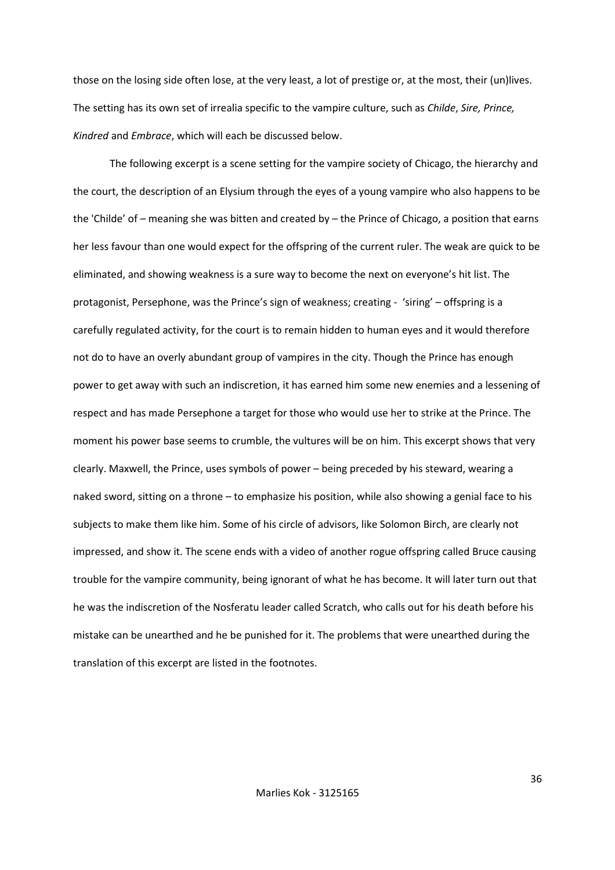those on the losing side often lose, at the very least, a lot of prestige or, at the most, their (un)lives. The setting has its own set of irrealia specific to the vampire culture, such as *Childe*, *Sire, Prince, Kindred* and *Embrace*, which will each be discussed below.

The following excerpt is a scene setting for the vampire society of Chicago, the hierarchy and the court, the description of an Elysium through the eyes of a young vampire who also happens to be the 'Childe' of – meaning she was bitten and created by – the Prince of Chicago, a position that earns her less favour than one would expect for the offspring of the current ruler. The weak are quick to be eliminated, and showing weakness is a sure way to become the next on everyone's hit list. The protagonist, Persephone, was the Prince's sign of weakness; creating - 'siring' – offspring is a carefully regulated activity, for the court is to remain hidden to human eyes and it would therefore not do to have an overly abundant group of vampires in the city. Though the Prince has enough power to get away with such an indiscretion, it has earned him some new enemies and a lessening of respect and has made Persephone a target for those who would use her to strike at the Prince. The moment his power base seems to crumble, the vultures will be on him. This excerpt shows that very clearly. Maxwell, the Prince, uses symbols of power – being preceded by his steward, wearing a naked sword, sitting on a throne – to emphasize his position, while also showing a genial face to his subjects to make them like him. Some of his circle of advisors, like Solomon Birch, are clearly not impressed, and show it. The scene ends with a video of another rogue offspring called Bruce causing trouble for the vampire community, being ignorant of what he has become. It will later turn out that he was the indiscretion of the Nosferatu leader called Scratch, who calls out for his death before his mistake can be unearthed and he be punished for it. The problems that were unearthed during the translation of this excerpt are listed in the footnotes.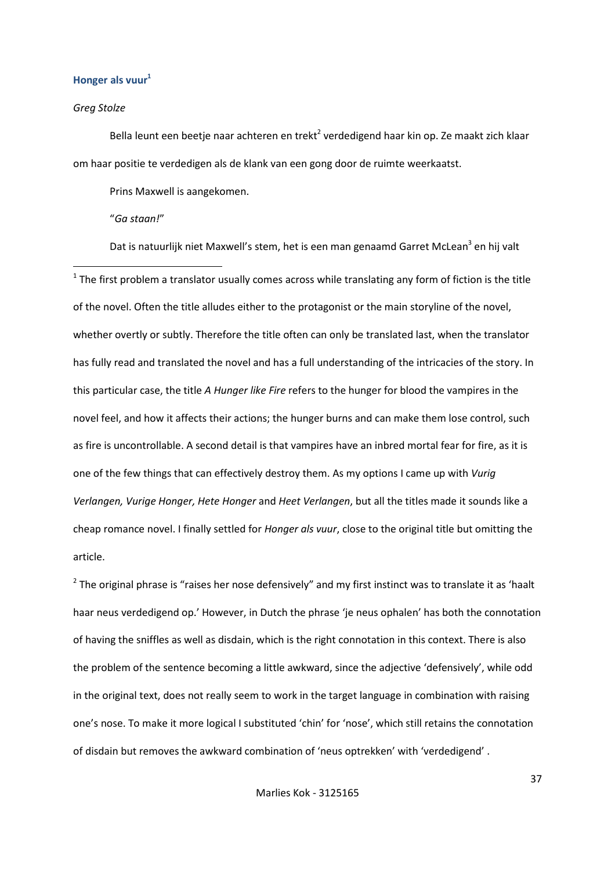# **Honger als vuur<sup>1</sup>**

# *Greg Stolze*

Bella leunt een beetje naar achteren en trekt<sup>2</sup> verdedigend haar kin op. Ze maakt zich klaar om haar positie te verdedigen als de klank van een gong door de ruimte weerkaatst.

Prins Maxwell is aangekomen.

#### "*Ga staan!*"

Dat is natuurlijk niet Maxwell's stem, het is een man genaamd Garret McLean<sup>3</sup> en hij valt

  $1$  The first problem a translator usually comes across while translating any form of fiction is the title of the novel. Often the title alludes either to the protagonist or the main storyline of the novel, whether overtly or subtly. Therefore the title often can only be translated last, when the translator has fully read and translated the novel and has a full understanding of the intricacies of the story. In this particular case, the title *A Hunger like Fire* refers to the hunger for blood the vampires in the novel feel, and how it affects their actions; the hunger burns and can make them lose control, such as fire is uncontrollable. A second detail is that vampires have an inbred mortal fear for fire, as it is one of the few things that can effectively destroy them. As my options I came up with *Vurig Verlangen, Vurige Honger, Hete Honger* and *Heet Verlangen*, but all the titles made it sounds like a cheap romance novel. I finally settled for *Honger als vuur*, close to the original title but omitting the article.

 $2$  The original phrase is "raises her nose defensively" and my first instinct was to translate it as 'haalt haar neus verdedigend op.' However, in Dutch the phrase 'je neus ophalen' has both the connotation of having the sniffles as well as disdain, which is the right connotation in this context. There is also the problem of the sentence becoming a little awkward, since the adjective 'defensively', while odd in the original text, does not really seem to work in the target language in combination with raising one's nose. To make it more logical I substituted 'chin' for 'nose', which still retains the connotation of disdain but removes the awkward combination of 'neus optrekken' with 'verdedigend' .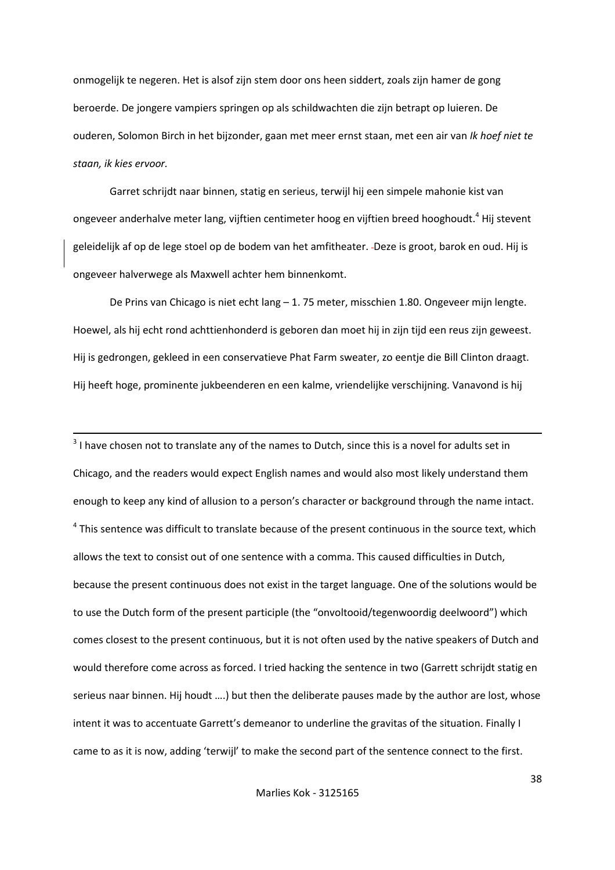onmogelijk te negeren. Het is alsof zijn stem door ons heen siddert, zoals zijn hamer de gong beroerde. De jongere vampiers springen op als schildwachten die zijn betrapt op luieren. De ouderen, Solomon Birch in het bijzonder, gaan met meer ernst staan, met een air van *Ik hoef niet te staan, ik kies ervoor.*

Garret schrijdt naar binnen, statig en serieus, terwijl hij een simpele mahonie kist van ongeveer anderhalve meter lang, vijftien centimeter hoog en vijftien breed hooghoudt.<sup>4</sup> Hij stevent geleidelijk af op de lege stoel op de bodem van het amfitheater. Deze is groot, barok en oud. Hij is ongeveer halverwege als Maxwell achter hem binnenkomt.

De Prins van Chicago is niet echt lang – 1. 75 meter, misschien 1.80. Ongeveer mijn lengte. Hoewel, als hij echt rond achttienhonderd is geboren dan moet hij in zijn tijd een reus zijn geweest. Hij is gedrongen, gekleed in een conservatieve Phat Farm sweater, zo eentje die Bill Clinton draagt. Hij heeft hoge, prominente jukbeenderen en een kalme, vriendelijke verschijning. Vanavond is hij

<u>.</u>

 $3$  I have chosen not to translate any of the names to Dutch, since this is a novel for adults set in Chicago, and the readers would expect English names and would also most likely understand them enough to keep any kind of allusion to a person's character or background through the name intact. <sup>4</sup> This sentence was difficult to translate because of the present continuous in the source text, which allows the text to consist out of one sentence with a comma. This caused difficulties in Dutch, because the present continuous does not exist in the target language. One of the solutions would be to use the Dutch form of the present participle (the "onvoltooid/tegenwoordig deelwoord") which comes closest to the present continuous, but it is not often used by the native speakers of Dutch and would therefore come across as forced. I tried hacking the sentence in two (Garrett schrijdt statig en serieus naar binnen. Hij houdt ….) but then the deliberate pauses made by the author are lost, whose intent it was to accentuate Garrett's demeanor to underline the gravitas of the situation. Finally I came to as it is now, adding 'terwijl' to make the second part of the sentence connect to the first.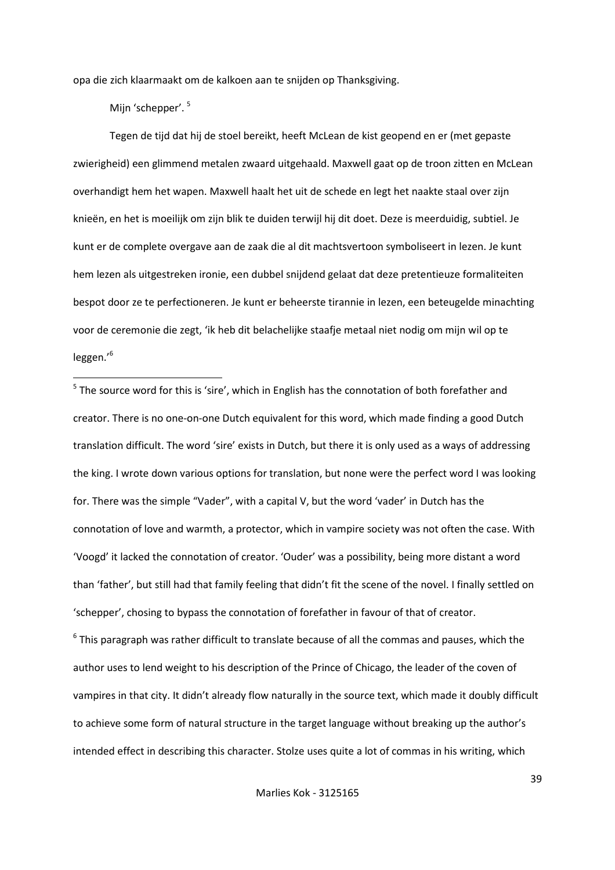opa die zich klaarmaakt om de kalkoen aan te snijden op Thanksgiving.

Mijn 'schepper'.<sup>5</sup>

 $\overline{a}$ 

 Tegen de tijd dat hij de stoel bereikt, heeft McLean de kist geopend en er (met gepaste zwierigheid) een glimmend metalen zwaard uitgehaald. Maxwell gaat op de troon zitten en McLean overhandigt hem het wapen. Maxwell haalt het uit de schede en legt het naakte staal over zijn knieën, en het is moeilijk om zijn blik te duiden terwijl hij dit doet. Deze is meerduidig, subtiel. Je kunt er de complete overgave aan de zaak die al dit machtsvertoon symboliseert in lezen. Je kunt hem lezen als uitgestreken ironie, een dubbel snijdend gelaat dat deze pretentieuze formaliteiten bespot door ze te perfectioneren. Je kunt er beheerste tirannie in lezen, een beteugelde minachting voor de ceremonie die zegt, 'ik heb dit belachelijke staafje metaal niet nodig om mijn wil op te leggen.'<sup>6</sup>

<sup>5</sup> The source word for this is 'sire', which in English has the connotation of both forefather and creator. There is no one-on-one Dutch equivalent for this word, which made finding a good Dutch translation difficult. The word 'sire' exists in Dutch, but there it is only used as a ways of addressing the king. I wrote down various options for translation, but none were the perfect word I was looking for. There was the simple "Vader", with a capital V, but the word 'vader' in Dutch has the connotation of love and warmth, a protector, which in vampire society was not often the case. With 'Voogd' it lacked the connotation of creator. 'Ouder' was a possibility, being more distant a word than 'father', but still had that family feeling that didn't fit the scene of the novel. I finally settled on 'schepper', chosing to bypass the connotation of forefather in favour of that of creator.  $^6$  This paragraph was rather difficult to translate because of all the commas and pauses, which the author uses to lend weight to his description of the Prince of Chicago, the leader of the coven of vampires in that city. It didn't already flow naturally in the source text, which made it doubly difficult to achieve some form of natural structure in the target language without breaking up the author's intended effect in describing this character. Stolze uses quite a lot of commas in his writing, which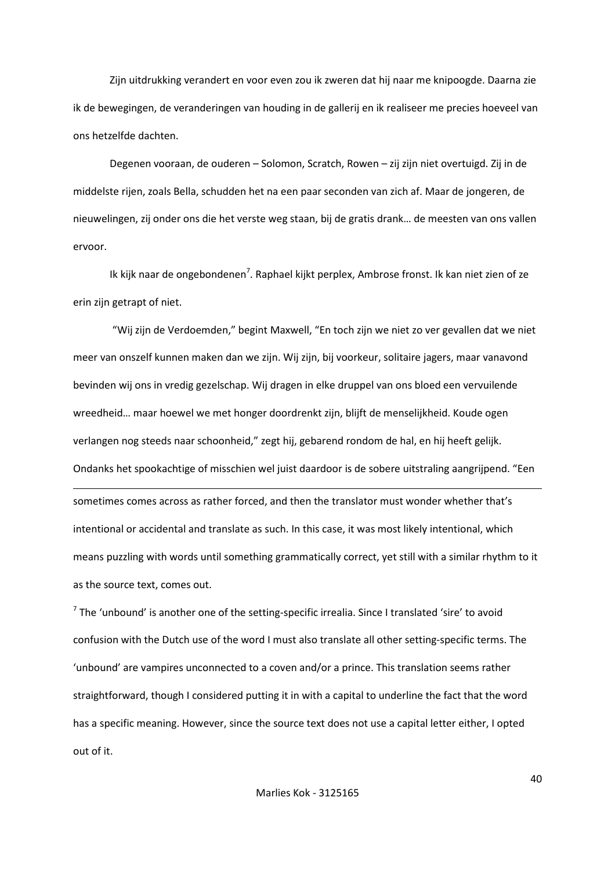Zijn uitdrukking verandert en voor even zou ik zweren dat hij naar me knipoogde. Daarna zie ik de bewegingen, de veranderingen van houding in de gallerij en ik realiseer me precies hoeveel van ons hetzelfde dachten.

 Degenen vooraan, de ouderen – Solomon, Scratch, Rowen – zij zijn niet overtuigd. Zij in de middelste rijen, zoals Bella, schudden het na een paar seconden van zich af. Maar de jongeren, de nieuwelingen, zij onder ons die het verste weg staan, bij de gratis drank… de meesten van ons vallen ervoor.

Ik kijk naar de ongebondenen<sup>7</sup>. Raphael kijkt perplex, Ambrose fronst. Ik kan niet zien of ze erin zijn getrapt of niet.

 "Wij zijn de Verdoemden," begint Maxwell, "En toch zijn we niet zo ver gevallen dat we niet meer van onszelf kunnen maken dan we zijn. Wij zijn, bij voorkeur, solitaire jagers, maar vanavond bevinden wij ons in vredig gezelschap. Wij dragen in elke druppel van ons bloed een vervuilende wreedheid… maar hoewel we met honger doordrenkt zijn, blijft de menselijkheid. Koude ogen verlangen nog steeds naar schoonheid," zegt hij, gebarend rondom de hal, en hij heeft gelijk. Ondanks het spookachtige of misschien wel juist daardoor is de sobere uitstraling aangrijpend. "Een <u>.</u> sometimes comes across as rather forced, and then the translator must wonder whether that's intentional or accidental and translate as such. In this case, it was most likely intentional, which means puzzling with words until something grammatically correct, yet still with a similar rhythm to it as the source text, comes out.

<sup>7</sup> The 'unbound' is another one of the setting-specific irrealia. Since I translated 'sire' to avoid confusion with the Dutch use of the word I must also translate all other setting-specific terms. The 'unbound' are vampires unconnected to a coven and/or a prince. This translation seems rather straightforward, though I considered putting it in with a capital to underline the fact that the word has a specific meaning. However, since the source text does not use a capital letter either, I opted out of it.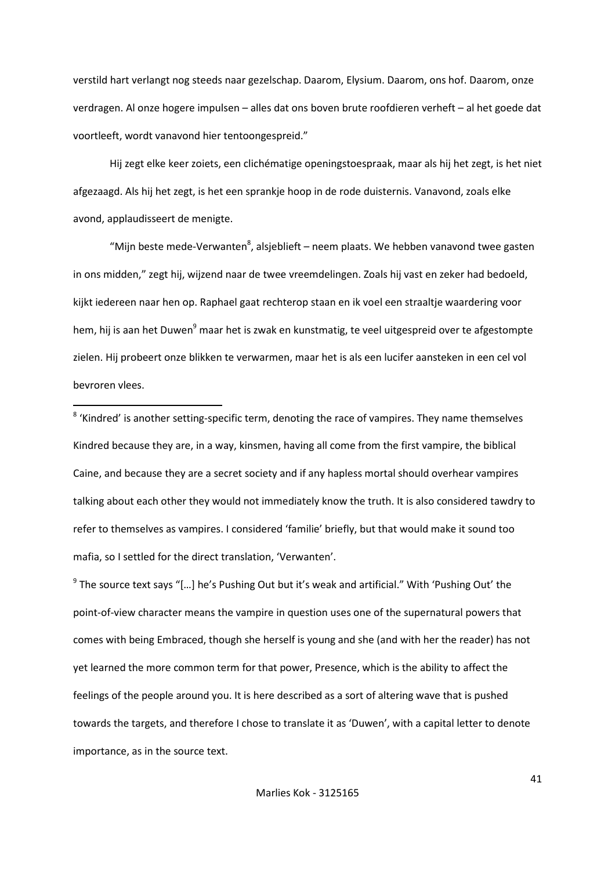verstild hart verlangt nog steeds naar gezelschap. Daarom, Elysium. Daarom, ons hof. Daarom, onze verdragen. Al onze hogere impulsen – alles dat ons boven brute roofdieren verheft – al het goede dat voortleeft, wordt vanavond hier tentoongespreid."

 Hij zegt elke keer zoiets, een clichématige openingstoespraak, maar als hij het zegt, is het niet afgezaagd. Als hij het zegt, is het een sprankje hoop in de rode duisternis. Vanavond, zoals elke avond, applaudisseert de menigte.

"Mijn beste mede-Verwanten<sup>8</sup>, alsjeblieft – neem plaats. We hebben vanavond twee gasten in ons midden," zegt hij, wijzend naar de twee vreemdelingen. Zoals hij vast en zeker had bedoeld, kijkt iedereen naar hen op. Raphael gaat rechterop staan en ik voel een straaltje waardering voor hem, hij is aan het Duwen<sup>9</sup> maar het is zwak en kunstmatig, te veel uitgespreid over te afgestompte zielen. Hij probeert onze blikken te verwarmen, maar het is als een lucifer aansteken in een cel vol bevroren vlees.

<sup>8</sup> 'Kindred' is another setting-specific term, denoting the race of vampires. They name themselves Kindred because they are, in a way, kinsmen, having all come from the first vampire, the biblical Caine, and because they are a secret society and if any hapless mortal should overhear vampires talking about each other they would not immediately know the truth. It is also considered tawdry to refer to themselves as vampires. I considered 'familie' briefly, but that would make it sound too mafia, so I settled for the direct translation, 'Verwanten'.

 $9$  The source text says "[...] he's Pushing Out but it's weak and artificial." With 'Pushing Out' the point-of-view character means the vampire in question uses one of the supernatural powers that comes with being Embraced, though she herself is young and she (and with her the reader) has not yet learned the more common term for that power, Presence, which is the ability to affect the feelings of the people around you. It is here described as a sort of altering wave that is pushed towards the targets, and therefore I chose to translate it as 'Duwen', with a capital letter to denote importance, as in the source text.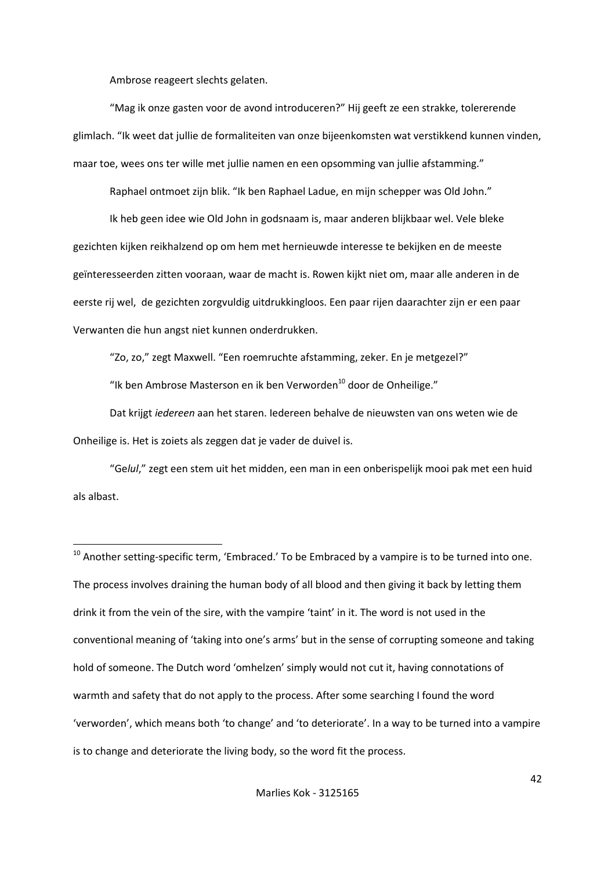Ambrose reageert slechts gelaten.

l

 "Mag ik onze gasten voor de avond introduceren?" Hij geeft ze een strakke, tolererende glimlach. "Ik weet dat jullie de formaliteiten van onze bijeenkomsten wat verstikkend kunnen vinden, maar toe, wees ons ter wille met jullie namen en een opsomming van jullie afstamming."

Raphael ontmoet zijn blik. "Ik ben Raphael Ladue, en mijn schepper was Old John."

 Ik heb geen idee wie Old John in godsnaam is, maar anderen blijkbaar wel. Vele bleke gezichten kijken reikhalzend op om hem met hernieuwde interesse te bekijken en de meeste geïnteresseerden zitten vooraan, waar de macht is. Rowen kijkt niet om, maar alle anderen in de eerste rij wel, de gezichten zorgvuldig uitdrukkingloos. Een paar rijen daarachter zijn er een paar Verwanten die hun angst niet kunnen onderdrukken.

"Zo, zo," zegt Maxwell. "Een roemruchte afstamming, zeker. En je metgezel?"

"Ik ben Ambrose Masterson en ik ben Verworden $^{10}$  door de Onheilige."

 Dat krijgt *iedereen* aan het staren. Iedereen behalve de nieuwsten van ons weten wie de Onheilige is. Het is zoiets als zeggen dat je vader de duivel is.

 "Ge*lul*," zegt een stem uit het midden, een man in een onberispelijk mooi pak met een huid als albast.

 $10$  Another setting-specific term, 'Embraced.' To be Embraced by a vampire is to be turned into one. The process involves draining the human body of all blood and then giving it back by letting them drink it from the vein of the sire, with the vampire 'taint' in it. The word is not used in the conventional meaning of 'taking into one's arms' but in the sense of corrupting someone and taking hold of someone. The Dutch word 'omhelzen' simply would not cut it, having connotations of warmth and safety that do not apply to the process. After some searching I found the word 'verworden', which means both 'to change' and 'to deteriorate'. In a way to be turned into a vampire is to change and deteriorate the living body, so the word fit the process.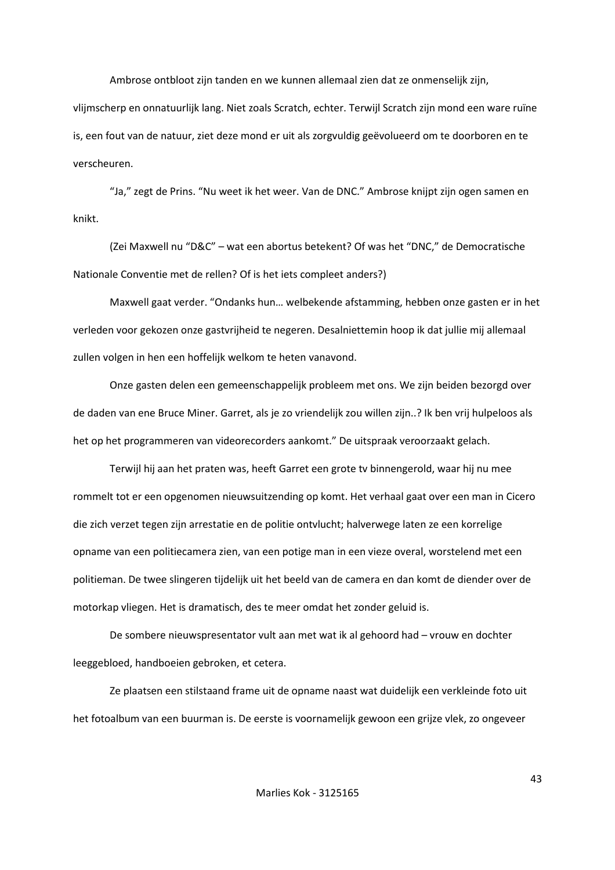Ambrose ontbloot zijn tanden en we kunnen allemaal zien dat ze onmenselijk zijn, vlijmscherp en onnatuurlijk lang. Niet zoals Scratch, echter. Terwijl Scratch zijn mond een ware ruïne is, een fout van de natuur, ziet deze mond er uit als zorgvuldig geëvolueerd om te doorboren en te verscheuren.

 "Ja," zegt de Prins. "Nu weet ik het weer. Van de DNC." Ambrose knijpt zijn ogen samen en knikt.

 (Zei Maxwell nu "D&C" – wat een abortus betekent? Of was het "DNC," de Democratische Nationale Conventie met de rellen? Of is het iets compleet anders?)

 Maxwell gaat verder. "Ondanks hun… welbekende afstamming, hebben onze gasten er in het verleden voor gekozen onze gastvrijheid te negeren. Desalniettemin hoop ik dat jullie mij allemaal zullen volgen in hen een hoffelijk welkom te heten vanavond.

 Onze gasten delen een gemeenschappelijk probleem met ons. We zijn beiden bezorgd over de daden van ene Bruce Miner. Garret, als je zo vriendelijk zou willen zijn..? Ik ben vrij hulpeloos als het op het programmeren van videorecorders aankomt." De uitspraak veroorzaakt gelach.

 Terwijl hij aan het praten was, heeft Garret een grote tv binnengerold, waar hij nu mee rommelt tot er een opgenomen nieuwsuitzending op komt. Het verhaal gaat over een man in Cicero die zich verzet tegen zijn arrestatie en de politie ontvlucht; halverwege laten ze een korrelige opname van een politiecamera zien, van een potige man in een vieze overal, worstelend met een politieman. De twee slingeren tijdelijk uit het beeld van de camera en dan komt de diender over de motorkap vliegen. Het is dramatisch, des te meer omdat het zonder geluid is.

 De sombere nieuwspresentator vult aan met wat ik al gehoord had – vrouw en dochter leeggebloed, handboeien gebroken, et cetera.

 Ze plaatsen een stilstaand frame uit de opname naast wat duidelijk een verkleinde foto uit het fotoalbum van een buurman is. De eerste is voornamelijk gewoon een grijze vlek, zo ongeveer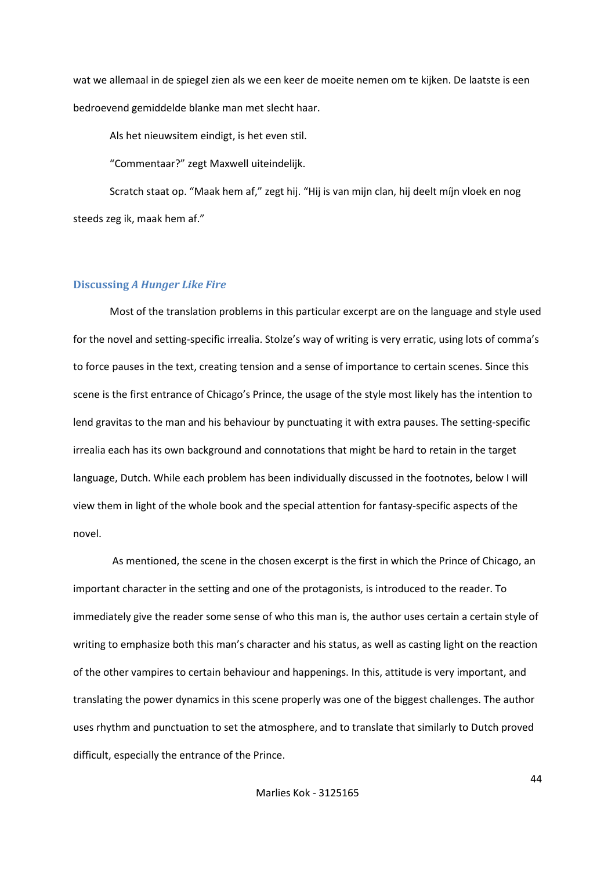wat we allemaal in de spiegel zien als we een keer de moeite nemen om te kijken. De laatste is een bedroevend gemiddelde blanke man met slecht haar.

Als het nieuwsitem eindigt, is het even stil.

"Commentaar?" zegt Maxwell uiteindelijk.

 Scratch staat op. "Maak hem af," zegt hij. "Hij is van mijn clan, hij deelt míjn vloek en nog steeds zeg ik, maak hem af."

# **Discussing** *A Hunger Like Fire*

 Most of the translation problems in this particular excerpt are on the language and style used for the novel and setting-specific irrealia. Stolze's way of writing is very erratic, using lots of comma's to force pauses in the text, creating tension and a sense of importance to certain scenes. Since this scene is the first entrance of Chicago's Prince, the usage of the style most likely has the intention to lend gravitas to the man and his behaviour by punctuating it with extra pauses. The setting-specific irrealia each has its own background and connotations that might be hard to retain in the target language, Dutch. While each problem has been individually discussed in the footnotes, below I will view them in light of the whole book and the special attention for fantasy-specific aspects of the novel.

 As mentioned, the scene in the chosen excerpt is the first in which the Prince of Chicago, an important character in the setting and one of the protagonists, is introduced to the reader. To immediately give the reader some sense of who this man is, the author uses certain a certain style of writing to emphasize both this man's character and his status, as well as casting light on the reaction of the other vampires to certain behaviour and happenings. In this, attitude is very important, and translating the power dynamics in this scene properly was one of the biggest challenges. The author uses rhythm and punctuation to set the atmosphere, and to translate that similarly to Dutch proved difficult, especially the entrance of the Prince.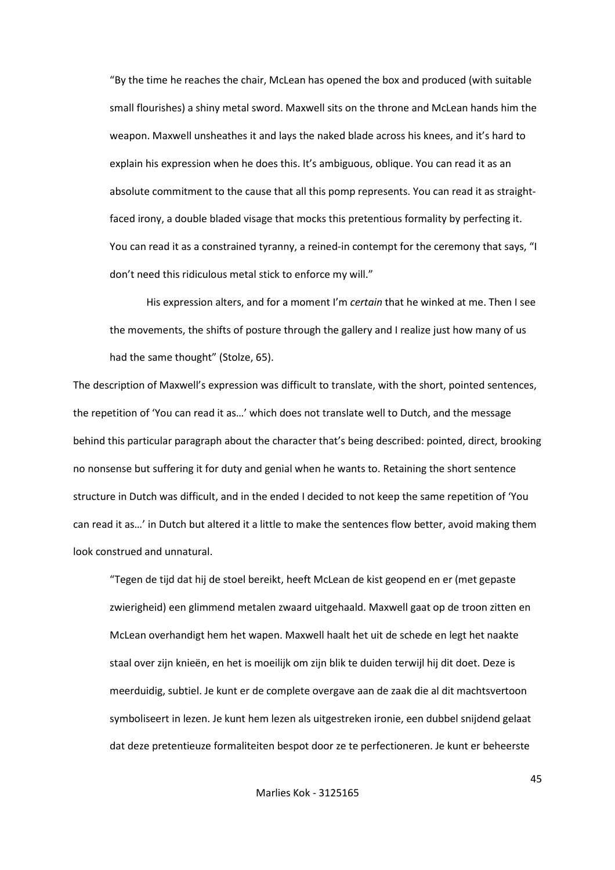"By the time he reaches the chair, McLean has opened the box and produced (with suitable small flourishes) a shiny metal sword. Maxwell sits on the throne and McLean hands him the weapon. Maxwell unsheathes it and lays the naked blade across his knees, and it's hard to explain his expression when he does this. It's ambiguous, oblique. You can read it as an absolute commitment to the cause that all this pomp represents. You can read it as straightfaced irony, a double bladed visage that mocks this pretentious formality by perfecting it. You can read it as a constrained tyranny, a reined-in contempt for the ceremony that says, "I don't need this ridiculous metal stick to enforce my will."

 His expression alters, and for a moment I'm *certain* that he winked at me. Then I see the movements, the shifts of posture through the gallery and I realize just how many of us had the same thought" (Stolze, 65).

The description of Maxwell's expression was difficult to translate, with the short, pointed sentences, the repetition of 'You can read it as…' which does not translate well to Dutch, and the message behind this particular paragraph about the character that's being described: pointed, direct, brooking no nonsense but suffering it for duty and genial when he wants to. Retaining the short sentence structure in Dutch was difficult, and in the ended I decided to not keep the same repetition of 'You can read it as…' in Dutch but altered it a little to make the sentences flow better, avoid making them look construed and unnatural.

"Tegen de tijd dat hij de stoel bereikt, heeft McLean de kist geopend en er (met gepaste zwierigheid) een glimmend metalen zwaard uitgehaald. Maxwell gaat op de troon zitten en McLean overhandigt hem het wapen. Maxwell haalt het uit de schede en legt het naakte staal over zijn knieën, en het is moeilijk om zijn blik te duiden terwijl hij dit doet. Deze is meerduidig, subtiel. Je kunt er de complete overgave aan de zaak die al dit machtsvertoon symboliseert in lezen. Je kunt hem lezen als uitgestreken ironie, een dubbel snijdend gelaat dat deze pretentieuze formaliteiten bespot door ze te perfectioneren. Je kunt er beheerste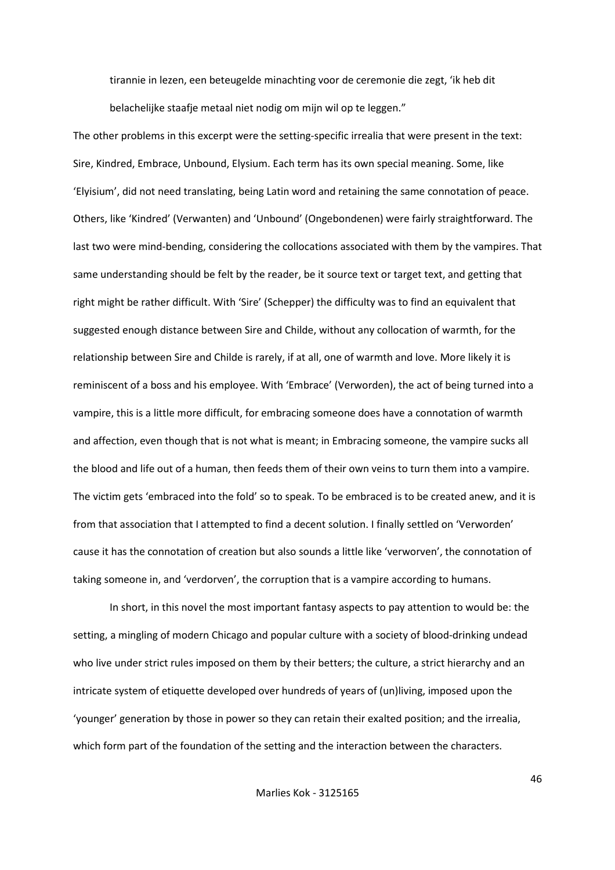tirannie in lezen, een beteugelde minachting voor de ceremonie die zegt, 'ik heb dit belachelijke staafje metaal niet nodig om mijn wil op te leggen."

The other problems in this excerpt were the setting-specific irrealia that were present in the text: Sire, Kindred, Embrace, Unbound, Elysium. Each term has its own special meaning. Some, like 'Elyisium', did not need translating, being Latin word and retaining the same connotation of peace. Others, like 'Kindred' (Verwanten) and 'Unbound' (Ongebondenen) were fairly straightforward. The last two were mind-bending, considering the collocations associated with them by the vampires. That same understanding should be felt by the reader, be it source text or target text, and getting that right might be rather difficult. With 'Sire' (Schepper) the difficulty was to find an equivalent that suggested enough distance between Sire and Childe, without any collocation of warmth, for the relationship between Sire and Childe is rarely, if at all, one of warmth and love. More likely it is reminiscent of a boss and his employee. With 'Embrace' (Verworden), the act of being turned into a vampire, this is a little more difficult, for embracing someone does have a connotation of warmth and affection, even though that is not what is meant; in Embracing someone, the vampire sucks all the blood and life out of a human, then feeds them of their own veins to turn them into a vampire. The victim gets 'embraced into the fold' so to speak. To be embraced is to be created anew, and it is from that association that I attempted to find a decent solution. I finally settled on 'Verworden' cause it has the connotation of creation but also sounds a little like 'verworven', the connotation of taking someone in, and 'verdorven', the corruption that is a vampire according to humans.

 In short, in this novel the most important fantasy aspects to pay attention to would be: the setting, a mingling of modern Chicago and popular culture with a society of blood-drinking undead who live under strict rules imposed on them by their betters; the culture, a strict hierarchy and an intricate system of etiquette developed over hundreds of years of (un)living, imposed upon the 'younger' generation by those in power so they can retain their exalted position; and the irrealia, which form part of the foundation of the setting and the interaction between the characters.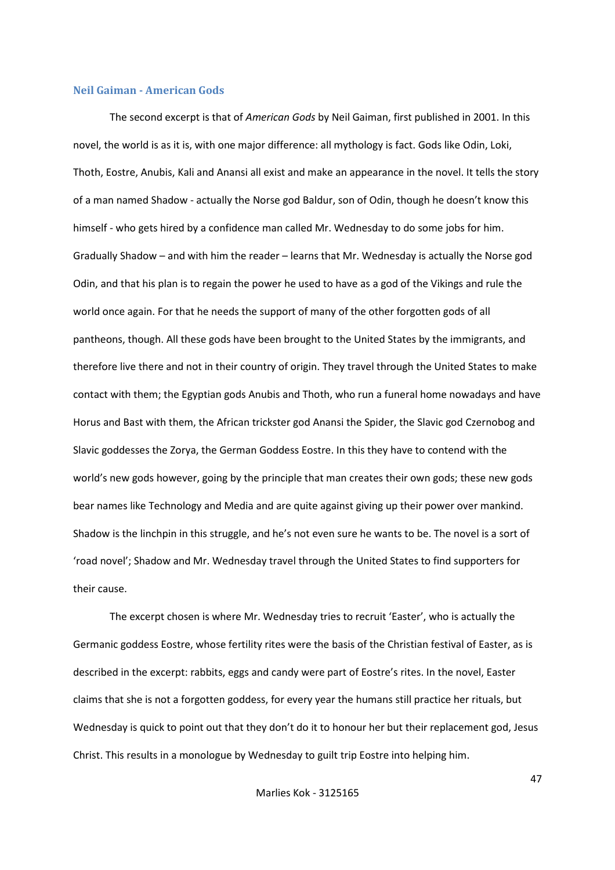## **Neil Gaiman - American Gods**

The second excerpt is that of *American Gods* by Neil Gaiman, first published in 2001. In this novel, the world is as it is, with one major difference: all mythology is fact. Gods like Odin, Loki, Thoth, Eostre, Anubis, Kali and Anansi all exist and make an appearance in the novel. It tells the story of a man named Shadow - actually the Norse god Baldur, son of Odin, though he doesn't know this himself - who gets hired by a confidence man called Mr. Wednesday to do some jobs for him. Gradually Shadow – and with him the reader – learns that Mr. Wednesday is actually the Norse god Odin, and that his plan is to regain the power he used to have as a god of the Vikings and rule the world once again. For that he needs the support of many of the other forgotten gods of all pantheons, though. All these gods have been brought to the United States by the immigrants, and therefore live there and not in their country of origin. They travel through the United States to make contact with them; the Egyptian gods Anubis and Thoth, who run a funeral home nowadays and have Horus and Bast with them, the African trickster god Anansi the Spider, the Slavic god Czernobog and Slavic goddesses the Zorya, the German Goddess Eostre. In this they have to contend with the world's new gods however, going by the principle that man creates their own gods; these new gods bear names like Technology and Media and are quite against giving up their power over mankind. Shadow is the linchpin in this struggle, and he's not even sure he wants to be. The novel is a sort of 'road novel'; Shadow and Mr. Wednesday travel through the United States to find supporters for their cause.

 The excerpt chosen is where Mr. Wednesday tries to recruit 'Easter', who is actually the Germanic goddess Eostre, whose fertility rites were the basis of the Christian festival of Easter, as is described in the excerpt: rabbits, eggs and candy were part of Eostre's rites. In the novel, Easter claims that she is not a forgotten goddess, for every year the humans still practice her rituals, but Wednesday is quick to point out that they don't do it to honour her but their replacement god, Jesus Christ. This results in a monologue by Wednesday to guilt trip Eostre into helping him.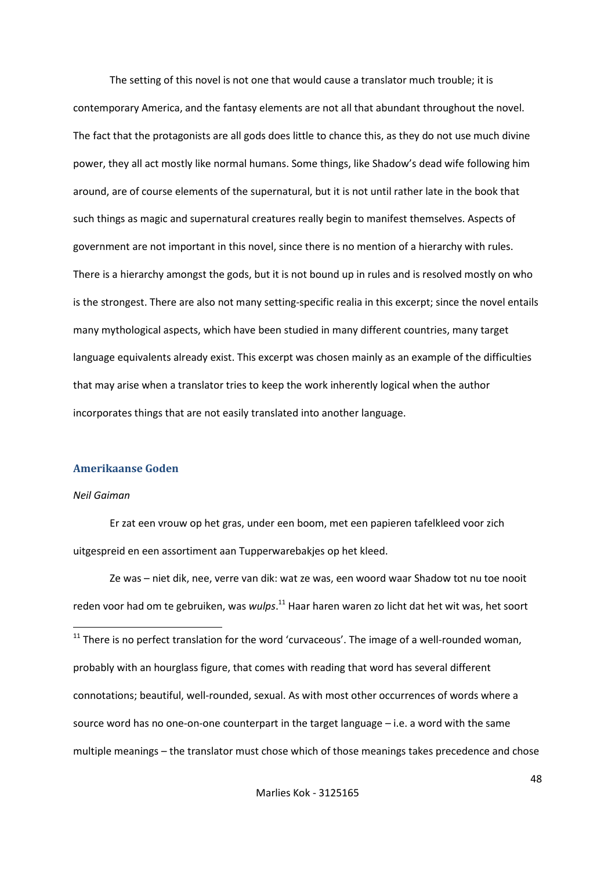The setting of this novel is not one that would cause a translator much trouble; it is contemporary America, and the fantasy elements are not all that abundant throughout the novel. The fact that the protagonists are all gods does little to chance this, as they do not use much divine power, they all act mostly like normal humans. Some things, like Shadow's dead wife following him around, are of course elements of the supernatural, but it is not until rather late in the book that such things as magic and supernatural creatures really begin to manifest themselves. Aspects of government are not important in this novel, since there is no mention of a hierarchy with rules. There is a hierarchy amongst the gods, but it is not bound up in rules and is resolved mostly on who is the strongest. There are also not many setting-specific realia in this excerpt; since the novel entails many mythological aspects, which have been studied in many different countries, many target language equivalents already exist. This excerpt was chosen mainly as an example of the difficulties that may arise when a translator tries to keep the work inherently logical when the author incorporates things that are not easily translated into another language.

# **Amerikaanse Goden**

### *Neil Gaiman*

 Er zat een vrouw op het gras, under een boom, met een papieren tafelkleed voor zich uitgespreid en een assortiment aan Tupperwarebakjes op het kleed.

 Ze was – niet dik, nee, verre van dik: wat ze was, een woord waar Shadow tot nu toe nooit reden voor had om te gebruiken, was *wulps*.<sup>11</sup> Haar haren waren zo licht dat het wit was, het soort

 $11$  There is no perfect translation for the word 'curvaceous'. The image of a well-rounded woman, probably with an hourglass figure, that comes with reading that word has several different connotations; beautiful, well-rounded, sexual. As with most other occurrences of words where a source word has no one-on-one counterpart in the target language  $-$  i.e. a word with the same multiple meanings – the translator must chose which of those meanings takes precedence and chose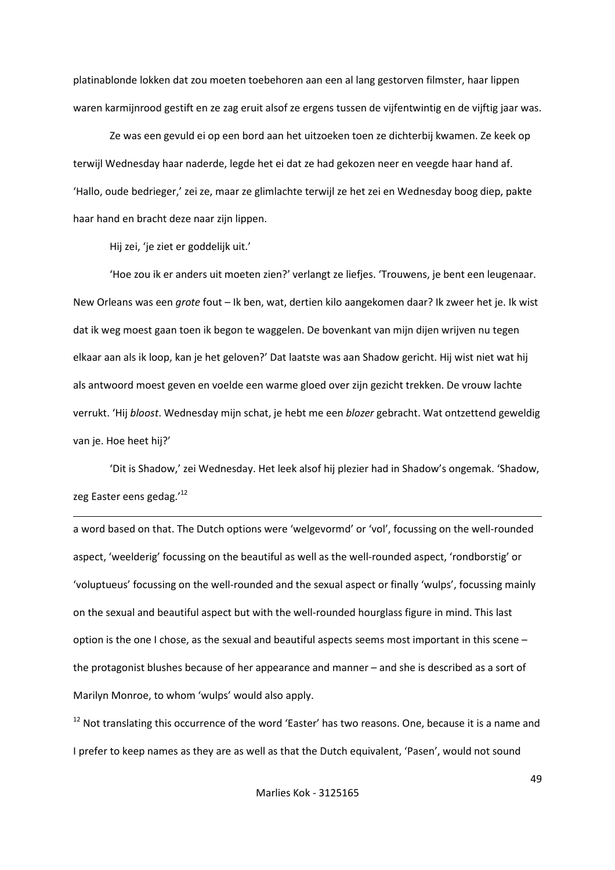platinablonde lokken dat zou moeten toebehoren aan een al lang gestorven filmster, haar lippen waren karmijnrood gestift en ze zag eruit alsof ze ergens tussen de vijfentwintig en de vijftig jaar was.

 Ze was een gevuld ei op een bord aan het uitzoeken toen ze dichterbij kwamen. Ze keek op terwijl Wednesday haar naderde, legde het ei dat ze had gekozen neer en veegde haar hand af. 'Hallo, oude bedrieger,' zei ze, maar ze glimlachte terwijl ze het zei en Wednesday boog diep, pakte haar hand en bracht deze naar zijn lippen.

Hij zei, 'je ziet er goddelijk uit.'

<u>.</u>

 'Hoe zou ik er anders uit moeten zien?' verlangt ze liefjes. 'Trouwens, je bent een leugenaar. New Orleans was een *grote* fout – Ik ben, wat, dertien kilo aangekomen daar? Ik zweer het je. Ik wist dat ik weg moest gaan toen ik begon te waggelen. De bovenkant van mijn dijen wrijven nu tegen elkaar aan als ik loop, kan je het geloven?' Dat laatste was aan Shadow gericht. Hij wist niet wat hij als antwoord moest geven en voelde een warme gloed over zijn gezicht trekken. De vrouw lachte verrukt. 'Hij *bloost*. Wednesday mijn schat, je hebt me een *blozer* gebracht. Wat ontzettend geweldig van je. Hoe heet hij?'

 'Dit is Shadow,' zei Wednesday. Het leek alsof hij plezier had in Shadow's ongemak. 'Shadow, zeg Easter eens gedag.'<sup>12</sup>

a word based on that. The Dutch options were 'welgevormd' or 'vol', focussing on the well-rounded aspect, 'weelderig' focussing on the beautiful as well as the well-rounded aspect, 'rondborstig' or 'voluptueus' focussing on the well-rounded and the sexual aspect or finally 'wulps', focussing mainly on the sexual and beautiful aspect but with the well-rounded hourglass figure in mind. This last option is the one I chose, as the sexual and beautiful aspects seems most important in this scene – the protagonist blushes because of her appearance and manner – and she is described as a sort of Marilyn Monroe, to whom 'wulps' would also apply.

 $12$  Not translating this occurrence of the word 'Easter' has two reasons. One, because it is a name and I prefer to keep names as they are as well as that the Dutch equivalent, 'Pasen', would not sound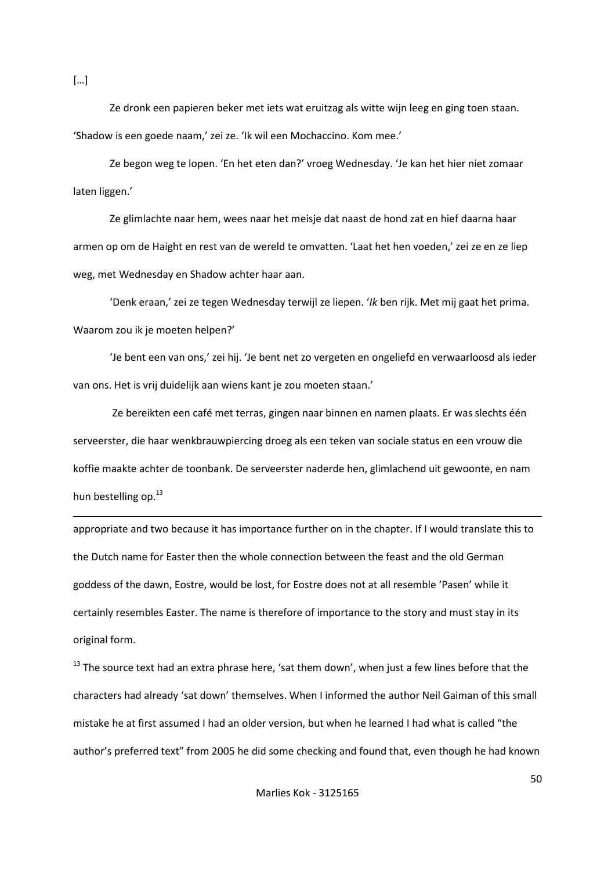Ze dronk een papieren beker met iets wat eruitzag als witte wijn leeg en ging toen staan. 'Shadow is een goede naam,' zei ze. 'Ik wil een Mochaccino. Kom mee.'

 Ze begon weg te lopen. 'En het eten dan?' vroeg Wednesday. 'Je kan het hier niet zomaar laten liggen.'

 Ze glimlachte naar hem, wees naar het meisje dat naast de hond zat en hief daarna haar armen op om de Haight en rest van de wereld te omvatten. 'Laat het hen voeden,' zei ze en ze liep weg, met Wednesday en Shadow achter haar aan.

 'Denk eraan,' zei ze tegen Wednesday terwijl ze liepen. '*Ik* ben rijk. Met mij gaat het prima. Waarom zou ik je moeten helpen?'

 'Je bent een van ons,' zei hij. 'Je bent net zo vergeten en ongeliefd en verwaarloosd als ieder van ons. Het is vrij duidelijk aan wiens kant je zou moeten staan.'

 Ze bereikten een café met terras, gingen naar binnen en namen plaats. Er was slechts één serveerster, die haar wenkbrauwpiercing droeg als een teken van sociale status en een vrouw die koffie maakte achter de toonbank. De serveerster naderde hen, glimlachend uit gewoonte, en nam hun bestelling op.<sup>13</sup>

appropriate and two because it has importance further on in the chapter. If I would translate this to the Dutch name for Easter then the whole connection between the feast and the old German goddess of the dawn, Eostre, would be lost, for Eostre does not at all resemble 'Pasen' while it certainly resembles Easter. The name is therefore of importance to the story and must stay in its original form.

 $13$  The source text had an extra phrase here, 'sat them down', when just a few lines before that the characters had already 'sat down' themselves. When I informed the author Neil Gaiman of this small mistake he at first assumed I had an older version, but when he learned I had what is called "the author's preferred text" from 2005 he did some checking and found that, even though he had known

[…]

<u>.</u>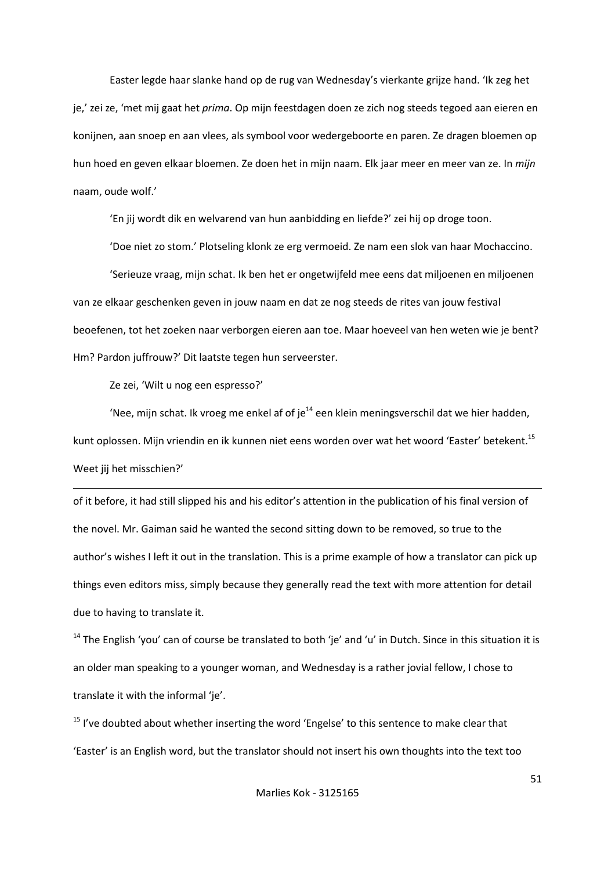Easter legde haar slanke hand op de rug van Wednesday's vierkante grijze hand. 'Ik zeg het je,' zei ze, 'met mij gaat het *prima*. Op mijn feestdagen doen ze zich nog steeds tegoed aan eieren en konijnen, aan snoep en aan vlees, als symbool voor wedergeboorte en paren. Ze dragen bloemen op hun hoed en geven elkaar bloemen. Ze doen het in mijn naam. Elk jaar meer en meer van ze. In *mijn* naam, oude wolf.'

'En jij wordt dik en welvarend van hun aanbidding en liefde?' zei hij op droge toon.

'Doe niet zo stom.' Plotseling klonk ze erg vermoeid. Ze nam een slok van haar Mochaccino.

'Serieuze vraag, mijn schat. Ik ben het er ongetwijfeld mee eens dat miljoenen en miljoenen van ze elkaar geschenken geven in jouw naam en dat ze nog steeds de rites van jouw festival beoefenen, tot het zoeken naar verborgen eieren aan toe. Maar hoeveel van hen weten wie je bent? Hm? Pardon juffrouw?' Dit laatste tegen hun serveerster.

Ze zei, 'Wilt u nog een espresso?'

<u>.</u>

'Nee, mijn schat. Ik vroeg me enkel af of je $14$  een klein meningsverschil dat we hier hadden, kunt oplossen. Mijn vriendin en ik kunnen niet eens worden over wat het woord 'Easter' betekent.<sup>15</sup> Weet jij het misschien?'

of it before, it had still slipped his and his editor's attention in the publication of his final version of the novel. Mr. Gaiman said he wanted the second sitting down to be removed, so true to the author's wishes I left it out in the translation. This is a prime example of how a translator can pick up things even editors miss, simply because they generally read the text with more attention for detail due to having to translate it.

 $14$  The English 'you' can of course be translated to both 'ie' and 'u' in Dutch. Since in this situation it is an older man speaking to a younger woman, and Wednesday is a rather jovial fellow, I chose to translate it with the informal 'je'.

 $15$  I've doubted about whether inserting the word 'Engelse' to this sentence to make clear that 'Easter' is an English word, but the translator should not insert his own thoughts into the text too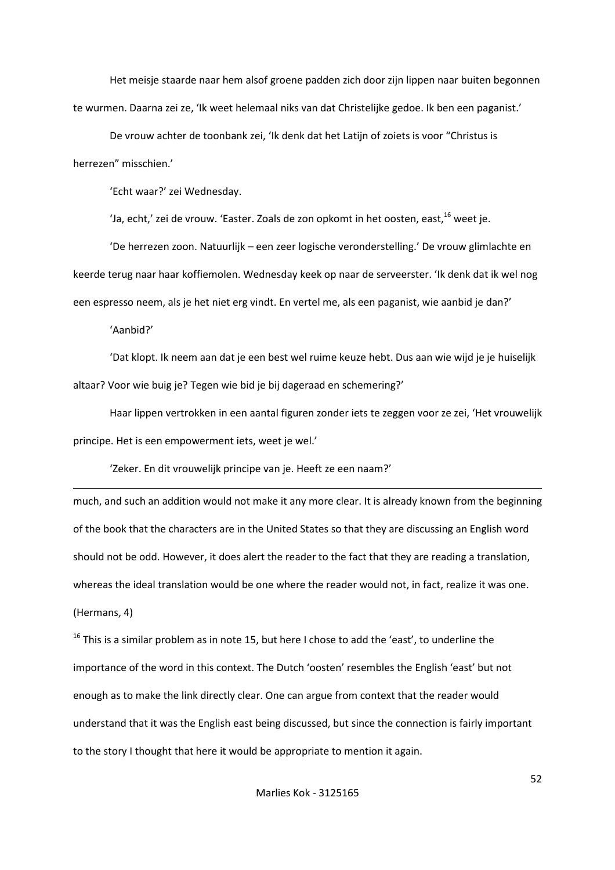Het meisje staarde naar hem alsof groene padden zich door zijn lippen naar buiten begonnen te wurmen. Daarna zei ze, 'Ik weet helemaal niks van dat Christelijke gedoe. Ik ben een paganist.'

De vrouw achter de toonbank zei, 'Ik denk dat het Latijn of zoiets is voor "Christus is herrezen" misschien.'

'Echt waar?' zei Wednesday.

'Ja, echt,' zei de vrouw. 'Easter. Zoals de zon opkomt in het oosten, east, $^{16}$  weet je.

'De herrezen zoon. Natuurlijk – een zeer logische veronderstelling.' De vrouw glimlachte en keerde terug naar haar koffiemolen. Wednesday keek op naar de serveerster. 'Ik denk dat ik wel nog een espresso neem, als je het niet erg vindt. En vertel me, als een paganist, wie aanbid je dan?'

'Aanbid?'

<u>.</u>

'Dat klopt. Ik neem aan dat je een best wel ruime keuze hebt. Dus aan wie wijd je je huiselijk altaar? Voor wie buig je? Tegen wie bid je bij dageraad en schemering?'

Haar lippen vertrokken in een aantal figuren zonder iets te zeggen voor ze zei, 'Het vrouwelijk principe. Het is een empowerment iets, weet je wel.'

'Zeker. En dit vrouwelijk principe van je. Heeft ze een naam?'

much, and such an addition would not make it any more clear. It is already known from the beginning of the book that the characters are in the United States so that they are discussing an English word should not be odd. However, it does alert the reader to the fact that they are reading a translation, whereas the ideal translation would be one where the reader would not, in fact, realize it was one. (Hermans, 4)

 $16$  This is a similar problem as in note 15, but here I chose to add the 'east', to underline the importance of the word in this context. The Dutch 'oosten' resembles the English 'east' but not enough as to make the link directly clear. One can argue from context that the reader would understand that it was the English east being discussed, but since the connection is fairly important to the story I thought that here it would be appropriate to mention it again.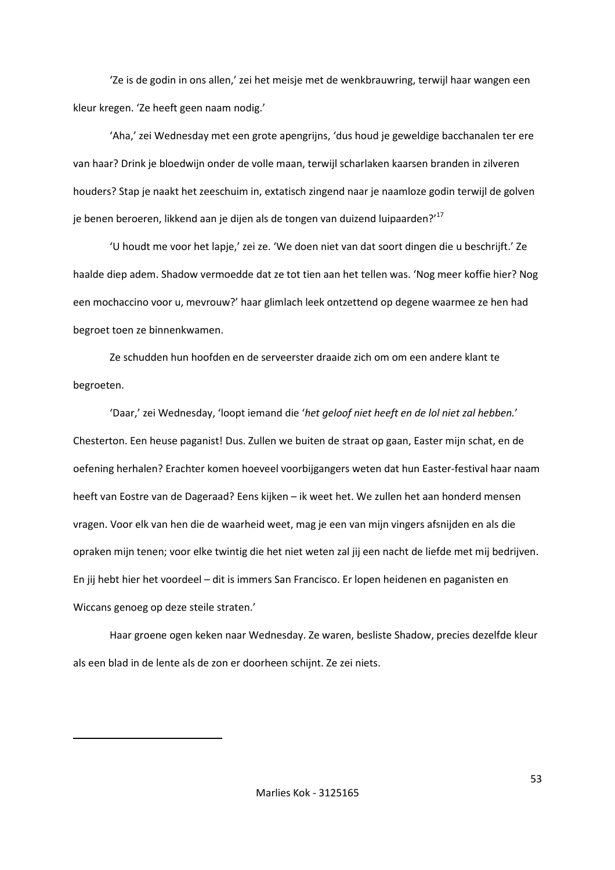'Ze is de godin in ons allen,' zei het meisje met de wenkbrauwring, terwijl haar wangen een kleur kregen. 'Ze heeft geen naam nodig.'

'Aha,' zei Wednesday met een grote apengrijns, 'dus houd je geweldige bacchanalen ter ere van haar? Drink je bloedwijn onder de volle maan, terwijl scharlaken kaarsen branden in zilveren houders? Stap je naakt het zeeschuim in, extatisch zingend naar je naamloze godin terwijl de golven je benen beroeren, likkend aan je dijen als de tongen van duizend luipaarden?'<sup>17</sup>

'U houdt me voor het lapje,' zei ze. 'We doen niet van dat soort dingen die u beschrijft.' Ze haalde diep adem. Shadow vermoedde dat ze tot tien aan het tellen was. 'Nog meer koffie hier? Nog een mochaccino voor u, mevrouw?' haar glimlach leek ontzettend op degene waarmee ze hen had begroet toen ze binnenkwamen.

Ze schudden hun hoofden en de serveerster draaide zich om om een andere klant te begroeten.

'Daar,' zei Wednesday, 'loopt iemand die '*het geloof niet heeft en de lol niet zal hebben.*' Chesterton. Een heuse paganist! Dus. Zullen we buiten de straat op gaan, Easter mijn schat, en de oefening herhalen? Erachter komen hoeveel voorbijgangers weten dat hun Easter-festival haar naam heeft van Eostre van de Dageraad? Eens kijken – ik weet het. We zullen het aan honderd mensen vragen. Voor elk van hen die de waarheid weet, mag je een van mijn vingers afsnijden en als die opraken mijn tenen; voor elke twintig die het niet weten zal jij een nacht de liefde met mij bedrijven. En jij hebt hier het voordeel – dit is immers San Francisco. Er lopen heidenen en paganisten en Wiccans genoeg op deze steile straten.'

Haar groene ogen keken naar Wednesday. Ze waren, besliste Shadow, precies dezelfde kleur als een blad in de lente als de zon er doorheen schijnt. Ze zei niets.

l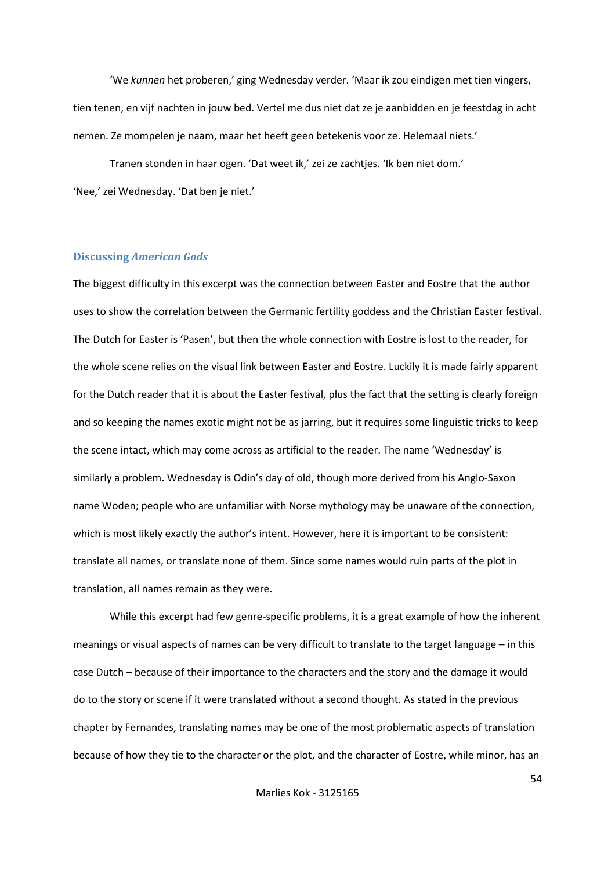'We *kunnen* het proberen,' ging Wednesday verder. 'Maar ik zou eindigen met tien vingers, tien tenen, en vijf nachten in jouw bed. Vertel me dus niet dat ze je aanbidden en je feestdag in acht nemen. Ze mompelen je naam, maar het heeft geen betekenis voor ze. Helemaal niets.'

Tranen stonden in haar ogen. 'Dat weet ik,' zei ze zachtjes. 'Ik ben niet dom.' 'Nee,' zei Wednesday. 'Dat ben je niet.'

# **Discussing** *American Gods*

The biggest difficulty in this excerpt was the connection between Easter and Eostre that the author uses to show the correlation between the Germanic fertility goddess and the Christian Easter festival. The Dutch for Easter is 'Pasen', but then the whole connection with Eostre is lost to the reader, for the whole scene relies on the visual link between Easter and Eostre. Luckily it is made fairly apparent for the Dutch reader that it is about the Easter festival, plus the fact that the setting is clearly foreign and so keeping the names exotic might not be as jarring, but it requires some linguistic tricks to keep the scene intact, which may come across as artificial to the reader. The name 'Wednesday' is similarly a problem. Wednesday is Odin's day of old, though more derived from his Anglo-Saxon name Woden; people who are unfamiliar with Norse mythology may be unaware of the connection, which is most likely exactly the author's intent. However, here it is important to be consistent: translate all names, or translate none of them. Since some names would ruin parts of the plot in translation, all names remain as they were.

 While this excerpt had few genre-specific problems, it is a great example of how the inherent meanings or visual aspects of names can be very difficult to translate to the target language – in this case Dutch – because of their importance to the characters and the story and the damage it would do to the story or scene if it were translated without a second thought. As stated in the previous chapter by Fernandes, translating names may be one of the most problematic aspects of translation because of how they tie to the character or the plot, and the character of Eostre, while minor, has an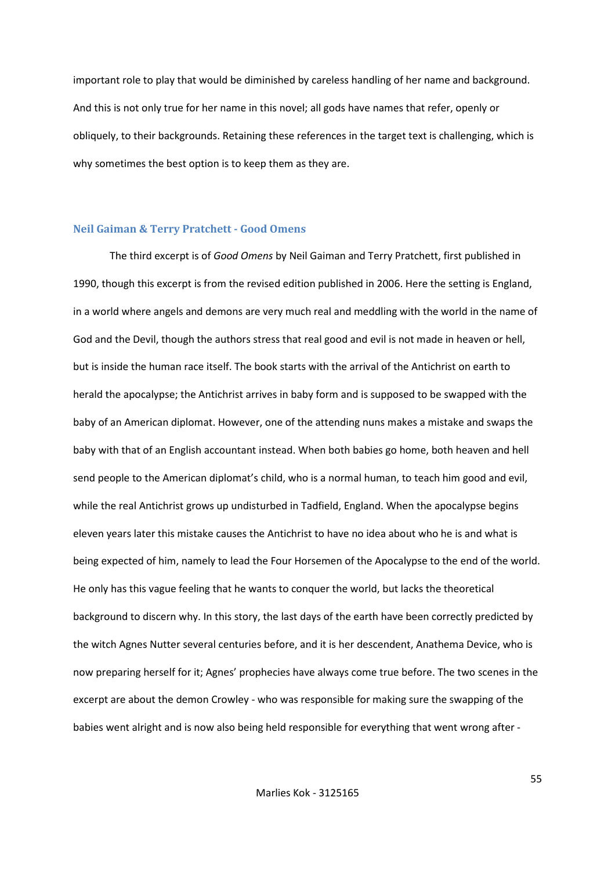important role to play that would be diminished by careless handling of her name and background. And this is not only true for her name in this novel; all gods have names that refer, openly or obliquely, to their backgrounds. Retaining these references in the target text is challenging, which is why sometimes the best option is to keep them as they are.

### **Neil Gaiman & Terry Pratchett - Good Omens**

The third excerpt is of *Good Omens* by Neil Gaiman and Terry Pratchett, first published in 1990, though this excerpt is from the revised edition published in 2006. Here the setting is England, in a world where angels and demons are very much real and meddling with the world in the name of God and the Devil, though the authors stress that real good and evil is not made in heaven or hell, but is inside the human race itself. The book starts with the arrival of the Antichrist on earth to herald the apocalypse; the Antichrist arrives in baby form and is supposed to be swapped with the baby of an American diplomat. However, one of the attending nuns makes a mistake and swaps the baby with that of an English accountant instead. When both babies go home, both heaven and hell send people to the American diplomat's child, who is a normal human, to teach him good and evil, while the real Antichrist grows up undisturbed in Tadfield, England. When the apocalypse begins eleven years later this mistake causes the Antichrist to have no idea about who he is and what is being expected of him, namely to lead the Four Horsemen of the Apocalypse to the end of the world. He only has this vague feeling that he wants to conquer the world, but lacks the theoretical background to discern why. In this story, the last days of the earth have been correctly predicted by the witch Agnes Nutter several centuries before, and it is her descendent, Anathema Device, who is now preparing herself for it; Agnes' prophecies have always come true before. The two scenes in the excerpt are about the demon Crowley - who was responsible for making sure the swapping of the babies went alright and is now also being held responsible for everything that went wrong after -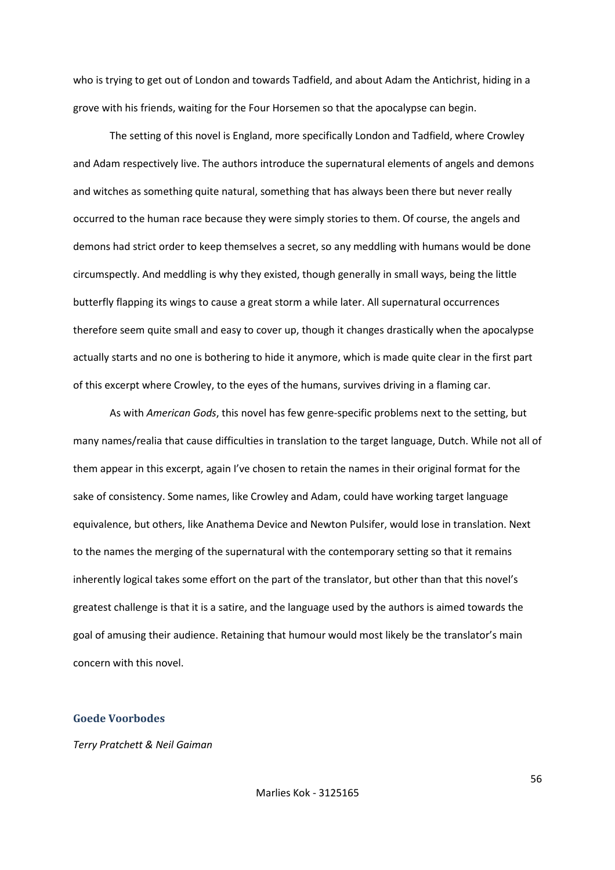who is trying to get out of London and towards Tadfield, and about Adam the Antichrist, hiding in a grove with his friends, waiting for the Four Horsemen so that the apocalypse can begin.

The setting of this novel is England, more specifically London and Tadfield, where Crowley and Adam respectively live. The authors introduce the supernatural elements of angels and demons and witches as something quite natural, something that has always been there but never really occurred to the human race because they were simply stories to them. Of course, the angels and demons had strict order to keep themselves a secret, so any meddling with humans would be done circumspectly. And meddling is why they existed, though generally in small ways, being the little butterfly flapping its wings to cause a great storm a while later. All supernatural occurrences therefore seem quite small and easy to cover up, though it changes drastically when the apocalypse actually starts and no one is bothering to hide it anymore, which is made quite clear in the first part of this excerpt where Crowley, to the eyes of the humans, survives driving in a flaming car.

As with *American Gods*, this novel has few genre-specific problems next to the setting, but many names/realia that cause difficulties in translation to the target language, Dutch. While not all of them appear in this excerpt, again I've chosen to retain the names in their original format for the sake of consistency. Some names, like Crowley and Adam, could have working target language equivalence, but others, like Anathema Device and Newton Pulsifer, would lose in translation. Next to the names the merging of the supernatural with the contemporary setting so that it remains inherently logical takes some effort on the part of the translator, but other than that this novel's greatest challenge is that it is a satire, and the language used by the authors is aimed towards the goal of amusing their audience. Retaining that humour would most likely be the translator's main concern with this novel.

# **Goede Voorbodes**

*Terry Pratchett & Neil Gaiman*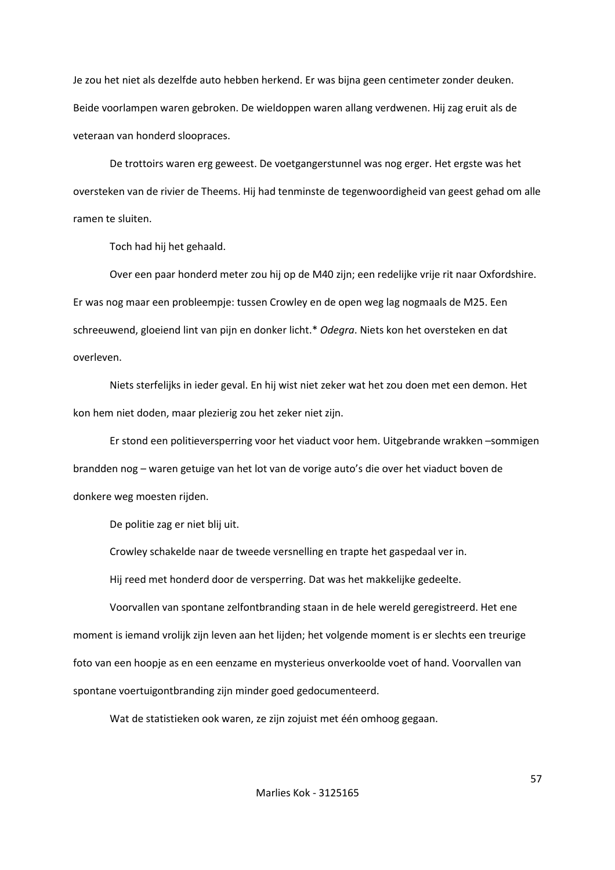Je zou het niet als dezelfde auto hebben herkend. Er was bijna geen centimeter zonder deuken. Beide voorlampen waren gebroken. De wieldoppen waren allang verdwenen. Hij zag eruit als de veteraan van honderd sloopraces.

 De trottoirs waren erg geweest. De voetgangerstunnel was nog erger. Het ergste was het oversteken van de rivier de Theems. Hij had tenminste de tegenwoordigheid van geest gehad om alle ramen te sluiten.

Toch had hij het gehaald.

 Over een paar honderd meter zou hij op de M40 zijn; een redelijke vrije rit naar Oxfordshire. Er was nog maar een probleempje: tussen Crowley en de open weg lag nogmaals de M25. Een schreeuwend, gloeiend lint van pijn en donker licht.\* *Odegra*. Niets kon het oversteken en dat overleven.

 Niets sterfelijks in ieder geval. En hij wist niet zeker wat het zou doen met een demon. Het kon hem niet doden, maar plezierig zou het zeker niet zijn.

 Er stond een politieversperring voor het viaduct voor hem. Uitgebrande wrakken –sommigen brandden nog – waren getuige van het lot van de vorige auto's die over het viaduct boven de donkere weg moesten rijden.

De politie zag er niet blij uit.

Crowley schakelde naar de tweede versnelling en trapte het gaspedaal ver in.

Hij reed met honderd door de versperring. Dat was het makkelijke gedeelte.

 Voorvallen van spontane zelfontbranding staan in de hele wereld geregistreerd. Het ene moment is iemand vrolijk zijn leven aan het lijden; het volgende moment is er slechts een treurige foto van een hoopje as en een eenzame en mysterieus onverkoolde voet of hand. Voorvallen van spontane voertuigontbranding zijn minder goed gedocumenteerd.

Wat de statistieken ook waren, ze zijn zojuist met één omhoog gegaan.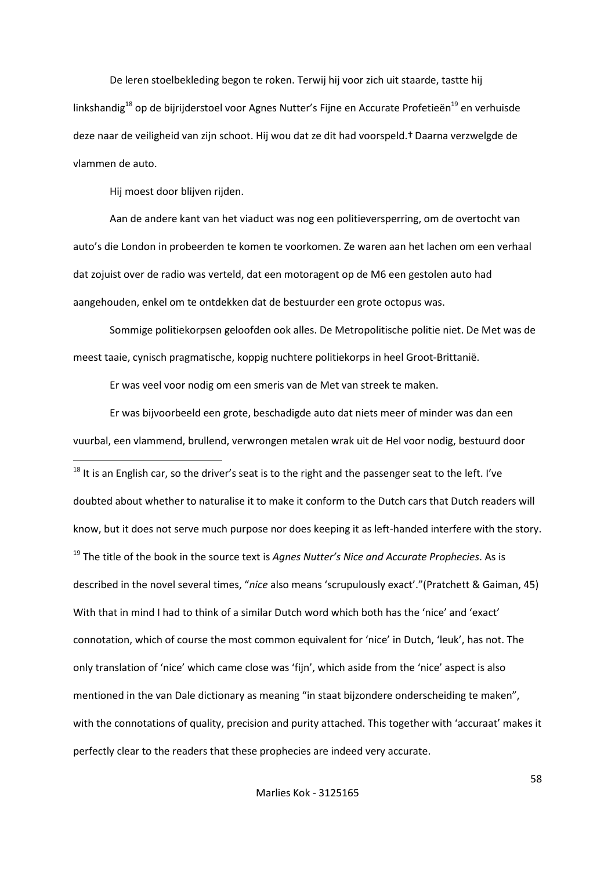De leren stoelbekleding begon te roken. Terwij hij voor zich uit staarde, tastte hij linkshandig<sup>18</sup> op de bijrijderstoel voor Agnes Nutter's Fijne en Accurate Profetieën<sup>19</sup> en verhuisde deze naar de veiligheid van zijn schoot. Hij wou dat ze dit had voorspeld.†Daarna verzwelgde de vlammen de auto.

Hij moest door blijven rijden.

l

Aan de andere kant van het viaduct was nog een politieversperring, om de overtocht van auto's die London in probeerden te komen te voorkomen. Ze waren aan het lachen om een verhaal dat zojuist over de radio was verteld, dat een motoragent op de M6 een gestolen auto had aangehouden, enkel om te ontdekken dat de bestuurder een grote octopus was.

Sommige politiekorpsen geloofden ook alles. De Metropolitische politie niet. De Met was de meest taaie, cynisch pragmatische, koppig nuchtere politiekorps in heel Groot-Brittanië.

Er was veel voor nodig om een smeris van de Met van streek te maken.

Er was bijvoorbeeld een grote, beschadigde auto dat niets meer of minder was dan een vuurbal, een vlammend, brullend, verwrongen metalen wrak uit de Hel voor nodig, bestuurd door

 $18$  It is an English car, so the driver's seat is to the right and the passenger seat to the left. I've doubted about whether to naturalise it to make it conform to the Dutch cars that Dutch readers will know, but it does not serve much purpose nor does keeping it as left-handed interfere with the story. <sup>19</sup> The title of the book in the source text is *Agnes Nutter's Nice and Accurate Prophecies*. As is described in the novel several times, "*nice* also means 'scrupulously exact'."(Pratchett & Gaiman, 45) With that in mind I had to think of a similar Dutch word which both has the 'nice' and 'exact' connotation, which of course the most common equivalent for 'nice' in Dutch, 'leuk', has not. The only translation of 'nice' which came close was 'fijn', which aside from the 'nice' aspect is also mentioned in the van Dale dictionary as meaning "in staat bijzondere onderscheiding te maken", with the connotations of quality, precision and purity attached. This together with 'accuraat' makes it perfectly clear to the readers that these prophecies are indeed very accurate.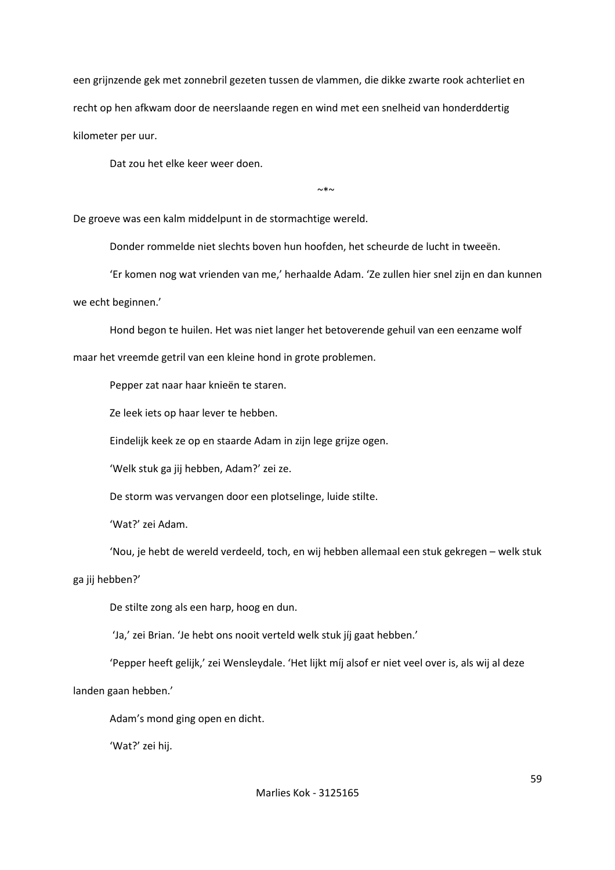een grijnzende gek met zonnebril gezeten tussen de vlammen, die dikke zwarte rook achterliet en recht op hen afkwam door de neerslaande regen en wind met een snelheid van honderddertig kilometer per uur.

Dat zou het elke keer weer doen.

 $~\sim$ \* $~\sim$ 

De groeve was een kalm middelpunt in de stormachtige wereld.

Donder rommelde niet slechts boven hun hoofden, het scheurde de lucht in tweeën.

 'Er komen nog wat vrienden van me,' herhaalde Adam. 'Ze zullen hier snel zijn en dan kunnen we echt beginnen.'

 Hond begon te huilen. Het was niet langer het betoverende gehuil van een eenzame wolf maar het vreemde getril van een kleine hond in grote problemen.

Pepper zat naar haar knieën te staren.

Ze leek iets op haar lever te hebben.

Eindelijk keek ze op en staarde Adam in zijn lege grijze ogen.

'Welk stuk ga jij hebben, Adam?' zei ze.

De storm was vervangen door een plotselinge, luide stilte.

'Wat?' zei Adam.

'Nou, je hebt de wereld verdeeld, toch, en wij hebben allemaal een stuk gekregen – welk stuk

ga jij hebben?'

De stilte zong als een harp, hoog en dun.

'Ja,' zei Brian. 'Je hebt ons nooit verteld welk stuk jíj gaat hebben.'

'Pepper heeft gelijk,' zei Wensleydale. 'Het lijkt míj alsof er niet veel over is, als wij al deze

landen gaan hebben.'

Adam's mond ging open en dicht.

'Wat?' zei hij.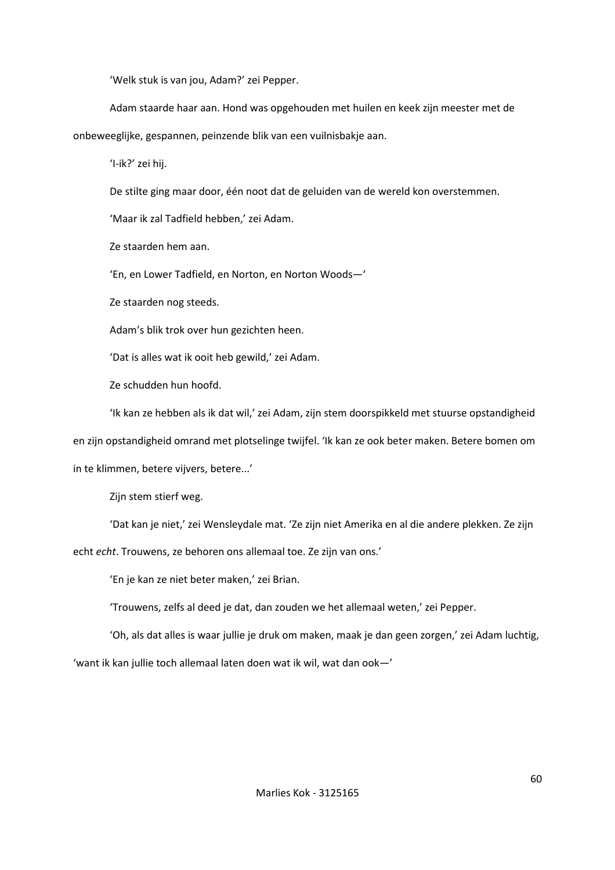'Welk stuk is van jou, Adam?' zei Pepper.

Adam staarde haar aan. Hond was opgehouden met huilen en keek zijn meester met de

onbeweeglijke, gespannen, peinzende blik van een vuilnisbakje aan.

'I-ik?' zei hij.

De stilte ging maar door, één noot dat de geluiden van de wereld kon overstemmen.

'Maar ik zal Tadfield hebben,' zei Adam.

Ze staarden hem aan.

'En, en Lower Tadfield, en Norton, en Norton Woods—'

Ze staarden nog steeds.

Adam's blik trok over hun gezichten heen.

'Dat is alles wat ik ooit heb gewild,' zei Adam.

Ze schudden hun hoofd.

 'Ik kan ze hebben als ik dat wil,' zei Adam, zijn stem doorspikkeld met stuurse opstandigheid en zijn opstandigheid omrand met plotselinge twijfel. 'Ik kan ze ook beter maken. Betere bomen om in te klimmen, betere vijvers, betere...'

Zijn stem stierf weg.

'Dat kan je niet,' zei Wensleydale mat. 'Ze zijn niet Amerika en al die andere plekken. Ze zijn

echt *echt*. Trouwens, ze behoren ons allemaal toe. Ze zijn van ons.'

'En je kan ze niet beter maken,' zei Brian.

'Trouwens, zelfs al deed je dat, dan zouden we het allemaal weten,' zei Pepper.

'Oh, als dat alles is waar jullie je druk om maken, maak je dan geen zorgen,' zei Adam luchtig,

'want ik kan jullie toch allemaal laten doen wat ik wil, wat dan ook—'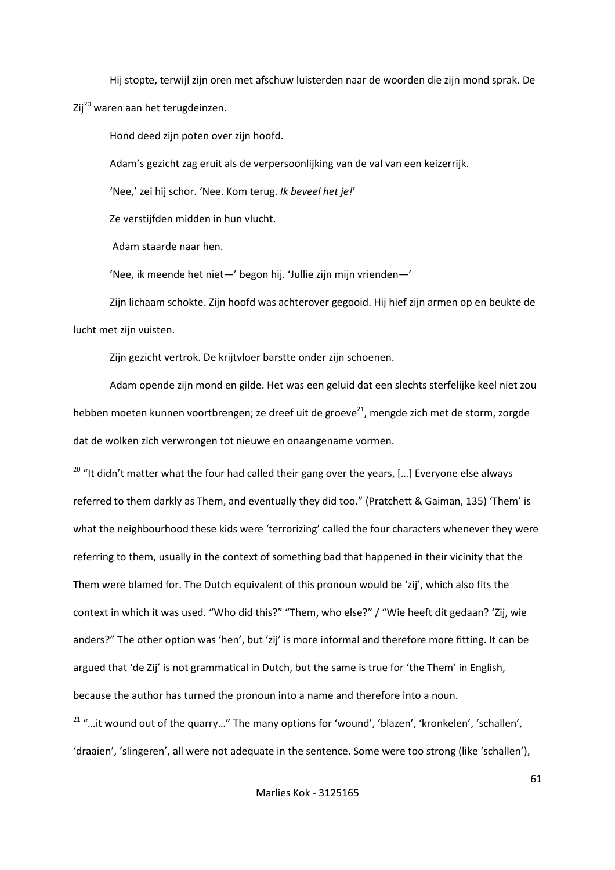Hij stopte, terwijl zijn oren met afschuw luisterden naar de woorden die zijn mond sprak. De Zij<sup>20</sup> waren aan het terugdeinzen.

Hond deed zijn poten over zijn hoofd.

Adam's gezicht zag eruit als de verpersoonlijking van de val van een keizerrijk.

'Nee,' zei hij schor. 'Nee. Kom terug. *Ik beveel het je!*'

Ze verstijfden midden in hun vlucht.

Adam staarde naar hen.

l

'Nee, ik meende het niet—' begon hij. 'Jullie zijn mijn vrienden—'

 Zijn lichaam schokte. Zijn hoofd was achterover gegooid. Hij hief zijn armen op en beukte de lucht met zijn vuisten.

Zijn gezicht vertrok. De krijtvloer barstte onder zijn schoenen.

 Adam opende zijn mond en gilde. Het was een geluid dat een slechts sterfelijke keel niet zou hebben moeten kunnen voortbrengen; ze dreef uit de groeve<sup>21</sup>, mengde zich met de storm, zorgde dat de wolken zich verwrongen tot nieuwe en onaangename vormen.

 $^{20}$  "It didn't matter what the four had called their gang over the years, [...] Everyone else always referred to them darkly as Them, and eventually they did too." (Pratchett & Gaiman, 135) 'Them' is what the neighbourhood these kids were 'terrorizing' called the four characters whenever they were referring to them, usually in the context of something bad that happened in their vicinity that the Them were blamed for. The Dutch equivalent of this pronoun would be 'zij', which also fits the context in which it was used. "Who did this?" "Them, who else?" / "Wie heeft dit gedaan? 'Zij, wie anders?" The other option was 'hen', but 'zij' is more informal and therefore more fitting. It can be argued that 'de Zij' is not grammatical in Dutch, but the same is true for 'the Them' in English, because the author has turned the pronoun into a name and therefore into a noun.  $21$  "...it wound out of the quarry..." The many options for 'wound', 'blazen', 'kronkelen', 'schallen',

'draaien', 'slingeren', all were not adequate in the sentence. Some were too strong (like 'schallen'),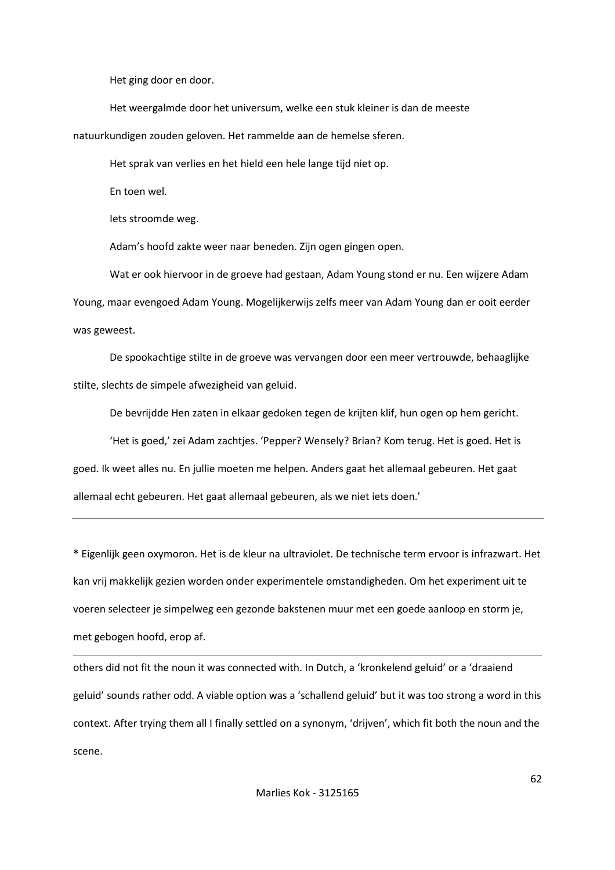Het ging door en door.

Het weergalmde door het universum, welke een stuk kleiner is dan de meeste

natuurkundigen zouden geloven. Het rammelde aan de hemelse sferen.

Het sprak van verlies en het hield een hele lange tijd niet op.

En toen wel.

<u>.</u>

Iets stroomde weg.

Adam's hoofd zakte weer naar beneden. Zijn ogen gingen open.

 Wat er ook hiervoor in de groeve had gestaan, Adam Young stond er nu. Een wijzere Adam Young, maar evengoed Adam Young. Mogelijkerwijs zelfs meer van Adam Young dan er ooit eerder was geweest.

 De spookachtige stilte in de groeve was vervangen door een meer vertrouwde, behaaglijke stilte, slechts de simpele afwezigheid van geluid.

De bevrijdde Hen zaten in elkaar gedoken tegen de krijten klif, hun ogen op hem gericht.

 'Het is goed,' zei Adam zachtjes. 'Pepper? Wensely? Brian? Kom terug. Het is goed. Het is goed. Ik weet alles nu. En jullie moeten me helpen. Anders gaat het allemaal gebeuren. Het gaat allemaal echt gebeuren. Het gaat allemaal gebeuren, als we niet iets doen.'

\* Eigenlijk geen oxymoron. Het is de kleur na ultraviolet. De technische term ervoor is infrazwart. Het kan vrij makkelijk gezien worden onder experimentele omstandigheden. Om het experiment uit te voeren selecteer je simpelweg een gezonde bakstenen muur met een goede aanloop en storm je, met gebogen hoofd, erop af.

others did not fit the noun it was connected with. In Dutch, a 'kronkelend geluid' or a 'draaiend geluid' sounds rather odd. A viable option was a 'schallend geluid' but it was too strong a word in this context. After trying them all I finally settled on a synonym, 'drijven', which fit both the noun and the scene.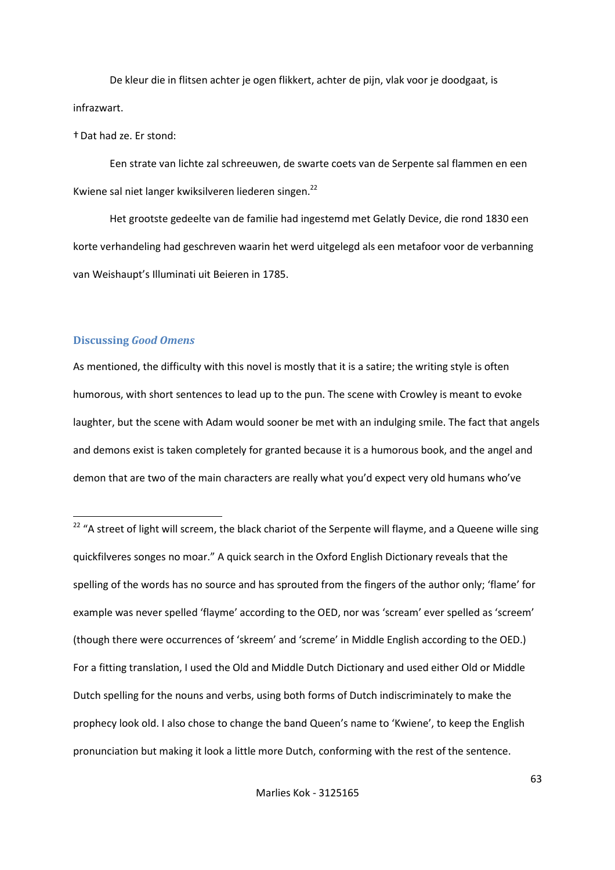De kleur die in flitsen achter je ogen flikkert, achter de pijn, vlak voor je doodgaat, is infrazwart.

# †Dat had ze. Er stond:

 Een strate van lichte zal schreeuwen, de swarte coets van de Serpente sal flammen en een Kwiene sal niet langer kwiksilveren liederen singen.<sup>22</sup>

 Het grootste gedeelte van de familie had ingestemd met Gelatly Device, die rond 1830 een korte verhandeling had geschreven waarin het werd uitgelegd als een metafoor voor de verbanning van Weishaupt's Illuminati uit Beieren in 1785.

# **Discussing** *Good Omens*

l

As mentioned, the difficulty with this novel is mostly that it is a satire; the writing style is often humorous, with short sentences to lead up to the pun. The scene with Crowley is meant to evoke laughter, but the scene with Adam would sooner be met with an indulging smile. The fact that angels and demons exist is taken completely for granted because it is a humorous book, and the angel and demon that are two of the main characters are really what you'd expect very old humans who've

<sup>&</sup>lt;sup>22</sup> "A street of light will screem, the black chariot of the Serpente will flayme, and a Queene wille sing quickfilveres songes no moar." A quick search in the Oxford English Dictionary reveals that the spelling of the words has no source and has sprouted from the fingers of the author only; 'flame' for example was never spelled 'flayme' according to the OED, nor was 'scream' ever spelled as 'screem' (though there were occurrences of 'skreem' and 'screme' in Middle English according to the OED.) For a fitting translation, I used the Old and Middle Dutch Dictionary and used either Old or Middle Dutch spelling for the nouns and verbs, using both forms of Dutch indiscriminately to make the prophecy look old. I also chose to change the band Queen's name to 'Kwiene', to keep the English pronunciation but making it look a little more Dutch, conforming with the rest of the sentence.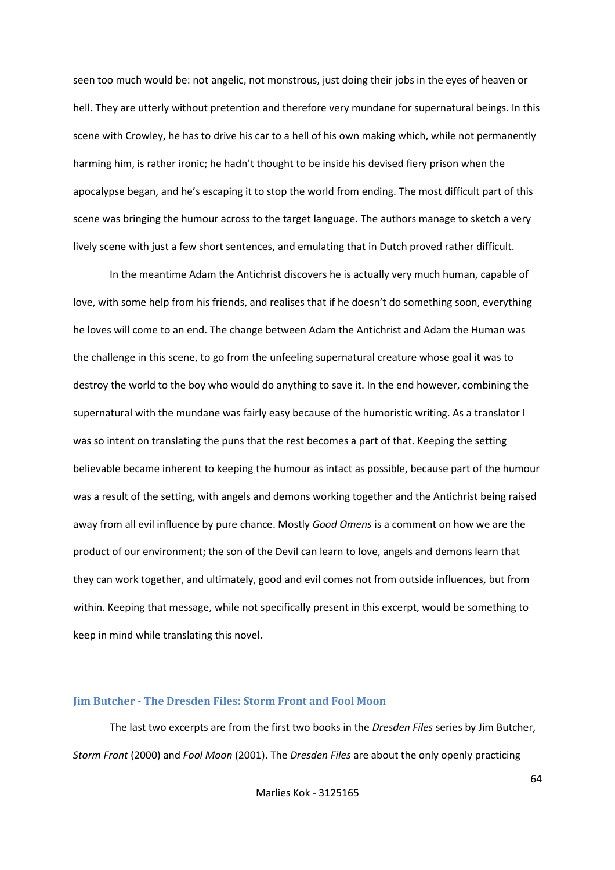seen too much would be: not angelic, not monstrous, just doing their jobs in the eyes of heaven or hell. They are utterly without pretention and therefore very mundane for supernatural beings. In this scene with Crowley, he has to drive his car to a hell of his own making which, while not permanently harming him, is rather ironic; he hadn't thought to be inside his devised fiery prison when the apocalypse began, and he's escaping it to stop the world from ending. The most difficult part of this scene was bringing the humour across to the target language. The authors manage to sketch a very lively scene with just a few short sentences, and emulating that in Dutch proved rather difficult.

In the meantime Adam the Antichrist discovers he is actually very much human, capable of love, with some help from his friends, and realises that if he doesn't do something soon, everything he loves will come to an end. The change between Adam the Antichrist and Adam the Human was the challenge in this scene, to go from the unfeeling supernatural creature whose goal it was to destroy the world to the boy who would do anything to save it. In the end however, combining the supernatural with the mundane was fairly easy because of the humoristic writing. As a translator I was so intent on translating the puns that the rest becomes a part of that. Keeping the setting believable became inherent to keeping the humour as intact as possible, because part of the humour was a result of the setting, with angels and demons working together and the Antichrist being raised away from all evil influence by pure chance. Mostly *Good Omens* is a comment on how we are the product of our environment; the son of the Devil can learn to love, angels and demons learn that they can work together, and ultimately, good and evil comes not from outside influences, but from within. Keeping that message, while not specifically present in this excerpt, would be something to keep in mind while translating this novel.

### **Jim Butcher - The Dresden Files: Storm Front and Fool Moon**

The last two excerpts are from the first two books in the *Dresden Files* series by Jim Butcher, *Storm Front* (2000) and *Fool Moon* (2001). The *Dresden Files* are about the only openly practicing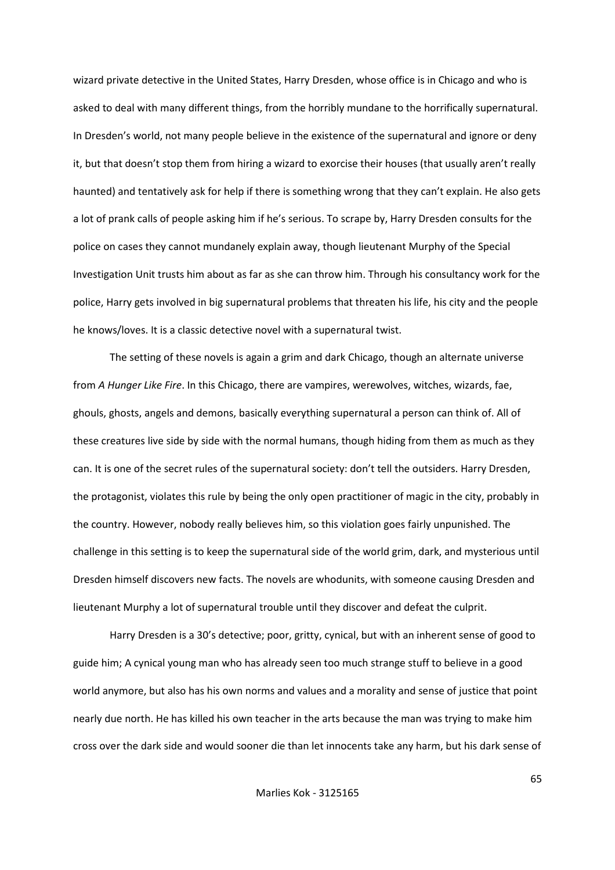wizard private detective in the United States, Harry Dresden, whose office is in Chicago and who is asked to deal with many different things, from the horribly mundane to the horrifically supernatural. In Dresden's world, not many people believe in the existence of the supernatural and ignore or deny it, but that doesn't stop them from hiring a wizard to exorcise their houses (that usually aren't really haunted) and tentatively ask for help if there is something wrong that they can't explain. He also gets a lot of prank calls of people asking him if he's serious. To scrape by, Harry Dresden consults for the police on cases they cannot mundanely explain away, though lieutenant Murphy of the Special Investigation Unit trusts him about as far as she can throw him. Through his consultancy work for the police, Harry gets involved in big supernatural problems that threaten his life, his city and the people he knows/loves. It is a classic detective novel with a supernatural twist.

The setting of these novels is again a grim and dark Chicago, though an alternate universe from *A Hunger Like Fire*. In this Chicago, there are vampires, werewolves, witches, wizards, fae, ghouls, ghosts, angels and demons, basically everything supernatural a person can think of. All of these creatures live side by side with the normal humans, though hiding from them as much as they can. It is one of the secret rules of the supernatural society: don't tell the outsiders. Harry Dresden, the protagonist, violates this rule by being the only open practitioner of magic in the city, probably in the country. However, nobody really believes him, so this violation goes fairly unpunished. The challenge in this setting is to keep the supernatural side of the world grim, dark, and mysterious until Dresden himself discovers new facts. The novels are whodunits, with someone causing Dresden and lieutenant Murphy a lot of supernatural trouble until they discover and defeat the culprit.

Harry Dresden is a 30's detective; poor, gritty, cynical, but with an inherent sense of good to guide him; A cynical young man who has already seen too much strange stuff to believe in a good world anymore, but also has his own norms and values and a morality and sense of justice that point nearly due north. He has killed his own teacher in the arts because the man was trying to make him cross over the dark side and would sooner die than let innocents take any harm, but his dark sense of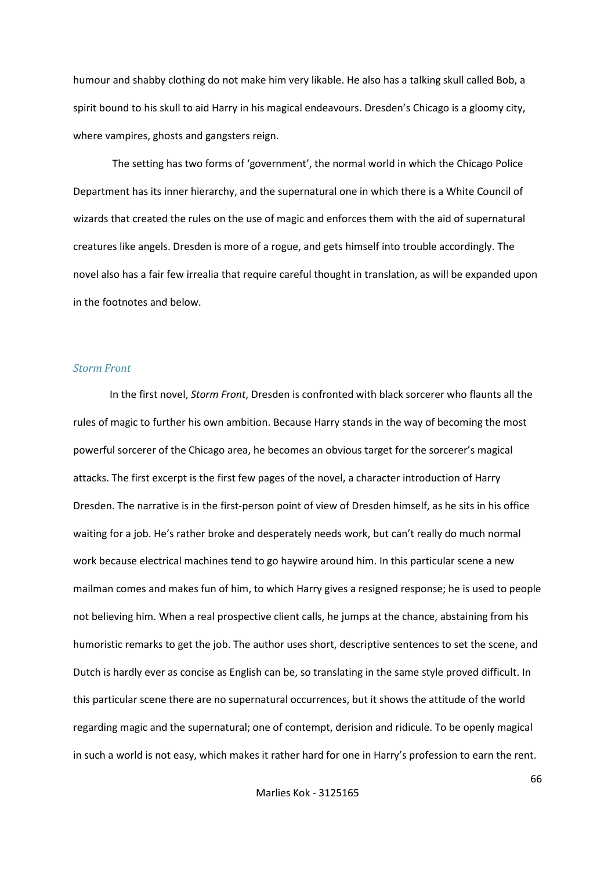humour and shabby clothing do not make him very likable. He also has a talking skull called Bob, a spirit bound to his skull to aid Harry in his magical endeavours. Dresden's Chicago is a gloomy city, where vampires, ghosts and gangsters reign.

 The setting has two forms of 'government', the normal world in which the Chicago Police Department has its inner hierarchy, and the supernatural one in which there is a White Council of wizards that created the rules on the use of magic and enforces them with the aid of supernatural creatures like angels. Dresden is more of a rogue, and gets himself into trouble accordingly. The novel also has a fair few irrealia that require careful thought in translation, as will be expanded upon in the footnotes and below.

### *Storm Front*

In the first novel, *Storm Front*, Dresden is confronted with black sorcerer who flaunts all the rules of magic to further his own ambition. Because Harry stands in the way of becoming the most powerful sorcerer of the Chicago area, he becomes an obvious target for the sorcerer's magical attacks. The first excerpt is the first few pages of the novel, a character introduction of Harry Dresden. The narrative is in the first-person point of view of Dresden himself, as he sits in his office waiting for a job. He's rather broke and desperately needs work, but can't really do much normal work because electrical machines tend to go haywire around him. In this particular scene a new mailman comes and makes fun of him, to which Harry gives a resigned response; he is used to people not believing him. When a real prospective client calls, he jumps at the chance, abstaining from his humoristic remarks to get the job. The author uses short, descriptive sentences to set the scene, and Dutch is hardly ever as concise as English can be, so translating in the same style proved difficult. In this particular scene there are no supernatural occurrences, but it shows the attitude of the world regarding magic and the supernatural; one of contempt, derision and ridicule. To be openly magical in such a world is not easy, which makes it rather hard for one in Harry's profession to earn the rent.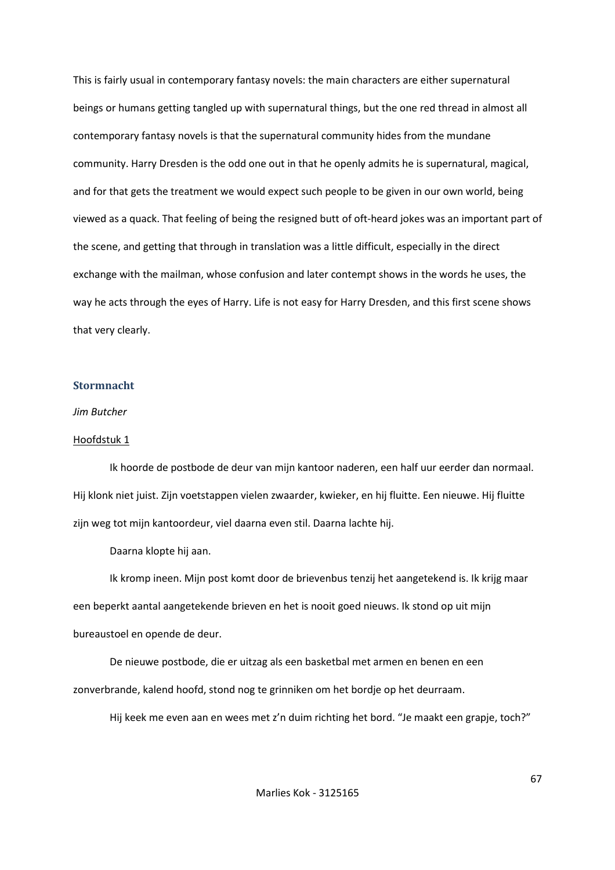This is fairly usual in contemporary fantasy novels: the main characters are either supernatural beings or humans getting tangled up with supernatural things, but the one red thread in almost all contemporary fantasy novels is that the supernatural community hides from the mundane community. Harry Dresden is the odd one out in that he openly admits he is supernatural, magical, and for that gets the treatment we would expect such people to be given in our own world, being viewed as a quack. That feeling of being the resigned butt of oft-heard jokes was an important part of the scene, and getting that through in translation was a little difficult, especially in the direct exchange with the mailman, whose confusion and later contempt shows in the words he uses, the way he acts through the eyes of Harry. Life is not easy for Harry Dresden, and this first scene shows that very clearly.

## **Stormnacht**

### *Jim Butcher*

#### Hoofdstuk 1

 Ik hoorde de postbode de deur van mijn kantoor naderen, een half uur eerder dan normaal. Hij klonk niet juist. Zijn voetstappen vielen zwaarder, kwieker, en hij fluitte. Een nieuwe. Hij fluitte zijn weg tot mijn kantoordeur, viel daarna even stil. Daarna lachte hij.

Daarna klopte hij aan.

Ik kromp ineen. Mijn post komt door de brievenbus tenzij het aangetekend is. Ik krijg maar een beperkt aantal aangetekende brieven en het is nooit goed nieuws. Ik stond op uit mijn bureaustoel en opende de deur.

 De nieuwe postbode, die er uitzag als een basketbal met armen en benen en een zonverbrande, kalend hoofd, stond nog te grinniken om het bordje op het deurraam.

Hij keek me even aan en wees met z'n duim richting het bord. "Je maakt een grapje, toch?"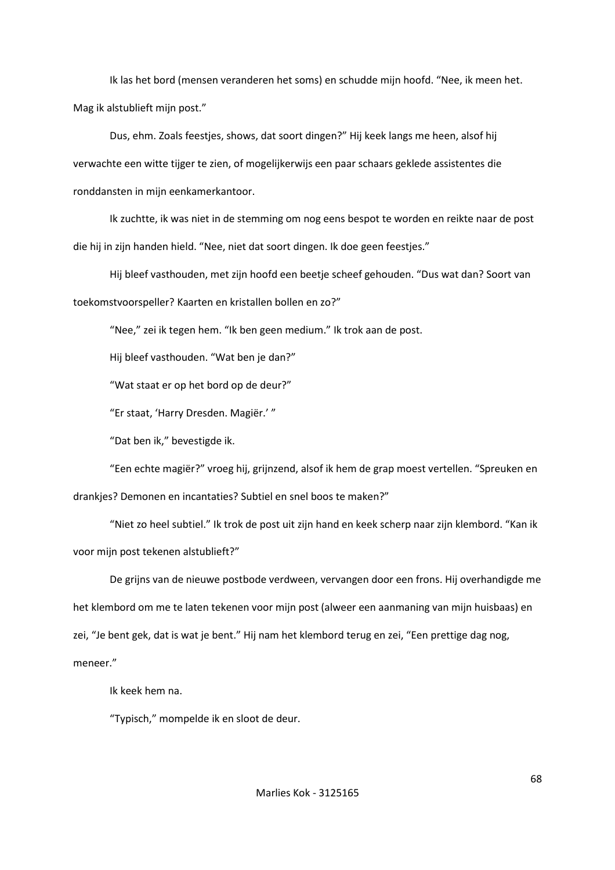Ik las het bord (mensen veranderen het soms) en schudde mijn hoofd. "Nee, ik meen het. Mag ik alstublieft mijn post."

 Dus, ehm. Zoals feestjes, shows, dat soort dingen?" Hij keek langs me heen, alsof hij verwachte een witte tijger te zien, of mogelijkerwijs een paar schaars geklede assistentes die ronddansten in mijn eenkamerkantoor.

 Ik zuchtte, ik was niet in de stemming om nog eens bespot te worden en reikte naar de post die hij in zijn handen hield. "Nee, niet dat soort dingen. Ik doe geen feestjes."

 Hij bleef vasthouden, met zijn hoofd een beetje scheef gehouden. "Dus wat dan? Soort van toekomstvoorspeller? Kaarten en kristallen bollen en zo?"

"Nee," zei ik tegen hem. "Ik ben geen medium." Ik trok aan de post.

Hij bleef vasthouden. "Wat ben je dan?"

"Wat staat er op het bord op de deur?"

"Er staat, 'Harry Dresden. Magiër.' "

"Dat ben ik," bevestigde ik.

"Een echte magiër?" vroeg hij, grijnzend, alsof ik hem de grap moest vertellen. "Spreuken en drankjes? Demonen en incantaties? Subtiel en snel boos te maken?"

"Niet zo heel subtiel." Ik trok de post uit zijn hand en keek scherp naar zijn klembord. "Kan ik voor mijn post tekenen alstublieft?"

De grijns van de nieuwe postbode verdween, vervangen door een frons. Hij overhandigde me het klembord om me te laten tekenen voor mijn post (alweer een aanmaning van mijn huisbaas) en zei, "Je bent gek, dat is wat je bent." Hij nam het klembord terug en zei, "Een prettige dag nog, meneer."

Ik keek hem na.

"Typisch," mompelde ik en sloot de deur.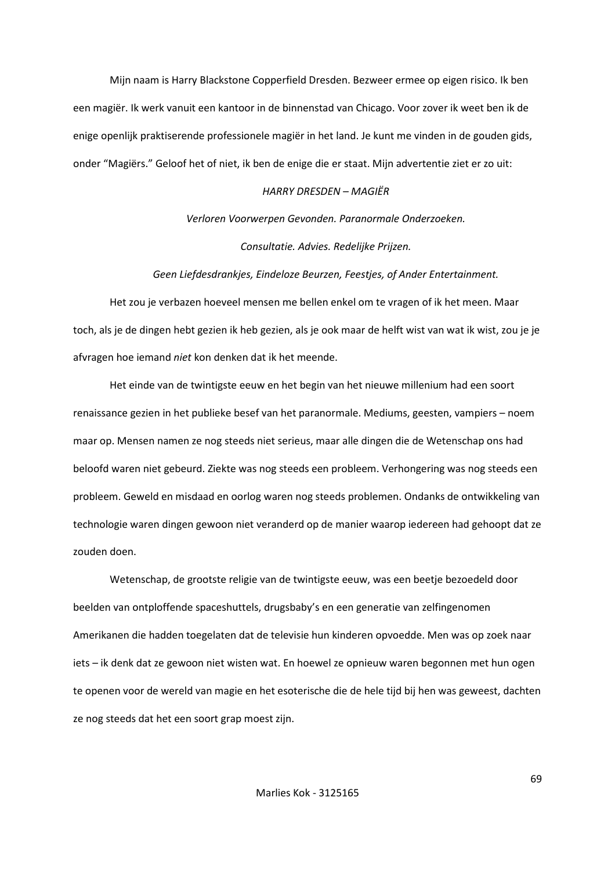Mijn naam is Harry Blackstone Copperfield Dresden. Bezweer ermee op eigen risico. Ik ben een magiër. Ik werk vanuit een kantoor in de binnenstad van Chicago. Voor zover ik weet ben ik de enige openlijk praktiserende professionele magiër in het land. Je kunt me vinden in de gouden gids, onder "Magiërs." Geloof het of niet, ik ben de enige die er staat. Mijn advertentie ziet er zo uit:

#### *HARRY DRESDEN – MAGIËR*

*Verloren Voorwerpen Gevonden. Paranormale Onderzoeken. Consultatie. Advies. Redelijke Prijzen.* 

*Geen Liefdesdrankjes, Eindeloze Beurzen, Feestjes, of Ander Entertainment.* 

Het zou je verbazen hoeveel mensen me bellen enkel om te vragen of ik het meen. Maar toch, als je de dingen hebt gezien ik heb gezien, als je ook maar de helft wist van wat ik wist, zou je je afvragen hoe iemand *niet* kon denken dat ik het meende.

Het einde van de twintigste eeuw en het begin van het nieuwe millenium had een soort renaissance gezien in het publieke besef van het paranormale. Mediums, geesten, vampiers – noem maar op. Mensen namen ze nog steeds niet serieus, maar alle dingen die de Wetenschap ons had beloofd waren niet gebeurd. Ziekte was nog steeds een probleem. Verhongering was nog steeds een probleem. Geweld en misdaad en oorlog waren nog steeds problemen. Ondanks de ontwikkeling van technologie waren dingen gewoon niet veranderd op de manier waarop iedereen had gehoopt dat ze zouden doen.

Wetenschap, de grootste religie van de twintigste eeuw, was een beetje bezoedeld door beelden van ontploffende spaceshuttels, drugsbaby's en een generatie van zelfingenomen Amerikanen die hadden toegelaten dat de televisie hun kinderen opvoedde. Men was op zoek naar iets – ik denk dat ze gewoon niet wisten wat. En hoewel ze opnieuw waren begonnen met hun ogen te openen voor de wereld van magie en het esoterische die de hele tijd bij hen was geweest, dachten ze nog steeds dat het een soort grap moest zijn.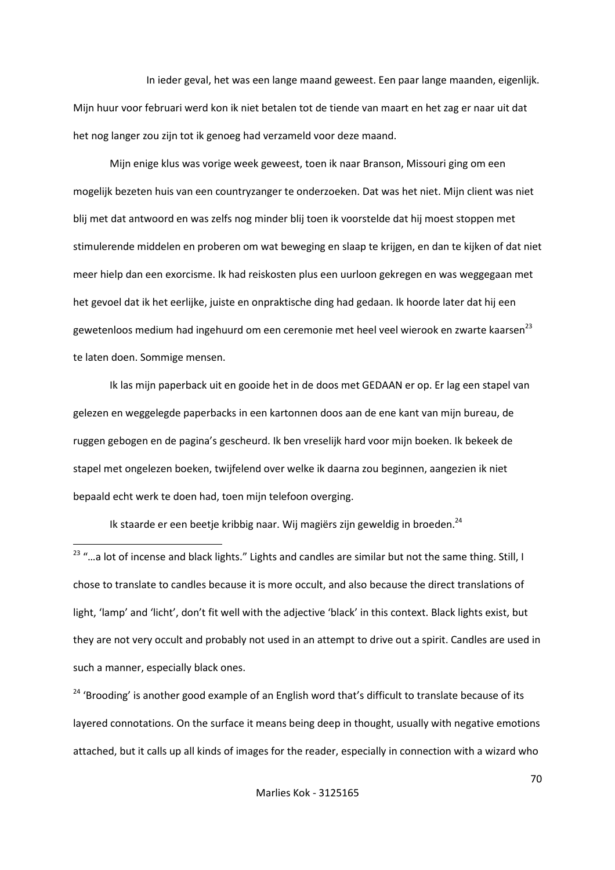In ieder geval, het was een lange maand geweest. Een paar lange maanden, eigenlijk. Mijn huur voor februari werd kon ik niet betalen tot de tiende van maart en het zag er naar uit dat het nog langer zou zijn tot ik genoeg had verzameld voor deze maand.

Mijn enige klus was vorige week geweest, toen ik naar Branson, Missouri ging om een mogelijk bezeten huis van een countryzanger te onderzoeken. Dat was het niet. Mijn client was niet blij met dat antwoord en was zelfs nog minder blij toen ik voorstelde dat hij moest stoppen met stimulerende middelen en proberen om wat beweging en slaap te krijgen, en dan te kijken of dat niet meer hielp dan een exorcisme. Ik had reiskosten plus een uurloon gekregen en was weggegaan met het gevoel dat ik het eerlijke, juiste en onpraktische ding had gedaan. Ik hoorde later dat hij een gewetenloos medium had ingehuurd om een ceremonie met heel veel wierook en zwarte kaarsen<sup>23</sup> te laten doen. Sommige mensen.

Ik las mijn paperback uit en gooide het in de doos met GEDAAN er op. Er lag een stapel van gelezen en weggelegde paperbacks in een kartonnen doos aan de ene kant van mijn bureau, de ruggen gebogen en de pagina's gescheurd. Ik ben vreselijk hard voor mijn boeken. Ik bekeek de stapel met ongelezen boeken, twijfelend over welke ik daarna zou beginnen, aangezien ik niet bepaald echt werk te doen had, toen mijn telefoon overging.

Ik staarde er een beetje kribbig naar. Wij magiërs zijn geweldig in broeden.<sup>24</sup>

 $\overline{\phantom{a}}$ 

<sup>23</sup> "...a lot of incense and black lights." Lights and candles are similar but not the same thing. Still, I chose to translate to candles because it is more occult, and also because the direct translations of light, 'lamp' and 'licht', don't fit well with the adjective 'black' in this context. Black lights exist, but they are not very occult and probably not used in an attempt to drive out a spirit. Candles are used in such a manner, especially black ones.

<sup>24</sup> 'Brooding' is another good example of an English word that's difficult to translate because of its layered connotations. On the surface it means being deep in thought, usually with negative emotions attached, but it calls up all kinds of images for the reader, especially in connection with a wizard who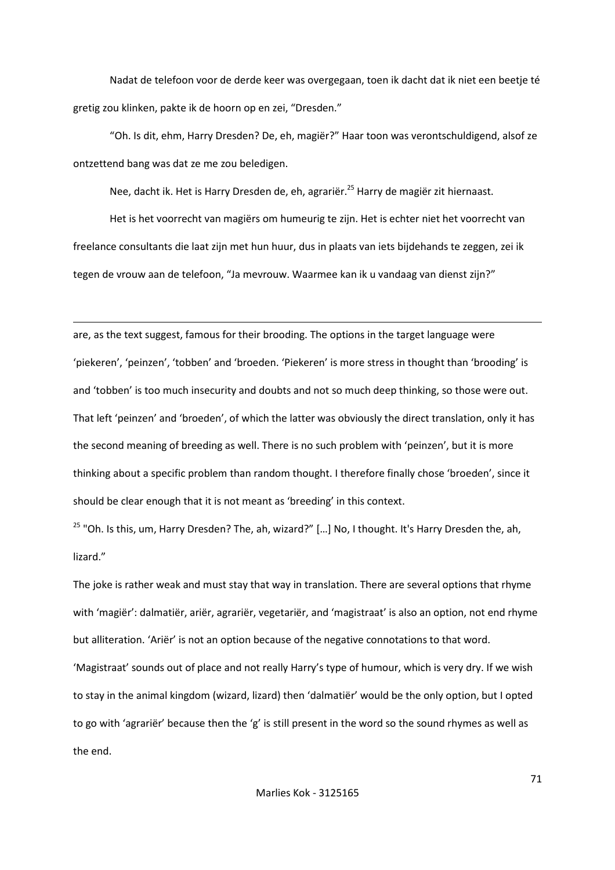Nadat de telefoon voor de derde keer was overgegaan, toen ik dacht dat ik niet een beetje té gretig zou klinken, pakte ik de hoorn op en zei, "Dresden."

"Oh. Is dit, ehm, Harry Dresden? De, eh, magiër?" Haar toon was verontschuldigend, alsof ze ontzettend bang was dat ze me zou beledigen.

Nee, dacht ik. Het is Harry Dresden de, eh, agrariër.<sup>25</sup> Harry de magiër zit hiernaast.

Het is het voorrecht van magiërs om humeurig te zijn. Het is echter niet het voorrecht van freelance consultants die laat zijn met hun huur, dus in plaats van iets bijdehands te zeggen, zei ik tegen de vrouw aan de telefoon, "Ja mevrouw. Waarmee kan ik u vandaag van dienst zijn?"

.<br>-

are, as the text suggest, famous for their brooding. The options in the target language were 'piekeren', 'peinzen', 'tobben' and 'broeden. 'Piekeren' is more stress in thought than 'brooding' is and 'tobben' is too much insecurity and doubts and not so much deep thinking, so those were out. That left 'peinzen' and 'broeden', of which the latter was obviously the direct translation, only it has the second meaning of breeding as well. There is no such problem with 'peinzen', but it is more thinking about a specific problem than random thought. I therefore finally chose 'broeden', since it should be clear enough that it is not meant as 'breeding' in this context.

<sup>25</sup> "Oh. Is this, um, Harry Dresden? The, ah, wizard?" [...] No, I thought. It's Harry Dresden the, ah, lizard."

The joke is rather weak and must stay that way in translation. There are several options that rhyme with 'magiër': dalmatiër, ariër, agrariër, vegetariër, and 'magistraat' is also an option, not end rhyme but alliteration. 'Ariër' is not an option because of the negative connotations to that word. 'Magistraat' sounds out of place and not really Harry's type of humour, which is very dry. If we wish to stay in the animal kingdom (wizard, lizard) then 'dalmatiër' would be the only option, but I opted to go with 'agrariër' because then the 'g' is still present in the word so the sound rhymes as well as the end.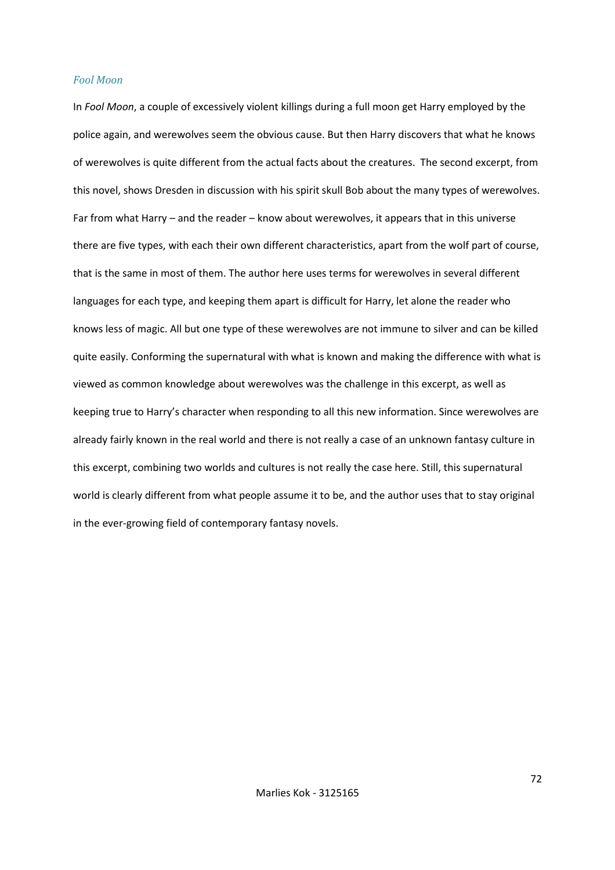# *Fool Moon*

In *Fool Moon*, a couple of excessively violent killings during a full moon get Harry employed by the police again, and werewolves seem the obvious cause. But then Harry discovers that what he knows of werewolves is quite different from the actual facts about the creatures. The second excerpt, from this novel, shows Dresden in discussion with his spirit skull Bob about the many types of werewolves. Far from what Harry – and the reader – know about werewolves, it appears that in this universe there are five types, with each their own different characteristics, apart from the wolf part of course, that is the same in most of them. The author here uses terms for werewolves in several different languages for each type, and keeping them apart is difficult for Harry, let alone the reader who knows less of magic. All but one type of these werewolves are not immune to silver and can be killed quite easily. Conforming the supernatural with what is known and making the difference with what is viewed as common knowledge about werewolves was the challenge in this excerpt, as well as keeping true to Harry's character when responding to all this new information. Since werewolves are already fairly known in the real world and there is not really a case of an unknown fantasy culture in this excerpt, combining two worlds and cultures is not really the case here. Still, this supernatural world is clearly different from what people assume it to be, and the author uses that to stay original in the ever-growing field of contemporary fantasy novels.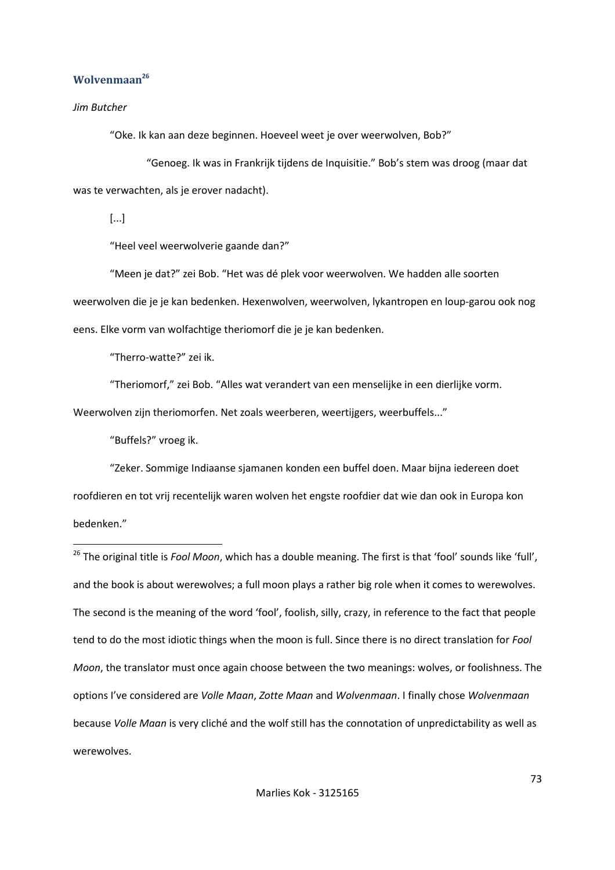# **Wolvenmaan<sup>26</sup>**

*Jim Butcher* 

"Oke. Ik kan aan deze beginnen. Hoeveel weet je over weerwolven, Bob?"

 "Genoeg. Ik was in Frankrijk tijdens de Inquisitie." Bob's stem was droog (maar dat was te verwachten, als je erover nadacht).

[...]

"Heel veel weerwolverie gaande dan?"

"Meen je dat?" zei Bob. "Het was dé plek voor weerwolven. We hadden alle soorten weerwolven die je je kan bedenken. Hexenwolven, weerwolven, lykantropen en loup-garou ook nog eens. Elke vorm van wolfachtige theriomorf die je je kan bedenken.

"Therro-watte?" zei ik.

"Theriomorf," zei Bob. "Alles wat verandert van een menselijke in een dierlijke vorm.

Weerwolven zijn theriomorfen. Net zoals weerberen, weertijgers, weerbuffels..."

"Buffels?" vroeg ik.

l

"Zeker. Sommige Indiaanse sjamanen konden een buffel doen. Maar bijna iedereen doet roofdieren en tot vrij recentelijk waren wolven het engste roofdier dat wie dan ook in Europa kon bedenken."

<sup>26</sup> The original title is *Fool Moon*, which has a double meaning. The first is that 'fool' sounds like 'full', and the book is about werewolves; a full moon plays a rather big role when it comes to werewolves. The second is the meaning of the word 'fool', foolish, silly, crazy, in reference to the fact that people tend to do the most idiotic things when the moon is full. Since there is no direct translation for *Fool Moon*, the translator must once again choose between the two meanings: wolves, or foolishness. The options I've considered are *Volle Maan*, *Zotte Maan* and *Wolvenmaan*. I finally chose *Wolvenmaan* because *Volle Maan* is very cliché and the wolf still has the connotation of unpredictability as well as werewolves.

73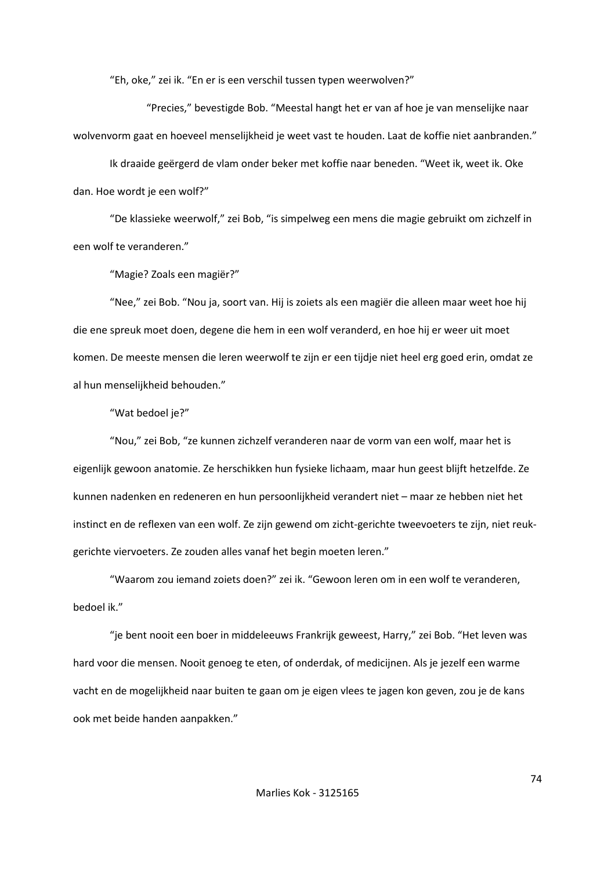"Eh, oke," zei ik. "En er is een verschil tussen typen weerwolven?"

 "Precies," bevestigde Bob. "Meestal hangt het er van af hoe je van menselijke naar wolvenvorm gaat en hoeveel menselijkheid je weet vast te houden. Laat de koffie niet aanbranden."

Ik draaide geërgerd de vlam onder beker met koffie naar beneden. "Weet ik, weet ik. Oke dan. Hoe wordt je een wolf?"

"De klassieke weerwolf," zei Bob, "is simpelweg een mens die magie gebruikt om zichzelf in een wolf te veranderen."

"Magie? Zoals een magiër?"

"Nee," zei Bob. "Nou ja, soort van. Hij is zoiets als een magiër die alleen maar weet hoe hij die ene spreuk moet doen, degene die hem in een wolf veranderd, en hoe hij er weer uit moet komen. De meeste mensen die leren weerwolf te zijn er een tijdje niet heel erg goed erin, omdat ze al hun menselijkheid behouden."

"Wat bedoel je?"

"Nou," zei Bob, "ze kunnen zichzelf veranderen naar de vorm van een wolf, maar het is eigenlijk gewoon anatomie. Ze herschikken hun fysieke lichaam, maar hun geest blijft hetzelfde. Ze kunnen nadenken en redeneren en hun persoonlijkheid verandert niet – maar ze hebben niet het instinct en de reflexen van een wolf. Ze zijn gewend om zicht-gerichte tweevoeters te zijn, niet reukgerichte viervoeters. Ze zouden alles vanaf het begin moeten leren."

"Waarom zou iemand zoiets doen?" zei ik. "Gewoon leren om in een wolf te veranderen, bedoel ik."

"je bent nooit een boer in middeleeuws Frankrijk geweest, Harry," zei Bob. "Het leven was hard voor die mensen. Nooit genoeg te eten, of onderdak, of medicijnen. Als je jezelf een warme vacht en de mogelijkheid naar buiten te gaan om je eigen vlees te jagen kon geven, zou je de kans ook met beide handen aanpakken."

74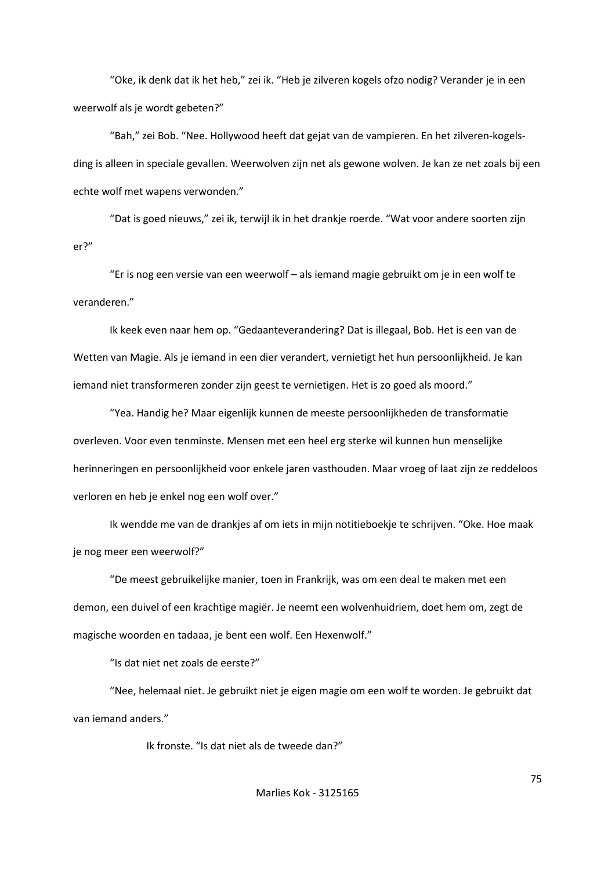"Oke, ik denk dat ik het heb," zei ik. "Heb je zilveren kogels ofzo nodig? Verander je in een weerwolf als je wordt gebeten?"

"Bah," zei Bob. "Nee. Hollywood heeft dat gejat van de vampieren. En het zilveren-kogelsding is alleen in speciale gevallen. Weerwolven zijn net als gewone wolven. Je kan ze net zoals bij een echte wolf met wapens verwonden."

"Dat is goed nieuws," zei ik, terwijl ik in het drankje roerde. "Wat voor andere soorten zijn er?"

"Er is nog een versie van een weerwolf – als iemand magie gebruikt om je in een wolf te veranderen."

Ik keek even naar hem op. "Gedaanteverandering? Dat is illegaal, Bob. Het is een van de Wetten van Magie. Als je iemand in een dier verandert, vernietigt het hun persoonlijkheid. Je kan iemand niet transformeren zonder zijn geest te vernietigen. Het is zo goed als moord."

 "Yea. Handig he? Maar eigenlijk kunnen de meeste persoonlijkheden de transformatie overleven. Voor even tenminste. Mensen met een heel erg sterke wil kunnen hun menselijke herinneringen en persoonlijkheid voor enkele jaren vasthouden. Maar vroeg of laat zijn ze reddeloos verloren en heb je enkel nog een wolf over."

 Ik wendde me van de drankjes af om iets in mijn notitieboekje te schrijven. "Oke. Hoe maak je nog meer een weerwolf?"

 "De meest gebruikelijke manier, toen in Frankrijk, was om een deal te maken met een demon, een duivel of een krachtige magiër. Je neemt een wolvenhuidriem, doet hem om, zegt de magische woorden en tadaaa, je bent een wolf. Een Hexenwolf."

"Is dat niet net zoals de eerste?"

"Nee, helemaal niet. Je gebruikt niet je eigen magie om een wolf te worden. Je gebruikt dat van iemand anders."

Ik fronste. "Is dat niet als de tweede dan?"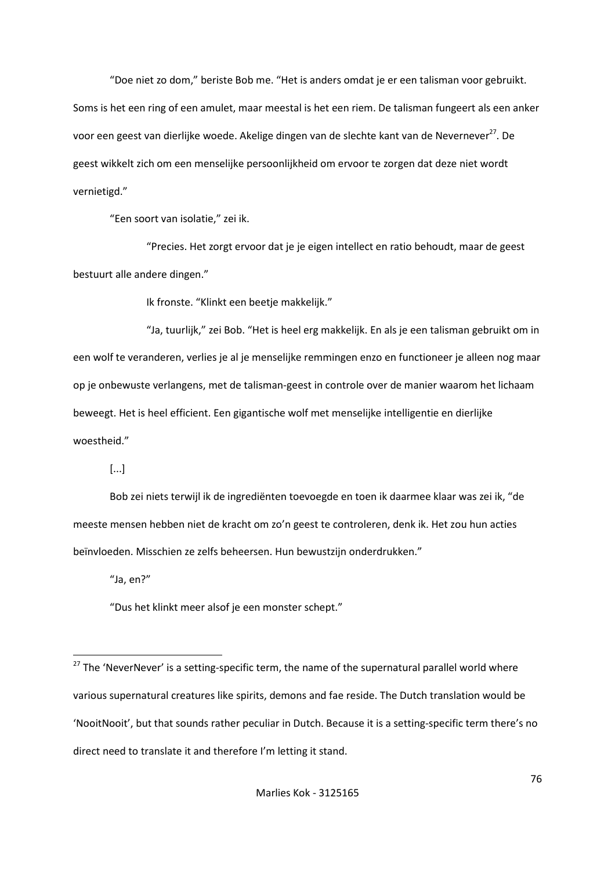"Doe niet zo dom," beriste Bob me. "Het is anders omdat je er een talisman voor gebruikt. Soms is het een ring of een amulet, maar meestal is het een riem. De talisman fungeert als een anker voor een geest van dierlijke woede. Akelige dingen van de slechte kant van de Nevernever<sup>27</sup>. De geest wikkelt zich om een menselijke persoonlijkheid om ervoor te zorgen dat deze niet wordt vernietigd."

"Een soort van isolatie," zei ik.

 "Precies. Het zorgt ervoor dat je je eigen intellect en ratio behoudt, maar de geest bestuurt alle andere dingen."

Ik fronste. "Klinkt een beetje makkelijk."

 "Ja, tuurlijk," zei Bob. "Het is heel erg makkelijk. En als je een talisman gebruikt om in een wolf te veranderen, verlies je al je menselijke remmingen enzo en functioneer je alleen nog maar op je onbewuste verlangens, met de talisman-geest in controle over de manier waarom het lichaam beweegt. Het is heel efficient. Een gigantische wolf met menselijke intelligentie en dierlijke woestheid."

[...]

Bob zei niets terwijl ik de ingrediënten toevoegde en toen ik daarmee klaar was zei ik, "de meeste mensen hebben niet de kracht om zo'n geest te controleren, denk ik. Het zou hun acties beïnvloeden. Misschien ze zelfs beheersen. Hun bewustzijn onderdrukken."

"Ja, en?"

l

"Dus het klinkt meer alsof je een monster schept."

<sup>&</sup>lt;sup>27</sup> The 'NeverNever' is a setting-specific term, the name of the supernatural parallel world where various supernatural creatures like spirits, demons and fae reside. The Dutch translation would be 'NooitNooit', but that sounds rather peculiar in Dutch. Because it is a setting-specific term there's no direct need to translate it and therefore I'm letting it stand.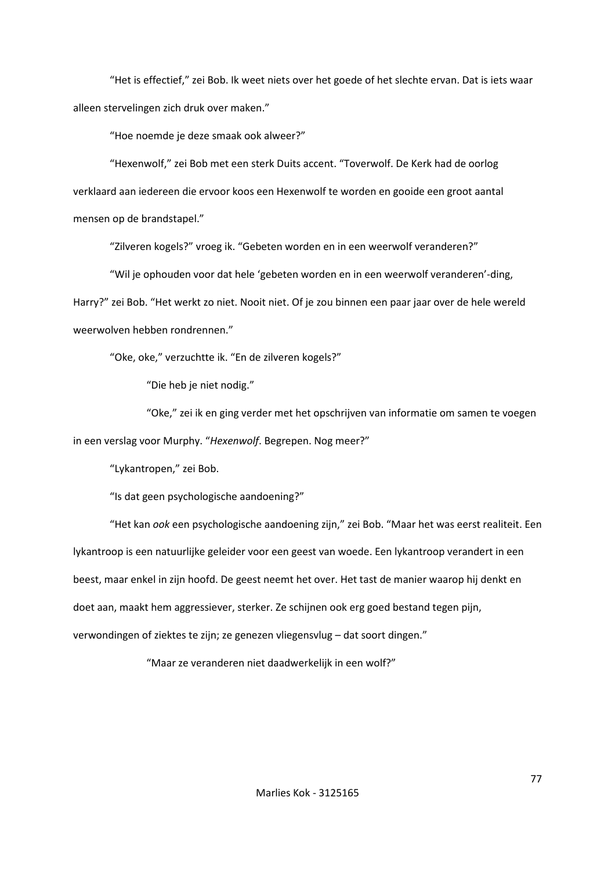"Het is effectief," zei Bob. Ik weet niets over het goede of het slechte ervan. Dat is iets waar alleen stervelingen zich druk over maken."

"Hoe noemde je deze smaak ook alweer?"

"Hexenwolf," zei Bob met een sterk Duits accent. "Toverwolf. De Kerk had de oorlog verklaard aan iedereen die ervoor koos een Hexenwolf te worden en gooide een groot aantal mensen op de brandstapel."

"Zilveren kogels?" vroeg ik. "Gebeten worden en in een weerwolf veranderen?"

"Wil je ophouden voor dat hele 'gebeten worden en in een weerwolf veranderen'-ding, Harry?" zei Bob. "Het werkt zo niet. Nooit niet. Of je zou binnen een paar jaar over de hele wereld weerwolven hebben rondrennen."

"Oke, oke," verzuchtte ik. "En de zilveren kogels?"

"Die heb je niet nodig."

 "Oke," zei ik en ging verder met het opschrijven van informatie om samen te voegen in een verslag voor Murphy. "*Hexenwolf*. Begrepen. Nog meer?"

"Lykantropen," zei Bob.

"Is dat geen psychologische aandoening?"

"Het kan *ook* een psychologische aandoening zijn," zei Bob. "Maar het was eerst realiteit. Een lykantroop is een natuurlijke geleider voor een geest van woede. Een lykantroop verandert in een beest, maar enkel in zijn hoofd. De geest neemt het over. Het tast de manier waarop hij denkt en doet aan, maakt hem aggressiever, sterker. Ze schijnen ook erg goed bestand tegen pijn, verwondingen of ziektes te zijn; ze genezen vliegensvlug – dat soort dingen."

"Maar ze veranderen niet daadwerkelijk in een wolf?"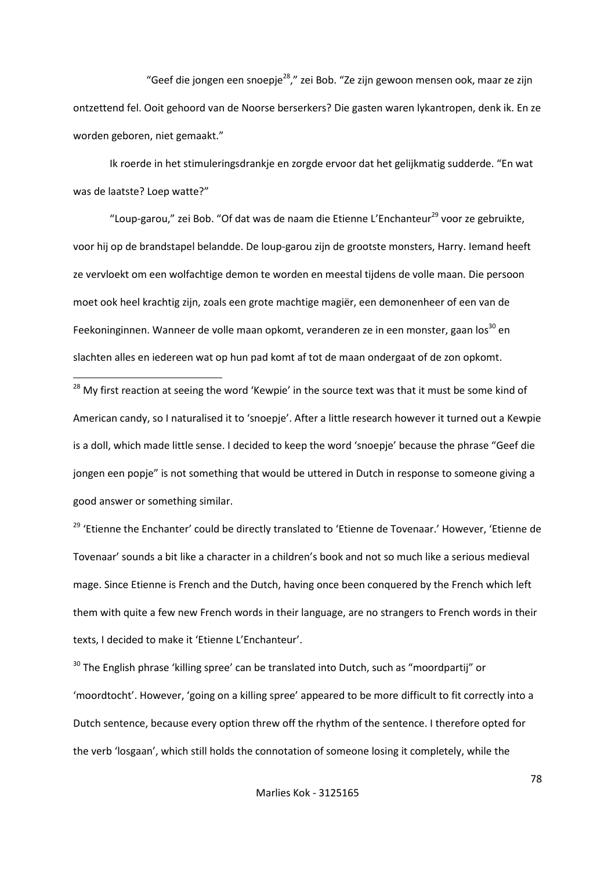"Geef die jongen een snoepje<sup>28</sup>," zei Bob. "Ze zijn gewoon mensen ook, maar ze zijn ontzettend fel. Ooit gehoord van de Noorse berserkers? Die gasten waren lykantropen, denk ik. En ze worden geboren, niet gemaakt."

Ik roerde in het stimuleringsdrankje en zorgde ervoor dat het gelijkmatig sudderde. "En wat was de laatste? Loep watte?"

"Loup-garou," zei Bob. "Of dat was de naam die Etienne L'Enchanteur<sup>29</sup> voor ze gebruikte, voor hij op de brandstapel belandde. De loup-garou zijn de grootste monsters, Harry. Iemand heeft ze vervloekt om een wolfachtige demon te worden en meestal tijdens de volle maan. Die persoon moet ook heel krachtig zijn, zoals een grote machtige magiër, een demonenheer of een van de Feekoninginnen. Wanneer de volle maan opkomt, veranderen ze in een monster, gaan los<sup>30</sup> en slachten alles en iedereen wat op hun pad komt af tot de maan ondergaat of de zon opkomt.

l

 $^{28}$  My first reaction at seeing the word 'Kewpie' in the source text was that it must be some kind of American candy, so I naturalised it to 'snoepje'. After a little research however it turned out a Kewpie is a doll, which made little sense. I decided to keep the word 'snoepje' because the phrase "Geef die jongen een popje" is not something that would be uttered in Dutch in response to someone giving a good answer or something similar.

<sup>29</sup> 'Etienne the Enchanter' could be directly translated to 'Etienne de Tovenaar.' However, 'Etienne de Tovenaar' sounds a bit like a character in a children's book and not so much like a serious medieval mage. Since Etienne is French and the Dutch, having once been conquered by the French which left them with quite a few new French words in their language, are no strangers to French words in their texts, I decided to make it 'Etienne L'Enchanteur'.

<sup>30</sup> The English phrase 'killing spree' can be translated into Dutch, such as "moordpartij" or 'moordtocht'. However, 'going on a killing spree' appeared to be more difficult to fit correctly into a Dutch sentence, because every option threw off the rhythm of the sentence. I therefore opted for the verb 'losgaan', which still holds the connotation of someone losing it completely, while the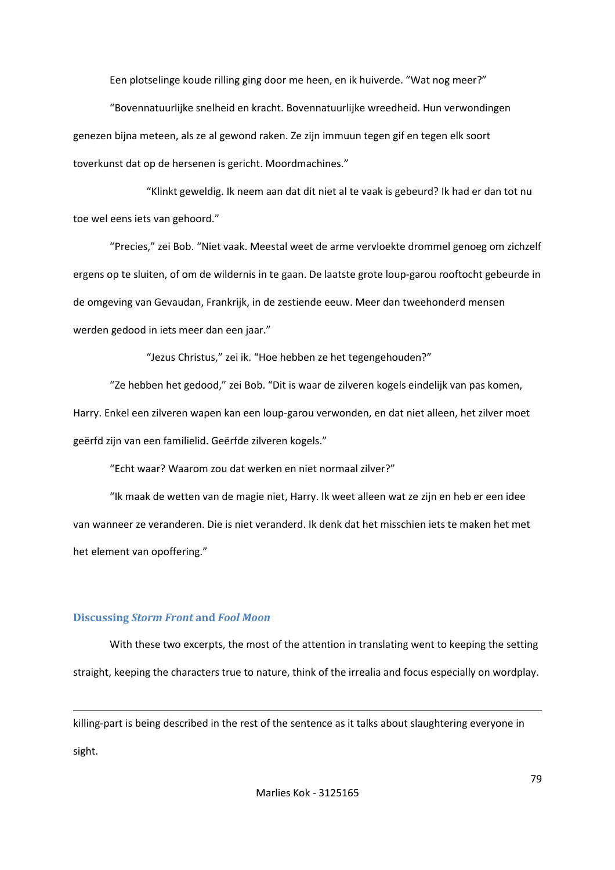Een plotselinge koude rilling ging door me heen, en ik huiverde. "Wat nog meer?"

"Bovennatuurlijke snelheid en kracht. Bovennatuurlijke wreedheid. Hun verwondingen genezen bijna meteen, als ze al gewond raken. Ze zijn immuun tegen gif en tegen elk soort toverkunst dat op de hersenen is gericht. Moordmachines."

 "Klinkt geweldig. Ik neem aan dat dit niet al te vaak is gebeurd? Ik had er dan tot nu toe wel eens iets van gehoord."

"Precies," zei Bob. "Niet vaak. Meestal weet de arme vervloekte drommel genoeg om zichzelf ergens op te sluiten, of om de wildernis in te gaan. De laatste grote loup-garou rooftocht gebeurde in de omgeving van Gevaudan, Frankrijk, in de zestiende eeuw. Meer dan tweehonderd mensen werden gedood in iets meer dan een jaar."

"Jezus Christus," zei ik. "Hoe hebben ze het tegengehouden?"

"Ze hebben het gedood," zei Bob. "Dit is waar de zilveren kogels eindelijk van pas komen, Harry. Enkel een zilveren wapen kan een loup-garou verwonden, en dat niet alleen, het zilver moet geërfd zijn van een familielid. Geërfde zilveren kogels."

"Echt waar? Waarom zou dat werken en niet normaal zilver?"

"Ik maak de wetten van de magie niet, Harry. Ik weet alleen wat ze zijn en heb er een idee van wanneer ze veranderen. Die is niet veranderd. Ik denk dat het misschien iets te maken het met het element van opoffering."

## **Discussing** *Storm Front* **and** *Fool Moon*

<u>.</u>

With these two excerpts, the most of the attention in translating went to keeping the setting straight, keeping the characters true to nature, think of the irrealia and focus especially on wordplay.

killing-part is being described in the rest of the sentence as it talks about slaughtering everyone in sight.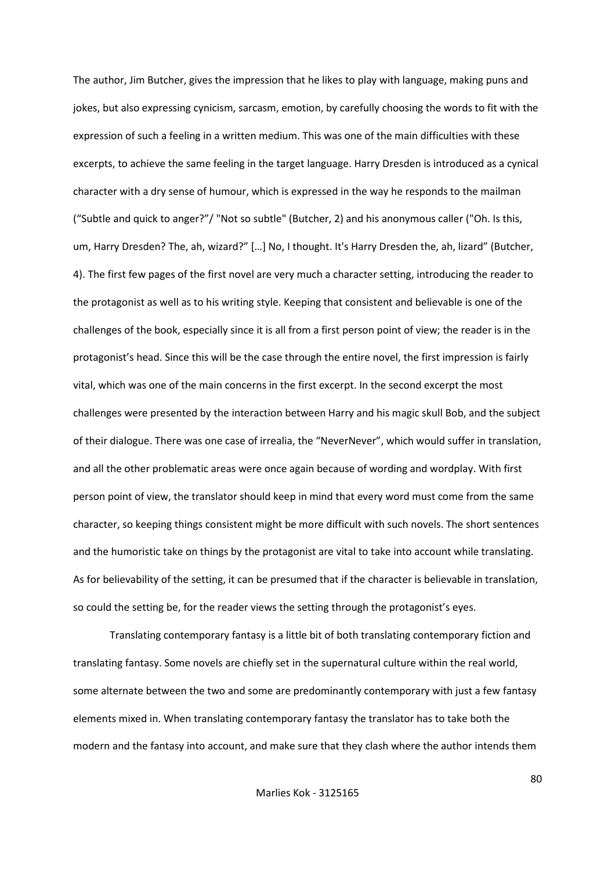The author, Jim Butcher, gives the impression that he likes to play with language, making puns and jokes, but also expressing cynicism, sarcasm, emotion, by carefully choosing the words to fit with the expression of such a feeling in a written medium. This was one of the main difficulties with these excerpts, to achieve the same feeling in the target language. Harry Dresden is introduced as a cynical character with a dry sense of humour, which is expressed in the way he responds to the mailman ("Subtle and quick to anger?"/ "Not so subtle" (Butcher, 2) and his anonymous caller ("Oh. Is this, um, Harry Dresden? The, ah, wizard?" […] No, I thought. It's Harry Dresden the, ah, lizard" (Butcher, 4). The first few pages of the first novel are very much a character setting, introducing the reader to the protagonist as well as to his writing style. Keeping that consistent and believable is one of the challenges of the book, especially since it is all from a first person point of view; the reader is in the protagonist's head. Since this will be the case through the entire novel, the first impression is fairly vital, which was one of the main concerns in the first excerpt. In the second excerpt the most challenges were presented by the interaction between Harry and his magic skull Bob, and the subject of their dialogue. There was one case of irrealia, the "NeverNever", which would suffer in translation, and all the other problematic areas were once again because of wording and wordplay. With first person point of view, the translator should keep in mind that every word must come from the same character, so keeping things consistent might be more difficult with such novels. The short sentences and the humoristic take on things by the protagonist are vital to take into account while translating. As for believability of the setting, it can be presumed that if the character is believable in translation, so could the setting be, for the reader views the setting through the protagonist's eyes.

Translating contemporary fantasy is a little bit of both translating contemporary fiction and translating fantasy. Some novels are chiefly set in the supernatural culture within the real world, some alternate between the two and some are predominantly contemporary with just a few fantasy elements mixed in. When translating contemporary fantasy the translator has to take both the modern and the fantasy into account, and make sure that they clash where the author intends them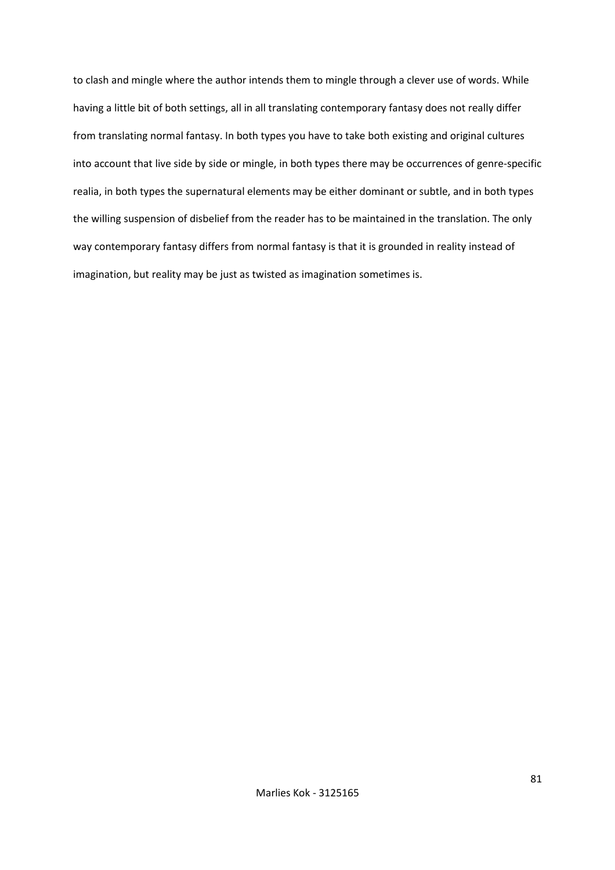to clash and mingle where the author intends them to mingle through a clever use of words. While having a little bit of both settings, all in all translating contemporary fantasy does not really differ from translating normal fantasy. In both types you have to take both existing and original cultures into account that live side by side or mingle, in both types there may be occurrences of genre-specific realia, in both types the supernatural elements may be either dominant or subtle, and in both types the willing suspension of disbelief from the reader has to be maintained in the translation. The only way contemporary fantasy differs from normal fantasy is that it is grounded in reality instead of imagination, but reality may be just as twisted as imagination sometimes is.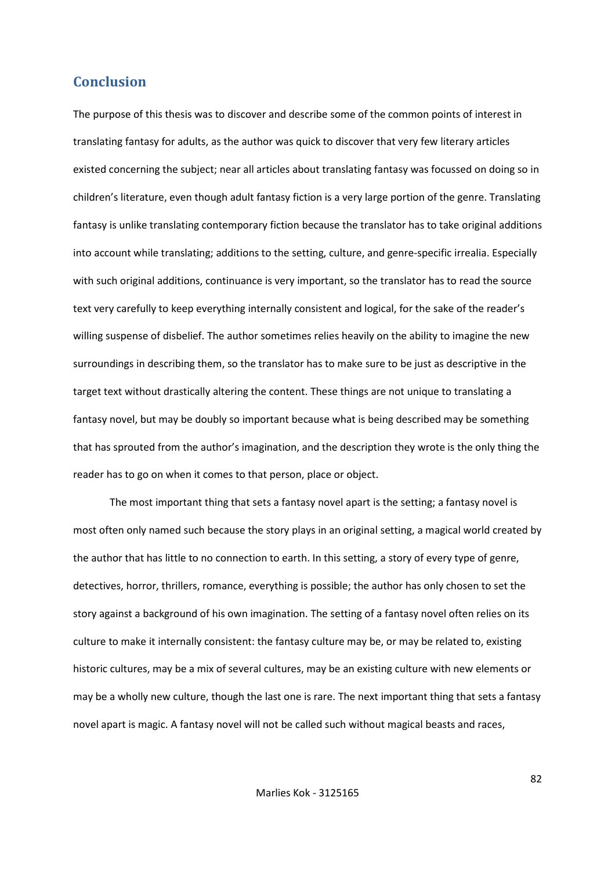# **Conclusion**

The purpose of this thesis was to discover and describe some of the common points of interest in translating fantasy for adults, as the author was quick to discover that very few literary articles existed concerning the subject; near all articles about translating fantasy was focussed on doing so in children's literature, even though adult fantasy fiction is a very large portion of the genre. Translating fantasy is unlike translating contemporary fiction because the translator has to take original additions into account while translating; additions to the setting, culture, and genre-specific irrealia. Especially with such original additions, continuance is very important, so the translator has to read the source text very carefully to keep everything internally consistent and logical, for the sake of the reader's willing suspense of disbelief. The author sometimes relies heavily on the ability to imagine the new surroundings in describing them, so the translator has to make sure to be just as descriptive in the target text without drastically altering the content. These things are not unique to translating a fantasy novel, but may be doubly so important because what is being described may be something that has sprouted from the author's imagination, and the description they wrote is the only thing the reader has to go on when it comes to that person, place or object.

 The most important thing that sets a fantasy novel apart is the setting; a fantasy novel is most often only named such because the story plays in an original setting, a magical world created by the author that has little to no connection to earth. In this setting, a story of every type of genre, detectives, horror, thrillers, romance, everything is possible; the author has only chosen to set the story against a background of his own imagination. The setting of a fantasy novel often relies on its culture to make it internally consistent: the fantasy culture may be, or may be related to, existing historic cultures, may be a mix of several cultures, may be an existing culture with new elements or may be a wholly new culture, though the last one is rare. The next important thing that sets a fantasy novel apart is magic. A fantasy novel will not be called such without magical beasts and races,

82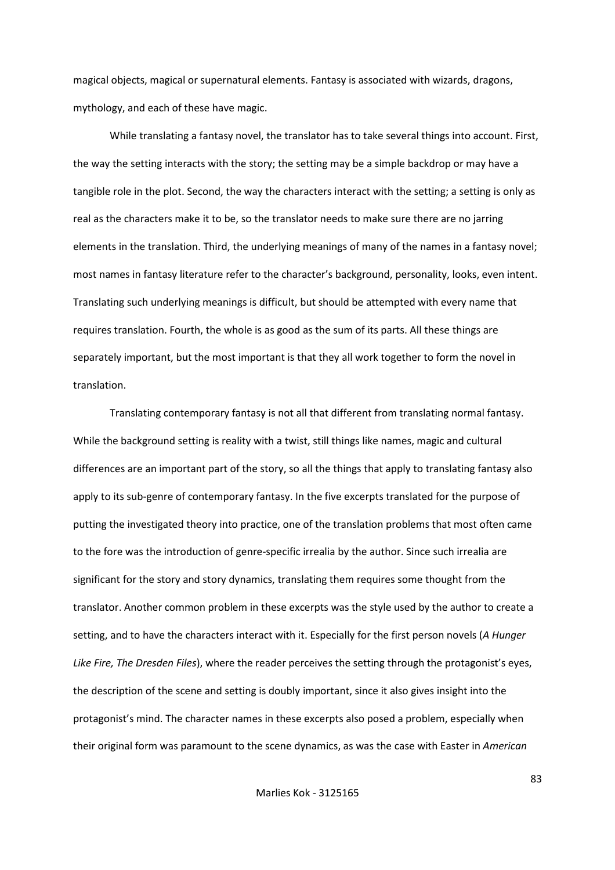magical objects, magical or supernatural elements. Fantasy is associated with wizards, dragons, mythology, and each of these have magic.

 While translating a fantasy novel, the translator has to take several things into account. First, the way the setting interacts with the story; the setting may be a simple backdrop or may have a tangible role in the plot. Second, the way the characters interact with the setting; a setting is only as real as the characters make it to be, so the translator needs to make sure there are no jarring elements in the translation. Third, the underlying meanings of many of the names in a fantasy novel; most names in fantasy literature refer to the character's background, personality, looks, even intent. Translating such underlying meanings is difficult, but should be attempted with every name that requires translation. Fourth, the whole is as good as the sum of its parts. All these things are separately important, but the most important is that they all work together to form the novel in translation.

Translating contemporary fantasy is not all that different from translating normal fantasy. While the background setting is reality with a twist, still things like names, magic and cultural differences are an important part of the story, so all the things that apply to translating fantasy also apply to its sub-genre of contemporary fantasy. In the five excerpts translated for the purpose of putting the investigated theory into practice, one of the translation problems that most often came to the fore was the introduction of genre-specific irrealia by the author. Since such irrealia are significant for the story and story dynamics, translating them requires some thought from the translator. Another common problem in these excerpts was the style used by the author to create a setting, and to have the characters interact with it. Especially for the first person novels (*A Hunger Like Fire, The Dresden Files*), where the reader perceives the setting through the protagonist's eyes, the description of the scene and setting is doubly important, since it also gives insight into the protagonist's mind. The character names in these excerpts also posed a problem, especially when their original form was paramount to the scene dynamics, as was the case with Easter in *American* 

83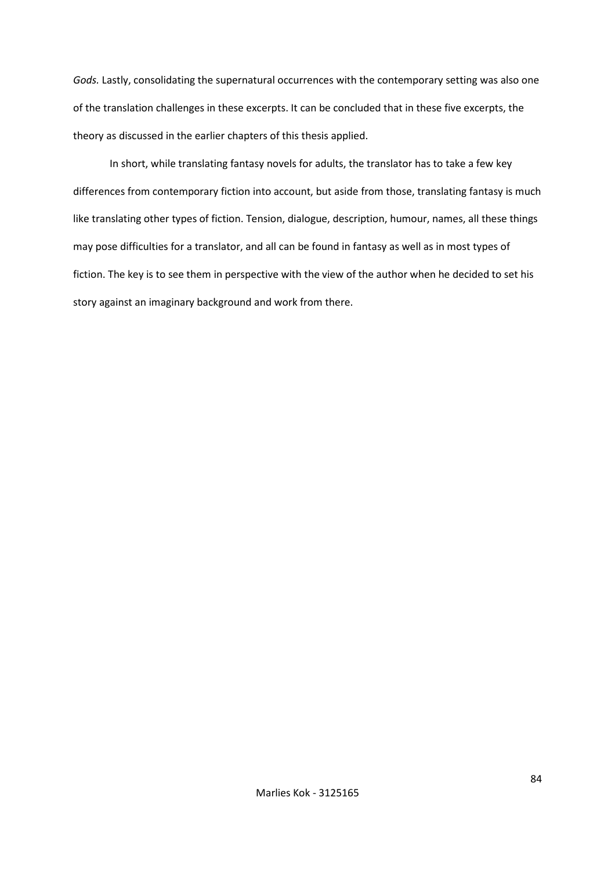*Gods.* Lastly, consolidating the supernatural occurrences with the contemporary setting was also one of the translation challenges in these excerpts. It can be concluded that in these five excerpts, the theory as discussed in the earlier chapters of this thesis applied.

 In short, while translating fantasy novels for adults, the translator has to take a few key differences from contemporary fiction into account, but aside from those, translating fantasy is much like translating other types of fiction. Tension, dialogue, description, humour, names, all these things may pose difficulties for a translator, and all can be found in fantasy as well as in most types of fiction. The key is to see them in perspective with the view of the author when he decided to set his story against an imaginary background and work from there.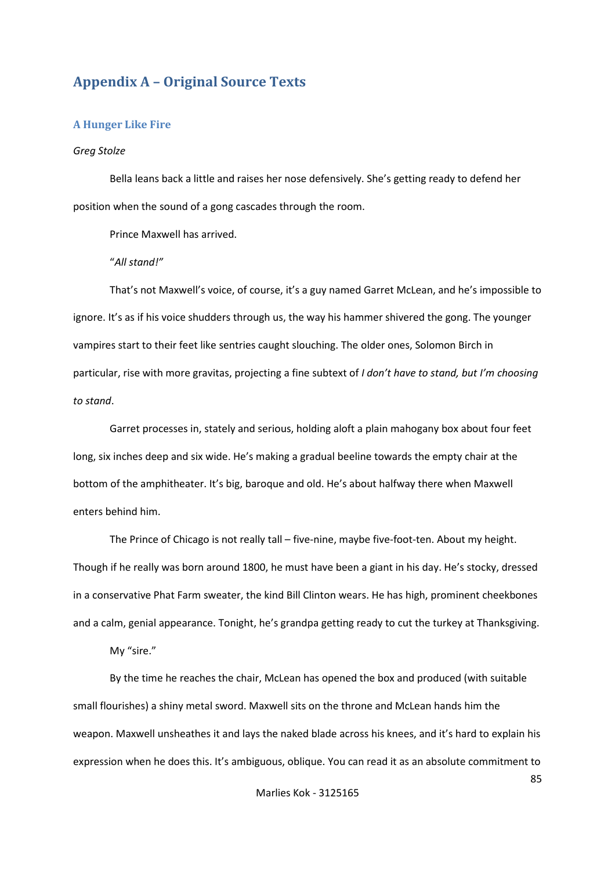# **Appendix A – Original Source Texts**

#### **A Hunger Like Fire**

#### *Greg Stolze*

Bella leans back a little and raises her nose defensively. She's getting ready to defend her position when the sound of a gong cascades through the room.

Prince Maxwell has arrived.

### "*All stand!"*

 That's not Maxwell's voice, of course, it's a guy named Garret McLean, and he's impossible to ignore. It's as if his voice shudders through us, the way his hammer shivered the gong. The younger vampires start to their feet like sentries caught slouching. The older ones, Solomon Birch in particular, rise with more gravitas, projecting a fine subtext of *I don't have to stand, but I'm choosing to stand*.

 Garret processes in, stately and serious, holding aloft a plain mahogany box about four feet long, six inches deep and six wide. He's making a gradual beeline towards the empty chair at the bottom of the amphitheater. It's big, baroque and old. He's about halfway there when Maxwell enters behind him.

 The Prince of Chicago is not really tall – five-nine, maybe five-foot-ten. About my height. Though if he really was born around 1800, he must have been a giant in his day. He's stocky, dressed in a conservative Phat Farm sweater, the kind Bill Clinton wears. He has high, prominent cheekbones and a calm, genial appearance. Tonight, he's grandpa getting ready to cut the turkey at Thanksgiving.

My "sire."

 By the time he reaches the chair, McLean has opened the box and produced (with suitable small flourishes) a shiny metal sword. Maxwell sits on the throne and McLean hands him the weapon. Maxwell unsheathes it and lays the naked blade across his knees, and it's hard to explain his expression when he does this. It's ambiguous, oblique. You can read it as an absolute commitment to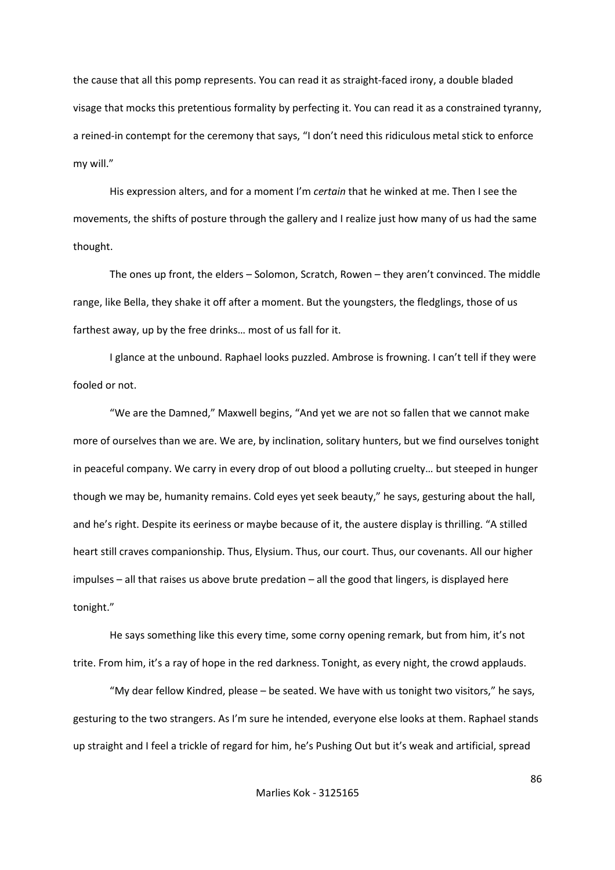the cause that all this pomp represents. You can read it as straight-faced irony, a double bladed visage that mocks this pretentious formality by perfecting it. You can read it as a constrained tyranny, a reined-in contempt for the ceremony that says, "I don't need this ridiculous metal stick to enforce my will."

 His expression alters, and for a moment I'm *certain* that he winked at me. Then I see the movements, the shifts of posture through the gallery and I realize just how many of us had the same thought.

 The ones up front, the elders – Solomon, Scratch, Rowen – they aren't convinced. The middle range, like Bella, they shake it off after a moment. But the youngsters, the fledglings, those of us farthest away, up by the free drinks… most of us fall for it.

 I glance at the unbound. Raphael looks puzzled. Ambrose is frowning. I can't tell if they were fooled or not.

 "We are the Damned," Maxwell begins, "And yet we are not so fallen that we cannot make more of ourselves than we are. We are, by inclination, solitary hunters, but we find ourselves tonight in peaceful company. We carry in every drop of out blood a polluting cruelty… but steeped in hunger though we may be, humanity remains. Cold eyes yet seek beauty," he says, gesturing about the hall, and he's right. Despite its eeriness or maybe because of it, the austere display is thrilling. "A stilled heart still craves companionship. Thus, Elysium. Thus, our court. Thus, our covenants. All our higher impulses – all that raises us above brute predation – all the good that lingers, is displayed here tonight."

 He says something like this every time, some corny opening remark, but from him, it's not trite. From him, it's a ray of hope in the red darkness. Tonight, as every night, the crowd applauds.

 "My dear fellow Kindred, please – be seated. We have with us tonight two visitors," he says, gesturing to the two strangers. As I'm sure he intended, everyone else looks at them. Raphael stands up straight and I feel a trickle of regard for him, he's Pushing Out but it's weak and artificial, spread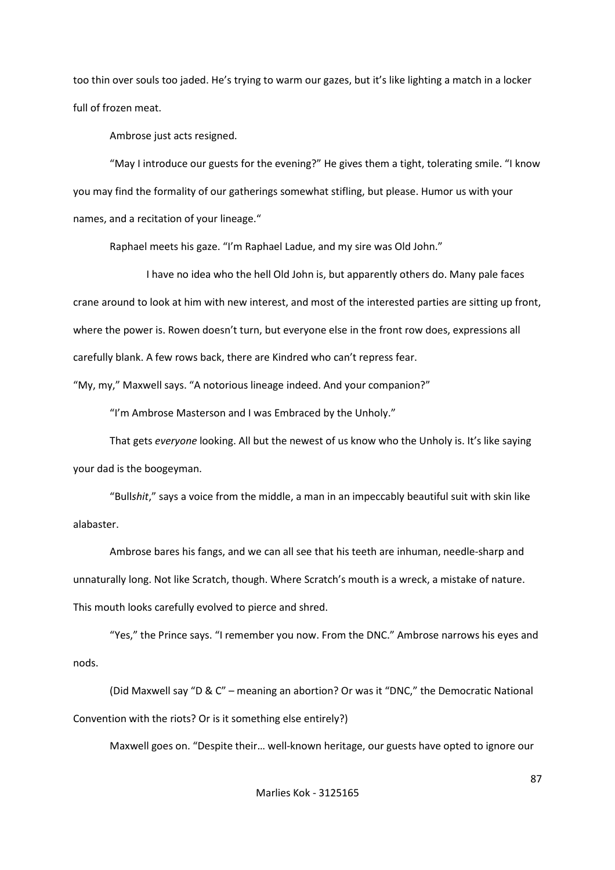too thin over souls too jaded. He's trying to warm our gazes, but it's like lighting a match in a locker full of frozen meat.

Ambrose just acts resigned.

 "May I introduce our guests for the evening?" He gives them a tight, tolerating smile. "I know you may find the formality of our gatherings somewhat stifling, but please. Humor us with your names, and a recitation of your lineage."

Raphael meets his gaze. "I'm Raphael Ladue, and my sire was Old John."

 I have no idea who the hell Old John is, but apparently others do. Many pale faces crane around to look at him with new interest, and most of the interested parties are sitting up front, where the power is. Rowen doesn't turn, but everyone else in the front row does, expressions all carefully blank. A few rows back, there are Kindred who can't repress fear.

"My, my," Maxwell says. "A notorious lineage indeed. And your companion?"

"I'm Ambrose Masterson and I was Embraced by the Unholy."

 That gets *everyone* looking. All but the newest of us know who the Unholy is. It's like saying your dad is the boogeyman.

 "Bull*shit*," says a voice from the middle, a man in an impeccably beautiful suit with skin like alabaster.

 Ambrose bares his fangs, and we can all see that his teeth are inhuman, needle-sharp and unnaturally long. Not like Scratch, though. Where Scratch's mouth is a wreck, a mistake of nature. This mouth looks carefully evolved to pierce and shred.

 "Yes," the Prince says. "I remember you now. From the DNC." Ambrose narrows his eyes and nods.

 (Did Maxwell say "D & C" – meaning an abortion? Or was it "DNC," the Democratic National Convention with the riots? Or is it something else entirely?)

Maxwell goes on. "Despite their… well-known heritage, our guests have opted to ignore our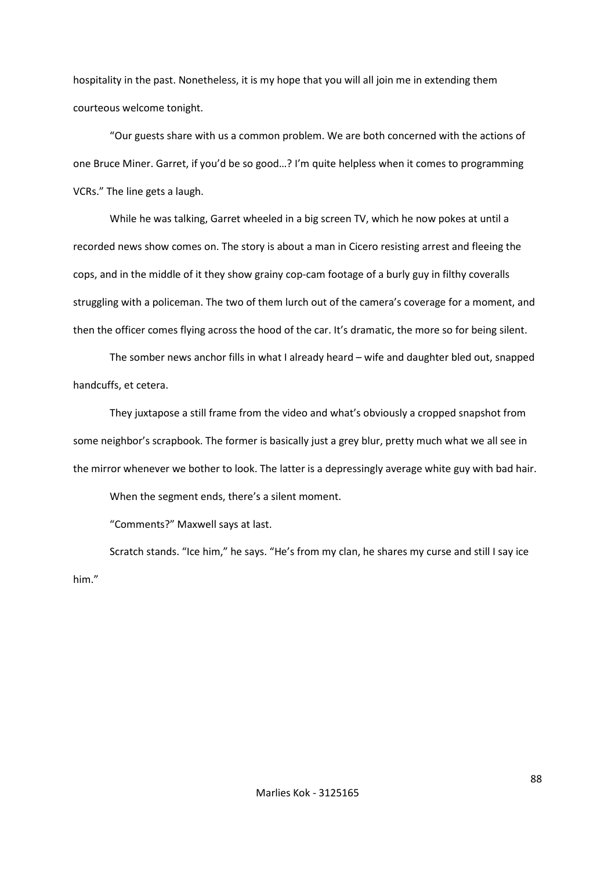hospitality in the past. Nonetheless, it is my hope that you will all join me in extending them courteous welcome tonight.

 "Our guests share with us a common problem. We are both concerned with the actions of one Bruce Miner. Garret, if you'd be so good…? I'm quite helpless when it comes to programming VCRs." The line gets a laugh.

 While he was talking, Garret wheeled in a big screen TV, which he now pokes at until a recorded news show comes on. The story is about a man in Cicero resisting arrest and fleeing the cops, and in the middle of it they show grainy cop-cam footage of a burly guy in filthy coveralls struggling with a policeman. The two of them lurch out of the camera's coverage for a moment, and then the officer comes flying across the hood of the car. It's dramatic, the more so for being silent.

 The somber news anchor fills in what I already heard – wife and daughter bled out, snapped handcuffs, et cetera.

 They juxtapose a still frame from the video and what's obviously a cropped snapshot from some neighbor's scrapbook. The former is basically just a grey blur, pretty much what we all see in the mirror whenever we bother to look. The latter is a depressingly average white guy with bad hair.

When the segment ends, there's a silent moment.

"Comments?" Maxwell says at last.

 Scratch stands. "Ice him," he says. "He's from my clan, he shares my curse and still I say ice him."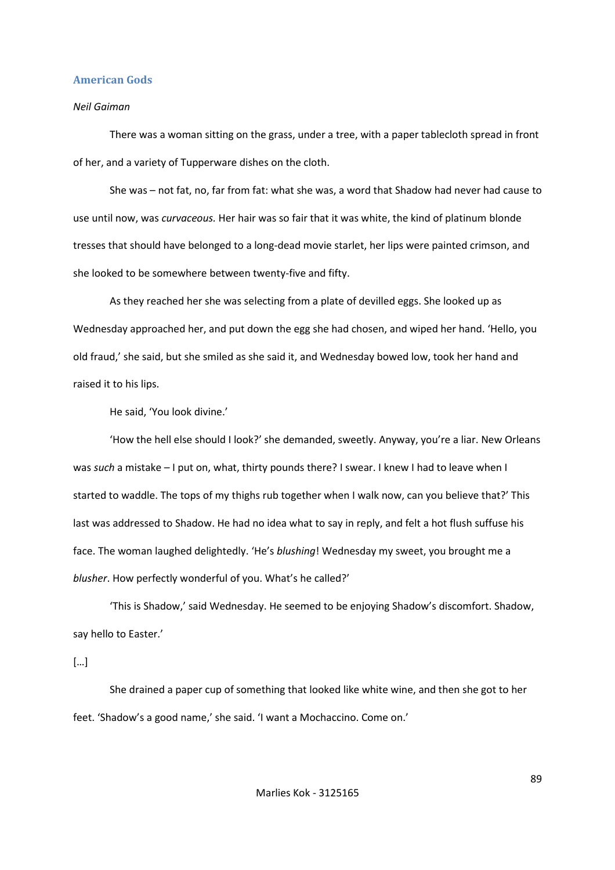#### **American Gods**

#### *Neil Gaiman*

 There was a woman sitting on the grass, under a tree, with a paper tablecloth spread in front of her, and a variety of Tupperware dishes on the cloth.

 She was – not fat, no, far from fat: what she was, a word that Shadow had never had cause to use until now, was *curvaceous.* Her hair was so fair that it was white, the kind of platinum blonde tresses that should have belonged to a long-dead movie starlet, her lips were painted crimson, and she looked to be somewhere between twenty-five and fifty.

 As they reached her she was selecting from a plate of devilled eggs. She looked up as Wednesday approached her, and put down the egg she had chosen, and wiped her hand. 'Hello, you old fraud,' she said, but she smiled as she said it, and Wednesday bowed low, took her hand and raised it to his lips.

He said, 'You look divine.'

 'How the hell else should I look?' she demanded, sweetly. Anyway, you're a liar. New Orleans was *such* a mistake – I put on, what, thirty pounds there? I swear. I knew I had to leave when I started to waddle. The tops of my thighs rub together when I walk now, can you believe that?' This last was addressed to Shadow. He had no idea what to say in reply, and felt a hot flush suffuse his face. The woman laughed delightedly. 'He's *blushing*! Wednesday my sweet, you brought me a *blusher*. How perfectly wonderful of you. What's he called?'

 'This is Shadow,' said Wednesday. He seemed to be enjoying Shadow's discomfort. Shadow, say hello to Easter.'

[…]

She drained a paper cup of something that looked like white wine, and then she got to her feet. 'Shadow's a good name,' she said. 'I want a Mochaccino. Come on.'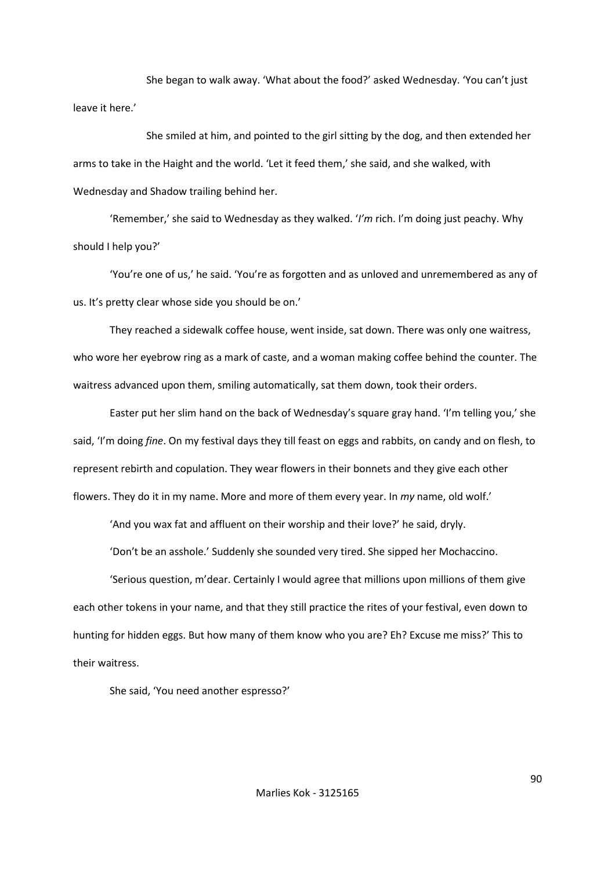She began to walk away. 'What about the food?' asked Wednesday. 'You can't just leave it here.'

 She smiled at him, and pointed to the girl sitting by the dog, and then extended her arms to take in the Haight and the world. 'Let it feed them,' she said, and she walked, with Wednesday and Shadow trailing behind her.

'Remember,' she said to Wednesday as they walked. '*I'm* rich. I'm doing just peachy. Why should I help you?'

'You're one of us,' he said. 'You're as forgotten and as unloved and unremembered as any of us. It's pretty clear whose side you should be on.'

They reached a sidewalk coffee house, went inside, sat down. There was only one waitress, who wore her eyebrow ring as a mark of caste, and a woman making coffee behind the counter. The waitress advanced upon them, smiling automatically, sat them down, took their orders.

Easter put her slim hand on the back of Wednesday's square gray hand. 'I'm telling you,' she said, 'I'm doing *fine*. On my festival days they till feast on eggs and rabbits, on candy and on flesh, to represent rebirth and copulation. They wear flowers in their bonnets and they give each other flowers. They do it in my name. More and more of them every year. In *my* name, old wolf.'

'And you wax fat and affluent on their worship and their love?' he said, dryly.

'Don't be an asshole.' Suddenly she sounded very tired. She sipped her Mochaccino.

'Serious question, m'dear. Certainly I would agree that millions upon millions of them give each other tokens in your name, and that they still practice the rites of your festival, even down to hunting for hidden eggs. But how many of them know who you are? Eh? Excuse me miss?' This to their waitress.

She said, 'You need another espresso?'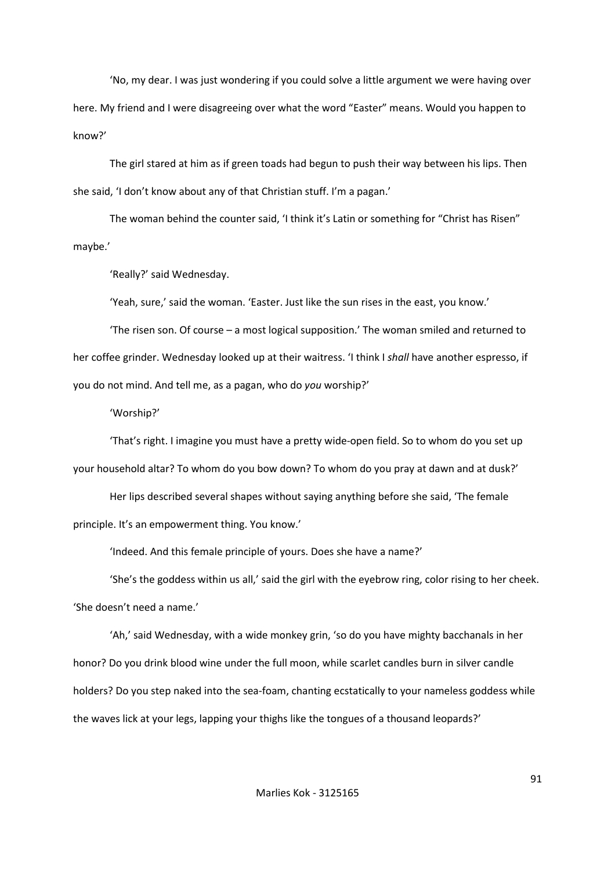'No, my dear. I was just wondering if you could solve a little argument we were having over here. My friend and I were disagreeing over what the word "Easter" means. Would you happen to know?'

The girl stared at him as if green toads had begun to push their way between his lips. Then she said, 'I don't know about any of that Christian stuff. I'm a pagan.'

The woman behind the counter said, 'I think it's Latin or something for "Christ has Risen" maybe.'

'Really?' said Wednesday.

'Yeah, sure,' said the woman. 'Easter. Just like the sun rises in the east, you know.'

'The risen son. Of course – a most logical supposition.' The woman smiled and returned to her coffee grinder. Wednesday looked up at their waitress. 'I think I *shall* have another espresso, if you do not mind. And tell me, as a pagan, who do *you* worship?'

'Worship?'

'That's right. I imagine you must have a pretty wide-open field. So to whom do you set up your household altar? To whom do you bow down? To whom do you pray at dawn and at dusk?'

Her lips described several shapes without saying anything before she said, 'The female principle. It's an empowerment thing. You know.'

'Indeed. And this female principle of yours. Does she have a name?'

'She's the goddess within us all,' said the girl with the eyebrow ring, color rising to her cheek. 'She doesn't need a name.'

'Ah,' said Wednesday, with a wide monkey grin, 'so do you have mighty bacchanals in her honor? Do you drink blood wine under the full moon, while scarlet candles burn in silver candle holders? Do you step naked into the sea-foam, chanting ecstatically to your nameless goddess while the waves lick at your legs, lapping your thighs like the tongues of a thousand leopards?'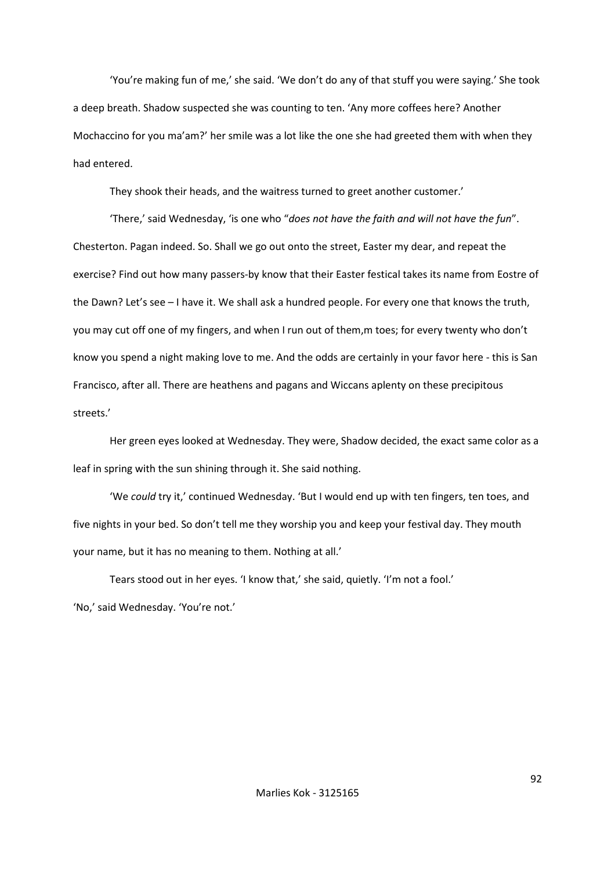'You're making fun of me,' she said. 'We don't do any of that stuff you were saying.' She took a deep breath. Shadow suspected she was counting to ten. 'Any more coffees here? Another Mochaccino for you ma'am?' her smile was a lot like the one she had greeted them with when they had entered.

They shook their heads, and the waitress turned to greet another customer.'

'There,' said Wednesday, 'is one who "*does not have the faith and will not have the fun*". Chesterton. Pagan indeed. So. Shall we go out onto the street, Easter my dear, and repeat the exercise? Find out how many passers-by know that their Easter festical takes its name from Eostre of the Dawn? Let's see – I have it. We shall ask a hundred people. For every one that knows the truth, you may cut off one of my fingers, and when I run out of them,m toes; for every twenty who don't know you spend a night making love to me. And the odds are certainly in your favor here - this is San Francisco, after all. There are heathens and pagans and Wiccans aplenty on these precipitous streets.'

Her green eyes looked at Wednesday. They were, Shadow decided, the exact same color as a leaf in spring with the sun shining through it. She said nothing.

'We *could* try it,' continued Wednesday. 'But I would end up with ten fingers, ten toes, and five nights in your bed. So don't tell me they worship you and keep your festival day. They mouth your name, but it has no meaning to them. Nothing at all.'

Tears stood out in her eyes. 'I know that,' she said, quietly. 'I'm not a fool.' 'No,' said Wednesday. 'You're not.'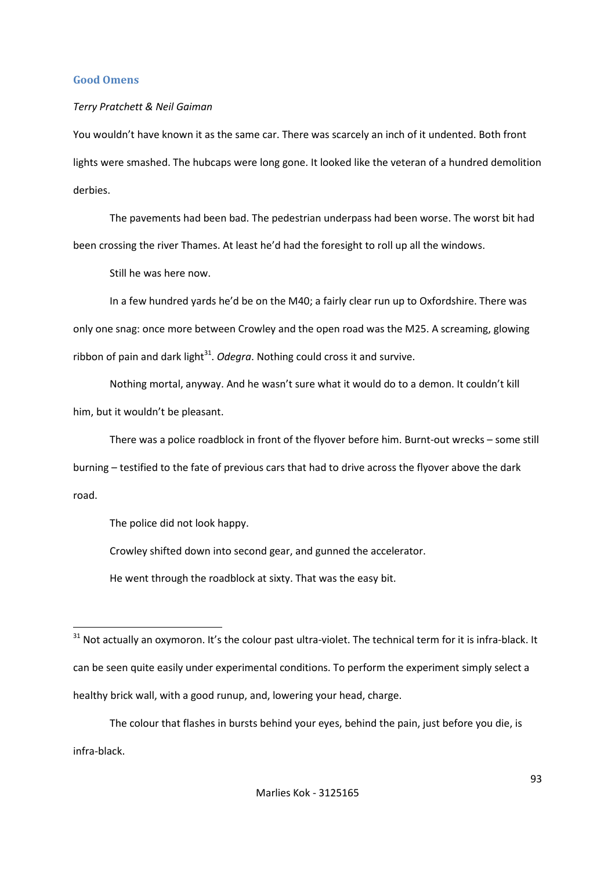# **Good Omens**

## *Terry Pratchett & Neil Gaiman*

You wouldn't have known it as the same car. There was scarcely an inch of it undented. Both front lights were smashed. The hubcaps were long gone. It looked like the veteran of a hundred demolition derbies.

 The pavements had been bad. The pedestrian underpass had been worse. The worst bit had been crossing the river Thames. At least he'd had the foresight to roll up all the windows.

Still he was here now.

 In a few hundred yards he'd be on the M40; a fairly clear run up to Oxfordshire. There was only one snag: once more between Crowley and the open road was the M25. A screaming, glowing ribbon of pain and dark light<sup>31</sup>. Odegra. Nothing could cross it and survive.

 Nothing mortal, anyway. And he wasn't sure what it would do to a demon. It couldn't kill him, but it wouldn't be pleasant.

 There was a police roadblock in front of the flyover before him. Burnt-out wrecks – some still burning – testified to the fate of previous cars that had to drive across the flyover above the dark road.

The police did not look happy.

Crowley shifted down into second gear, and gunned the accelerator.

He went through the roadblock at sixty. That was the easy bit.

 <sup>31</sup> Not actually an oxymoron. It's the colour past ultra-violet. The technical term for it is infra-black. It can be seen quite easily under experimental conditions. To perform the experiment simply select a healthy brick wall, with a good runup, and, lowering your head, charge.

The colour that flashes in bursts behind your eyes, behind the pain, just before you die, is infra-black.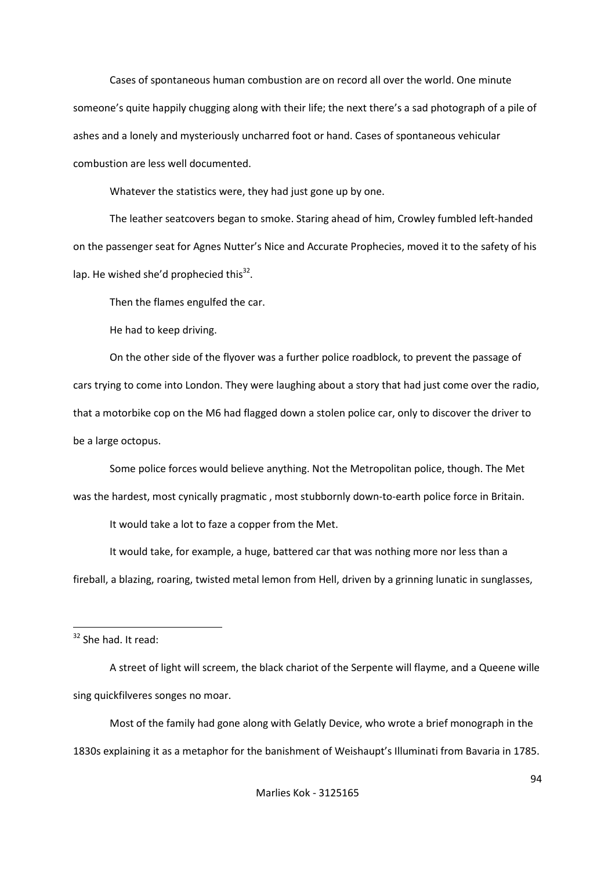Cases of spontaneous human combustion are on record all over the world. One minute someone's quite happily chugging along with their life; the next there's a sad photograph of a pile of ashes and a lonely and mysteriously uncharred foot or hand. Cases of spontaneous vehicular combustion are less well documented.

Whatever the statistics were, they had just gone up by one.

The leather seatcovers began to smoke. Staring ahead of him, Crowley fumbled left-handed on the passenger seat for Agnes Nutter's Nice and Accurate Prophecies, moved it to the safety of his lap. He wished she'd prophecied this $^{32}$ .

Then the flames engulfed the car.

He had to keep driving.

On the other side of the flyover was a further police roadblock, to prevent the passage of cars trying to come into London. They were laughing about a story that had just come over the radio, that a motorbike cop on the M6 had flagged down a stolen police car, only to discover the driver to be a large octopus.

Some police forces would believe anything. Not the Metropolitan police, though. The Met was the hardest, most cynically pragmatic , most stubbornly down-to-earth police force in Britain.

It would take a lot to faze a copper from the Met.

It would take, for example, a huge, battered car that was nothing more nor less than a fireball, a blazing, roaring, twisted metal lemon from Hell, driven by a grinning lunatic in sunglasses,

 Most of the family had gone along with Gelatly Device, who wrote a brief monograph in the 1830s explaining it as a metaphor for the banishment of Weishaupt's Illuminati from Bavaria in 1785.

<sup>&</sup>lt;sup>32</sup> She had. It read:

A street of light will screem, the black chariot of the Serpente will flayme, and a Queene wille sing quickfilveres songes no moar.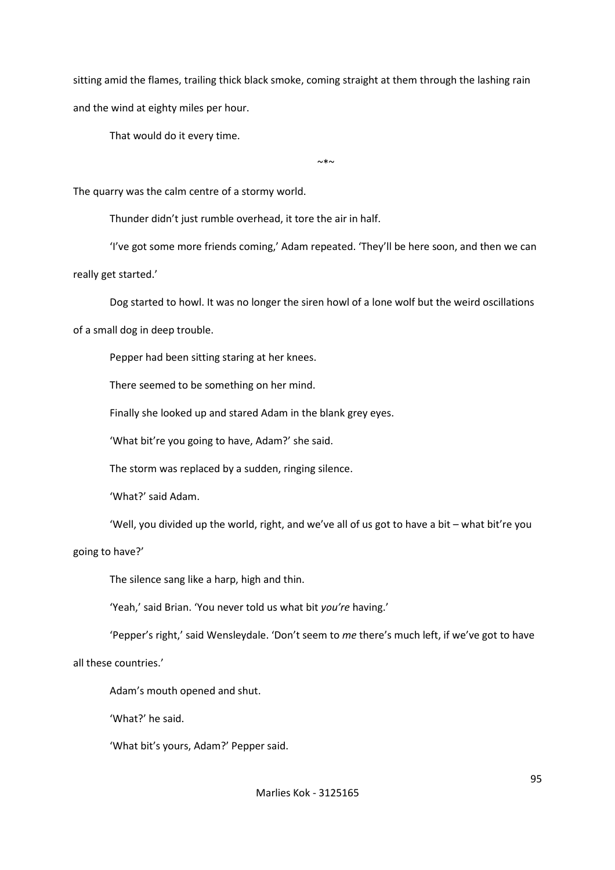sitting amid the flames, trailing thick black smoke, coming straight at them through the lashing rain and the wind at eighty miles per hour.

That would do it every time.

 $~\sim$ \* $~\sim$ 

The quarry was the calm centre of a stormy world.

Thunder didn't just rumble overhead, it tore the air in half.

'I've got some more friends coming,' Adam repeated. 'They'll be here soon, and then we can

really get started.'

Dog started to howl. It was no longer the siren howl of a lone wolf but the weird oscillations

of a small dog in deep trouble.

Pepper had been sitting staring at her knees.

There seemed to be something on her mind.

Finally she looked up and stared Adam in the blank grey eyes.

'What bit're you going to have, Adam?' she said.

The storm was replaced by a sudden, ringing silence.

'What?' said Adam.

'Well, you divided up the world, right, and we've all of us got to have a bit – what bit're you

going to have?'

The silence sang like a harp, high and thin.

'Yeah,' said Brian. 'You never told us what bit *you're* having.'

'Pepper's right,' said Wensleydale. 'Don't seem to *me* there's much left, if we've got to have

all these countries.'

Adam's mouth opened and shut.

'What?' he said.

'What bit's yours, Adam?' Pepper said.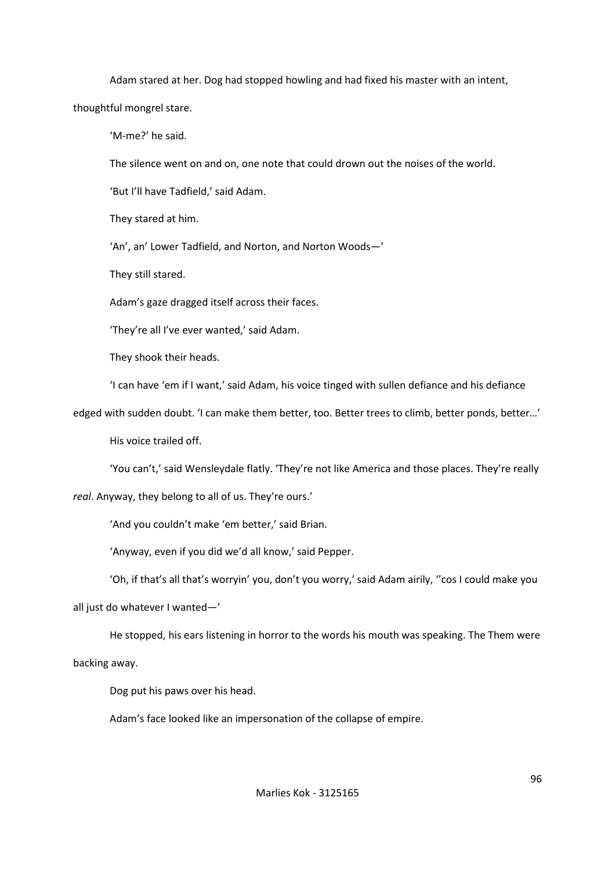Adam stared at her. Dog had stopped howling and had fixed his master with an intent, thoughtful mongrel stare.

'M-me?' he said.

The silence went on and on, one note that could drown out the noises of the world.

'But I'll have Tadfield,' said Adam.

They stared at him.

'An', an' Lower Tadfield, and Norton, and Norton Woods—'

They still stared.

Adam's gaze dragged itself across their faces.

'They're all I've ever wanted,' said Adam.

They shook their heads.

'I can have 'em if I want,' said Adam, his voice tinged with sullen defiance and his defiance

edged with sudden doubt. 'I can make them better, too. Better trees to climb, better ponds, better…'

His voice trailed off.

'You can't,' said Wensleydale flatly. 'They're not like America and those places. They're really

*real*. Anyway, they belong to all of us. They're ours.'

'And you couldn't make 'em better,' said Brian.

'Anyway, even if you did we'd all know,' said Pepper.

'Oh, if that's all that's worryin' you, don't you worry,' said Adam airily, ''cos I could make you

all just do whatever I wanted—'

 He stopped, his ears listening in horror to the words his mouth was speaking. The Them were backing away.

Dog put his paws over his head.

Adam's face looked like an impersonation of the collapse of empire.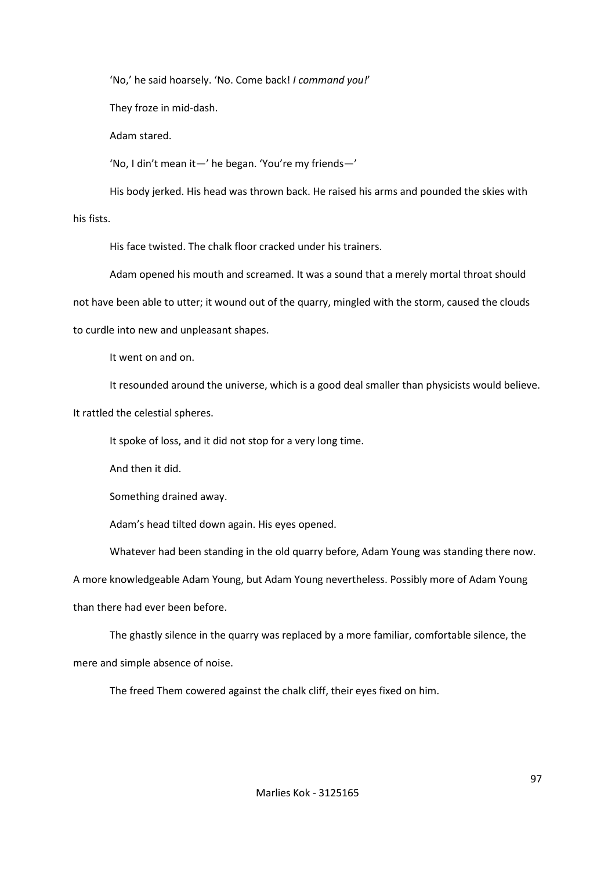'No,' he said hoarsely. 'No. Come back! *I command you!*'

They froze in mid-dash.

Adam stared.

'No, I din't mean it—' he began. 'You're my friends—'

 His body jerked. His head was thrown back. He raised his arms and pounded the skies with his fists.

His face twisted. The chalk floor cracked under his trainers.

 Adam opened his mouth and screamed. It was a sound that a merely mortal throat should not have been able to utter; it wound out of the quarry, mingled with the storm, caused the clouds to curdle into new and unpleasant shapes.

It went on and on.

It resounded around the universe, which is a good deal smaller than physicists would believe.

It rattled the celestial spheres.

It spoke of loss, and it did not stop for a very long time.

And then it did.

Something drained away.

Adam's head tilted down again. His eyes opened.

Whatever had been standing in the old quarry before, Adam Young was standing there now.

A more knowledgeable Adam Young, but Adam Young nevertheless. Possibly more of Adam Young

than there had ever been before.

 The ghastly silence in the quarry was replaced by a more familiar, comfortable silence, the mere and simple absence of noise.

The freed Them cowered against the chalk cliff, their eyes fixed on him.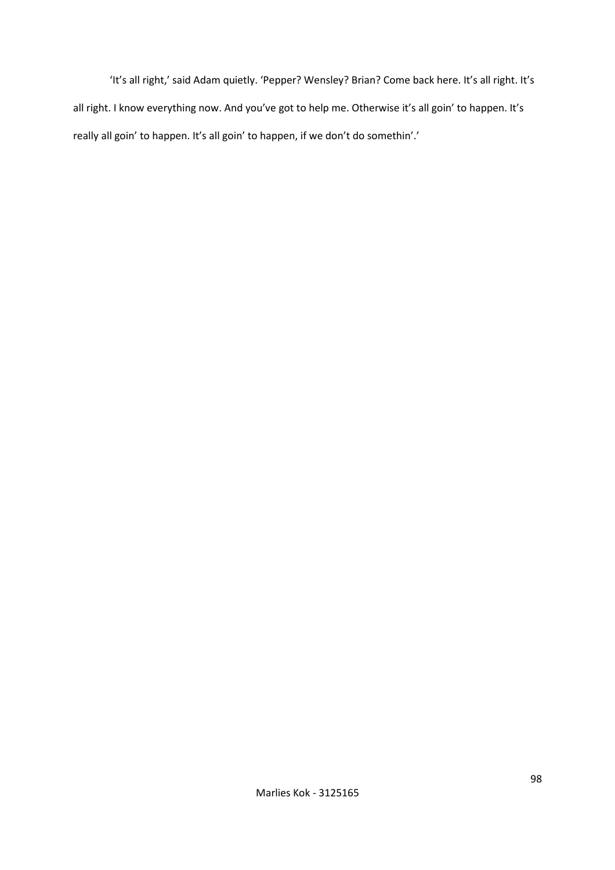'It's all right,' said Adam quietly. 'Pepper? Wensley? Brian? Come back here. It's all right. It's all right. I know everything now. And you've got to help me. Otherwise it's all goin' to happen. It's really all goin' to happen. It's all goin' to happen, if we don't do somethin'.'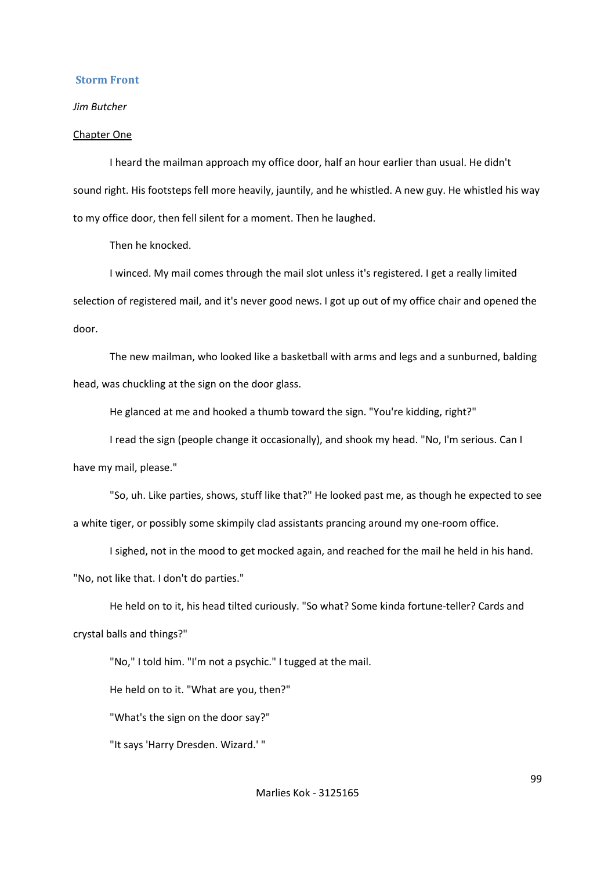#### **Storm Front**

## *Jim Butcher*

## Chapter One

I heard the mailman approach my office door, half an hour earlier than usual. He didn't sound right. His footsteps fell more heavily, jauntily, and he whistled. A new guy. He whistled his way to my office door, then fell silent for a moment. Then he laughed.

Then he knocked.

I winced. My mail comes through the mail slot unless it's registered. I get a really limited selection of registered mail, and it's never good news. I got up out of my office chair and opened the door.

The new mailman, who looked like a basketball with arms and legs and a sunburned, balding head, was chuckling at the sign on the door glass.

He glanced at me and hooked a thumb toward the sign. "You're kidding, right?"

I read the sign (people change it occasionally), and shook my head. "No, I'm serious. Can I

have my mail, please."

"So, uh. Like parties, shows, stuff like that?" He looked past me, as though he expected to see a white tiger, or possibly some skimpily clad assistants prancing around my one-room office.

I sighed, not in the mood to get mocked again, and reached for the mail he held in his hand.

"No, not like that. I don't do parties."

He held on to it, his head tilted curiously. "So what? Some kinda fortune-teller? Cards and crystal balls and things?"

"No," I told him. "I'm not a psychic." I tugged at the mail.

He held on to it. "What are you, then?"

"What's the sign on the door say?"

"It says 'Harry Dresden. Wizard.' "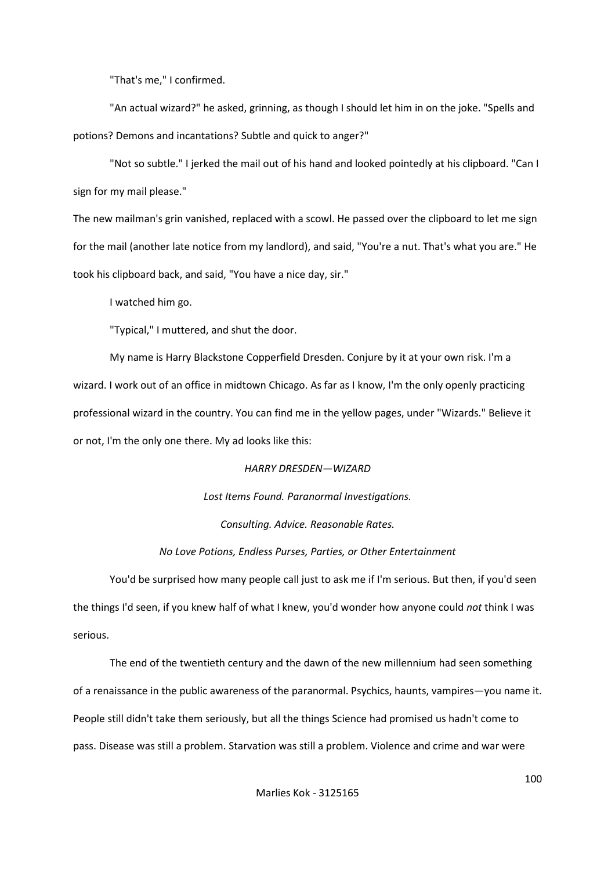"That's me," I confirmed.

"An actual wizard?" he asked, grinning, as though I should let him in on the joke. "Spells and potions? Demons and incantations? Subtle and quick to anger?"

"Not so subtle." I jerked the mail out of his hand and looked pointedly at his clipboard. "Can I sign for my mail please."

The new mailman's grin vanished, replaced with a scowl. He passed over the clipboard to let me sign for the mail (another late notice from my landlord), and said, "You're a nut. That's what you are." He took his clipboard back, and said, "You have a nice day, sir."

I watched him go.

"Typical," I muttered, and shut the door.

My name is Harry Blackstone Copperfield Dresden. Conjure by it at your own risk. I'm a wizard. I work out of an office in midtown Chicago. As far as I know, I'm the only openly practicing professional wizard in the country. You can find me in the yellow pages, under "Wizards." Believe it or not, I'm the only one there. My ad looks like this:

#### *HARRY DRESDEN—WIZARD*

## *Lost Items Found. Paranormal Investigations.*

#### *Consulting. Advice. Reasonable Rates.*

### *No Love Potions, Endless Purses, Parties, or Other Entertainment*

You'd be surprised how many people call just to ask me if I'm serious. But then, if you'd seen the things I'd seen, if you knew half of what I knew, you'd wonder how anyone could *not* think I was serious.

The end of the twentieth century and the dawn of the new millennium had seen something of a renaissance in the public awareness of the paranormal. Psychics, haunts, vampires—you name it. People still didn't take them seriously, but all the things Science had promised us hadn't come to pass. Disease was still a problem. Starvation was still a problem. Violence and crime and war were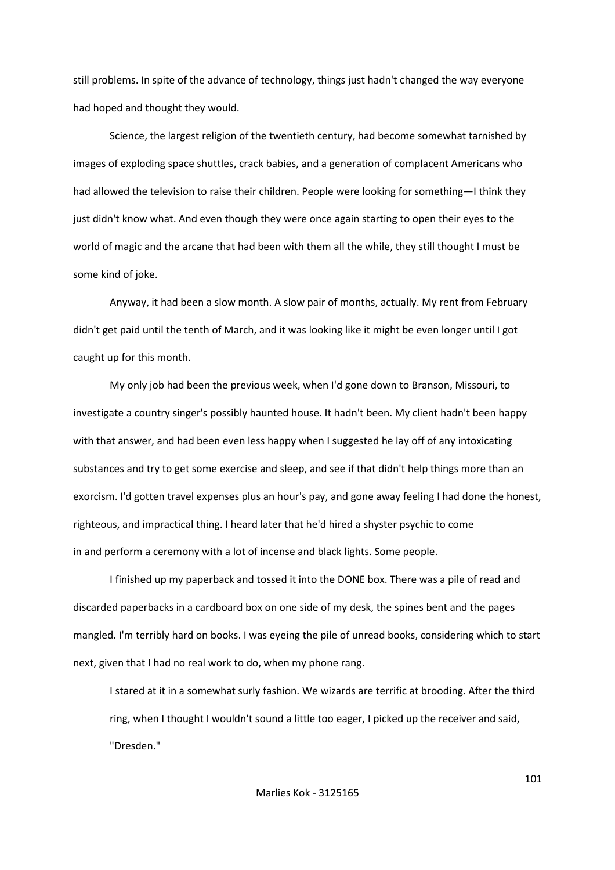still problems. In spite of the advance of technology, things just hadn't changed the way everyone had hoped and thought they would.

Science, the largest religion of the twentieth century, had become somewhat tarnished by images of exploding space shuttles, crack babies, and a generation of complacent Americans who had allowed the television to raise their children. People were looking for something—I think they just didn't know what. And even though they were once again starting to open their eyes to the world of magic and the arcane that had been with them all the while, they still thought I must be some kind of joke.

Anyway, it had been a slow month. A slow pair of months, actually. My rent from February didn't get paid until the tenth of March, and it was looking like it might be even longer until I got caught up for this month.

My only job had been the previous week, when I'd gone down to Branson, Missouri, to investigate a country singer's possibly haunted house. It hadn't been. My client hadn't been happy with that answer, and had been even less happy when I suggested he lay off of any intoxicating substances and try to get some exercise and sleep, and see if that didn't help things more than an exorcism. I'd gotten travel expenses plus an hour's pay, and gone away feeling I had done the honest, righteous, and impractical thing. I heard later that he'd hired a shyster psychic to come in and perform a ceremony with a lot of incense and black lights. Some people.

I finished up my paperback and tossed it into the DONE box. There was a pile of read and discarded paperbacks in a cardboard box on one side of my desk, the spines bent and the pages mangled. I'm terribly hard on books. I was eyeing the pile of unread books, considering which to start next, given that I had no real work to do, when my phone rang.

I stared at it in a somewhat surly fashion. We wizards are terrific at brooding. After the third ring, when I thought I wouldn't sound a little too eager, I picked up the receiver and said, "Dresden."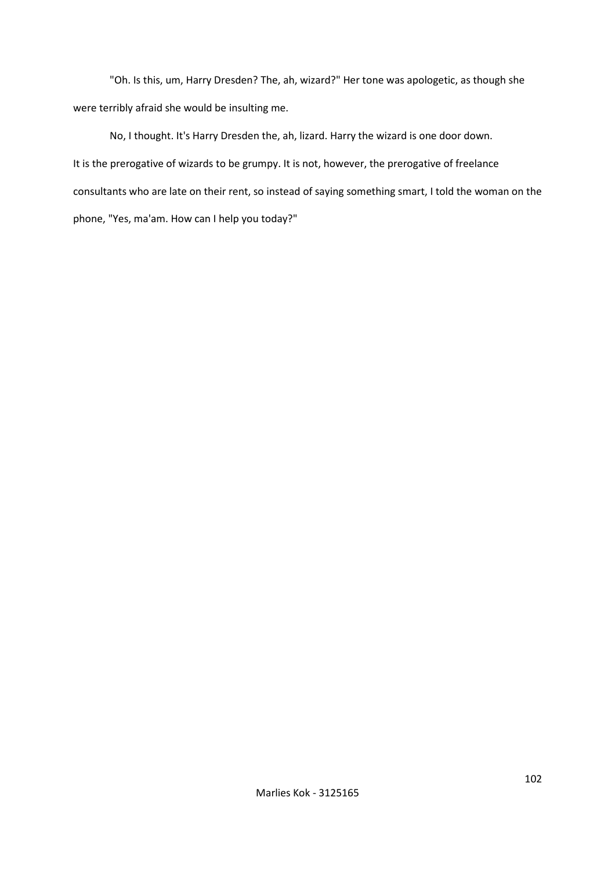"Oh. Is this, um, Harry Dresden? The, ah, wizard?" Her tone was apologetic, as though she were terribly afraid she would be insulting me.

No, I thought. It's Harry Dresden the, ah, lizard. Harry the wizard is one door down. It is the prerogative of wizards to be grumpy. It is not, however, the prerogative of freelance consultants who are late on their rent, so instead of saying something smart, I told the woman on the phone, "Yes, ma'am. How can I help you today?"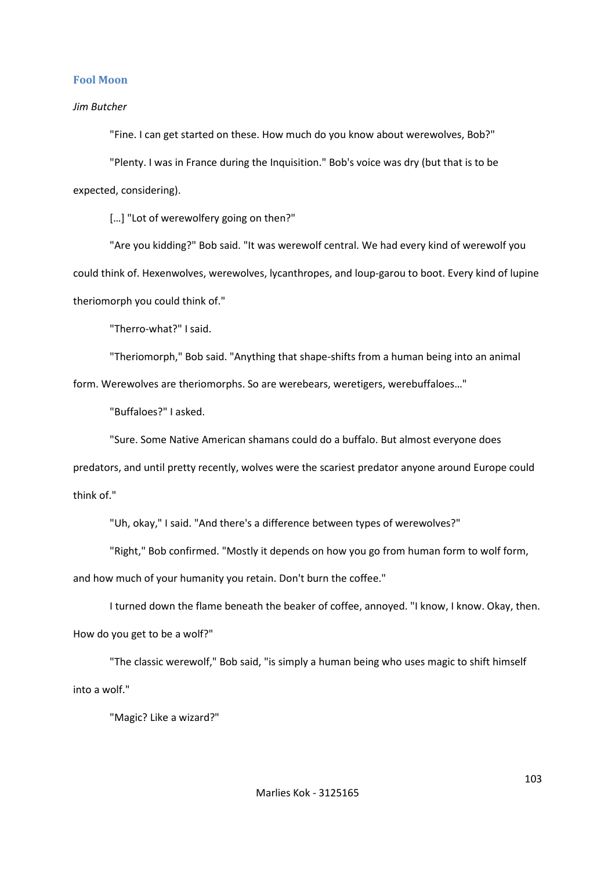# **Fool Moon**

#### *Jim Butcher*

"Fine. I can get started on these. How much do you know about werewolves, Bob?" "Plenty. I was in France during the Inquisition." Bob's voice was dry (but that is to be expected, considering).

[...] "Lot of werewolfery going on then?"

"Are you kidding?" Bob said. "It was werewolf central. We had every kind of werewolf you could think of. Hexenwolves, werewolves, lycanthropes, and loup-garou to boot. Every kind of lupine theriomorph you could think of."

"Therro-what?" I said.

"Theriomorph," Bob said. "Anything that shape-shifts from a human being into an animal form. Werewolves are theriomorphs. So are werebears, weretigers, werebuffaloes…"

"Buffaloes?" I asked.

"Sure. Some Native American shamans could do a buffalo. But almost everyone does

predators, and until pretty recently, wolves were the scariest predator anyone around Europe could think of."

"Uh, okay," I said. "And there's a difference between types of werewolves?"

"Right," Bob confirmed. "Mostly it depends on how you go from human form to wolf form,

and how much of your humanity you retain. Don't burn the coffee."

I turned down the flame beneath the beaker of coffee, annoyed. "I know, I know. Okay, then. How do you get to be a wolf?"

"The classic werewolf," Bob said, "is simply a human being who uses magic to shift himself into a wolf."

"Magic? Like a wizard?"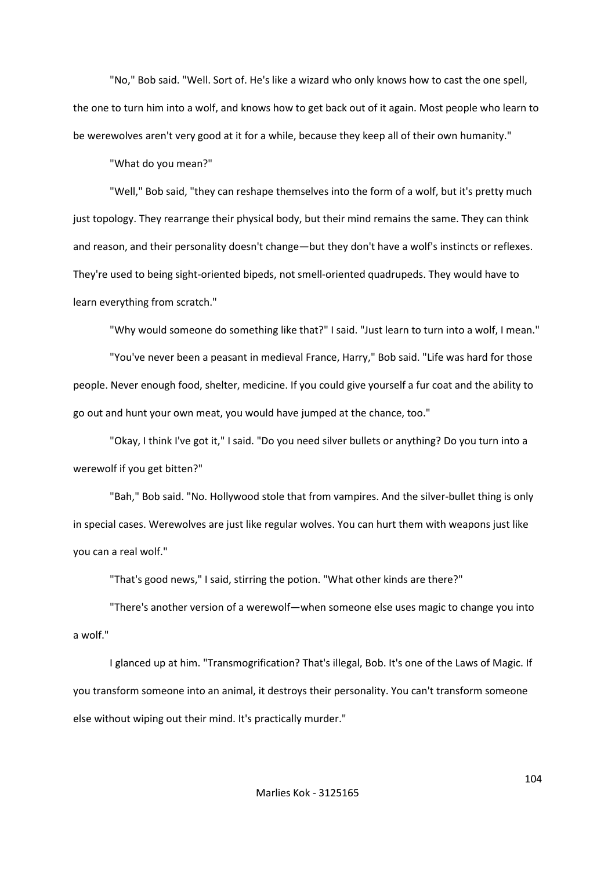"No," Bob said. "Well. Sort of. He's like a wizard who only knows how to cast the one spell, the one to turn him into a wolf, and knows how to get back out of it again. Most people who learn to be werewolves aren't very good at it for a while, because they keep all of their own humanity."

"What do you mean?"

"Well," Bob said, "they can reshape themselves into the form of a wolf, but it's pretty much just topology. They rearrange their physical body, but their mind remains the same. They can think and reason, and their personality doesn't change—but they don't have a wolf's instincts or reflexes. They're used to being sight-oriented bipeds, not smell-oriented quadrupeds. They would have to learn everything from scratch."

"Why would someone do something like that?" I said. "Just learn to turn into a wolf, I mean."

"You've never been a peasant in medieval France, Harry," Bob said. "Life was hard for those people. Never enough food, shelter, medicine. If you could give yourself a fur coat and the ability to go out and hunt your own meat, you would have jumped at the chance, too."

"Okay, I think I've got it," I said. "Do you need silver bullets or anything? Do you turn into a werewolf if you get bitten?"

"Bah," Bob said. "No. Hollywood stole that from vampires. And the silver-bullet thing is only in special cases. Werewolves are just like regular wolves. You can hurt them with weapons just like you can a real wolf."

"That's good news," I said, stirring the potion. "What other kinds are there?"

"There's another version of a werewolf—when someone else uses magic to change you into a wolf."

I glanced up at him. "Transmogrification? That's illegal, Bob. It's one of the Laws of Magic. If you transform someone into an animal, it destroys their personality. You can't transform someone else without wiping out their mind. It's practically murder."

104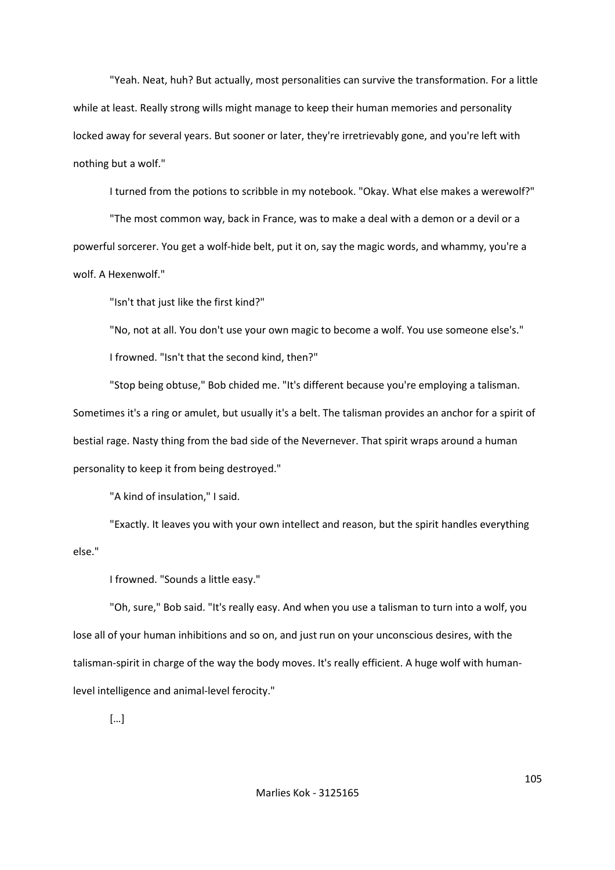"Yeah. Neat, huh? But actually, most personalities can survive the transformation. For a little while at least. Really strong wills might manage to keep their human memories and personality locked away for several years. But sooner or later, they're irretrievably gone, and you're left with nothing but a wolf."

I turned from the potions to scribble in my notebook. "Okay. What else makes a werewolf?" "The most common way, back in France, was to make a deal with a demon or a devil or a powerful sorcerer. You get a wolf-hide belt, put it on, say the magic words, and whammy, you're a wolf. A Hexenwolf."

"Isn't that just like the first kind?"

"No, not at all. You don't use your own magic to become a wolf. You use someone else's." I frowned. "Isn't that the second kind, then?"

"Stop being obtuse," Bob chided me. "It's different because you're employing a talisman. Sometimes it's a ring or amulet, but usually it's a belt. The talisman provides an anchor for a spirit of bestial rage. Nasty thing from the bad side of the Nevernever. That spirit wraps around a human personality to keep it from being destroyed."

"A kind of insulation," I said.

"Exactly. It leaves you with your own intellect and reason, but the spirit handles everything else."

I frowned. "Sounds a little easy."

"Oh, sure," Bob said. "It's really easy. And when you use a talisman to turn into a wolf, you lose all of your human inhibitions and so on, and just run on your unconscious desires, with the talisman-spirit in charge of the way the body moves. It's really efficient. A huge wolf with humanlevel intelligence and animal-level ferocity."

[…]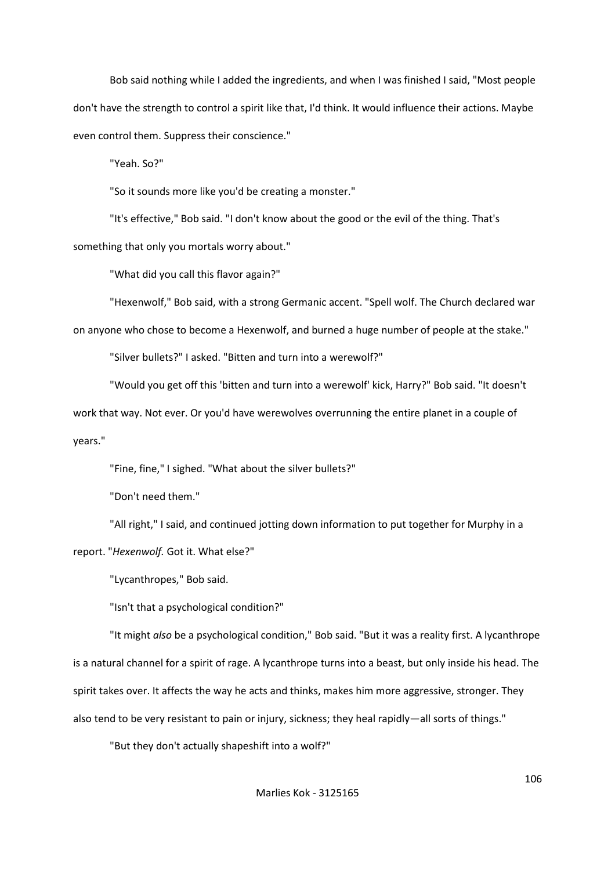Bob said nothing while I added the ingredients, and when I was finished I said, "Most people don't have the strength to control a spirit like that, I'd think. It would influence their actions. Maybe even control them. Suppress their conscience."

"Yeah. So?"

"So it sounds more like you'd be creating a monster."

"It's effective," Bob said. "I don't know about the good or the evil of the thing. That's

something that only you mortals worry about."

"What did you call this flavor again?"

"Hexenwolf," Bob said, with a strong Germanic accent. "Spell wolf. The Church declared war on anyone who chose to become a Hexenwolf, and burned a huge number of people at the stake."

"Silver bullets?" I asked. "Bitten and turn into a werewolf?"

"Would you get off this 'bitten and turn into a werewolf' kick, Harry?" Bob said. "It doesn't work that way. Not ever. Or you'd have werewolves overrunning the entire planet in a couple of years."

"Fine, fine," I sighed. "What about the silver bullets?"

"Don't need them."

"All right," I said, and continued jotting down information to put together for Murphy in a report. "*Hexenwolf.* Got it. What else?"

"Lycanthropes," Bob said.

"Isn't that a psychological condition?"

"It might *also* be a psychological condition," Bob said. "But it was a reality first. A lycanthrope is a natural channel for a spirit of rage. A lycanthrope turns into a beast, but only inside his head. The spirit takes over. It affects the way he acts and thinks, makes him more aggressive, stronger. They also tend to be very resistant to pain or injury, sickness; they heal rapidly—all sorts of things."

"But they don't actually shapeshift into a wolf?"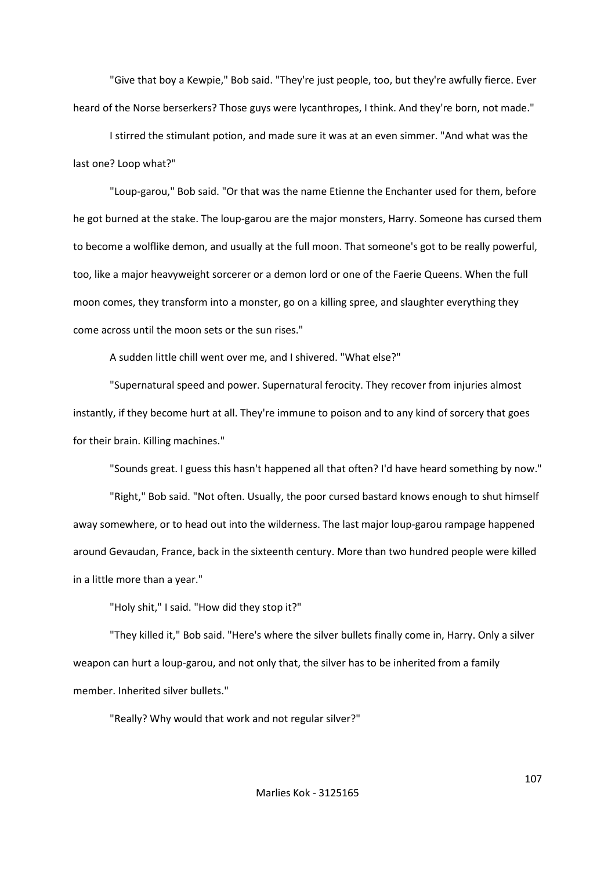"Give that boy a Kewpie," Bob said. "They're just people, too, but they're awfully fierce. Ever heard of the Norse berserkers? Those guys were lycanthropes, I think. And they're born, not made."

I stirred the stimulant potion, and made sure it was at an even simmer. "And what was the last one? Loop what?"

"Loup-garou," Bob said. "Or that was the name Etienne the Enchanter used for them, before he got burned at the stake. The loup-garou are the major monsters, Harry. Someone has cursed them to become a wolflike demon, and usually at the full moon. That someone's got to be really powerful, too, like a major heavyweight sorcerer or a demon lord or one of the Faerie Queens. When the full moon comes, they transform into a monster, go on a killing spree, and slaughter everything they come across until the moon sets or the sun rises."

A sudden little chill went over me, and I shivered. "What else?"

"Supernatural speed and power. Supernatural ferocity. They recover from injuries almost instantly, if they become hurt at all. They're immune to poison and to any kind of sorcery that goes for their brain. Killing machines."

"Sounds great. I guess this hasn't happened all that often? I'd have heard something by now."

"Right," Bob said. "Not often. Usually, the poor cursed bastard knows enough to shut himself away somewhere, or to head out into the wilderness. The last major loup-garou rampage happened around Gevaudan, France, back in the sixteenth century. More than two hundred people were killed in a little more than a year."

"Holy shit," I said. "How did they stop it?"

"They killed it," Bob said. "Here's where the silver bullets finally come in, Harry. Only a silver weapon can hurt a loup-garou, and not only that, the silver has to be inherited from a family member. Inherited silver bullets."

"Really? Why would that work and not regular silver?"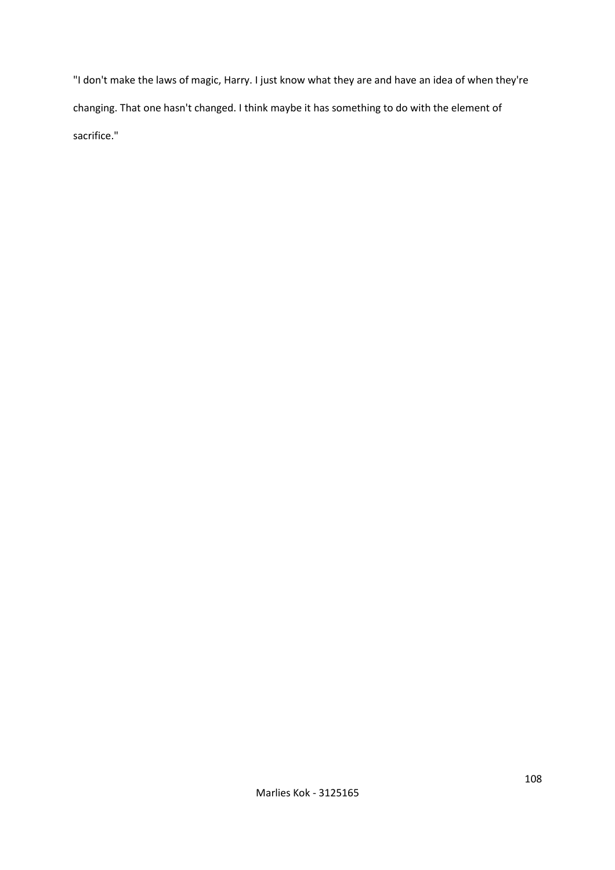"I don't make the laws of magic, Harry. I just know what they are and have an idea of when they're changing. That one hasn't changed. I think maybe it has something to do with the element of sacrifice."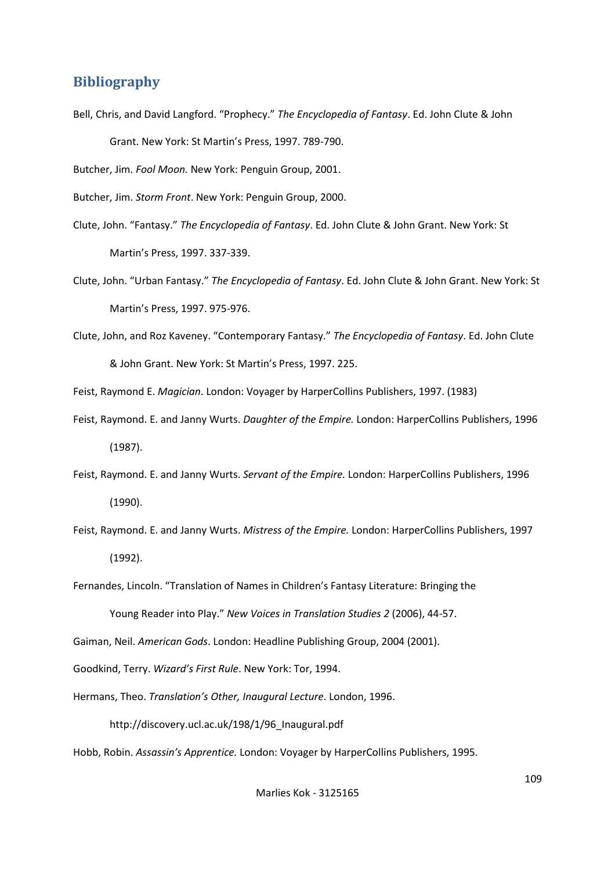## **Bibliography**

Bell, Chris, and David Langford. "Prophecy." *The Encyclopedia of Fantasy*. Ed. John Clute & John Grant. New York: St Martin's Press, 1997. 789-790.

Butcher, Jim. *Fool Moon.* New York: Penguin Group, 2001.

Butcher, Jim. *Storm Front*. New York: Penguin Group, 2000.

- Clute, John. "Fantasy." *The Encyclopedia of Fantasy*. Ed. John Clute & John Grant. New York: St Martin's Press, 1997. 337-339.
- Clute, John. "Urban Fantasy." *The Encyclopedia of Fantasy*. Ed. John Clute & John Grant. New York: St Martin's Press, 1997. 975-976.
- Clute, John, and Roz Kaveney. "Contemporary Fantasy." *The Encyclopedia of Fantasy*. Ed. John Clute & John Grant. New York: St Martin's Press, 1997. 225.

Feist, Raymond E. *Magician*. London: Voyager by HarperCollins Publishers, 1997. (1983)

- Feist, Raymond. E. and Janny Wurts. *Daughter of the Empire.* London: HarperCollins Publishers, 1996 (1987).
- Feist, Raymond. E. and Janny Wurts. *Servant of the Empire.* London: HarperCollins Publishers, 1996 (1990).
- Feist, Raymond. E. and Janny Wurts. *Mistress of the Empire.* London: HarperCollins Publishers, 1997 (1992).

Fernandes, Lincoln. "Translation of Names in Children's Fantasy Literature: Bringing the Young Reader into Play." *New Voices in Translation Studies 2* (2006), 44-57.

Gaiman, Neil. *American Gods*. London: Headline Publishing Group, 2004 (2001).

Goodkind, Terry. *Wizard's First Rule*. New York: Tor, 1994.

Hermans, Theo. *Translation's Other, Inaugural Lecture*. London, 1996.

http://discovery.ucl.ac.uk/198/1/96\_Inaugural.pdf

Hobb, Robin. *Assassin's Apprentice.* London: Voyager by HarperCollins Publishers, 1995.